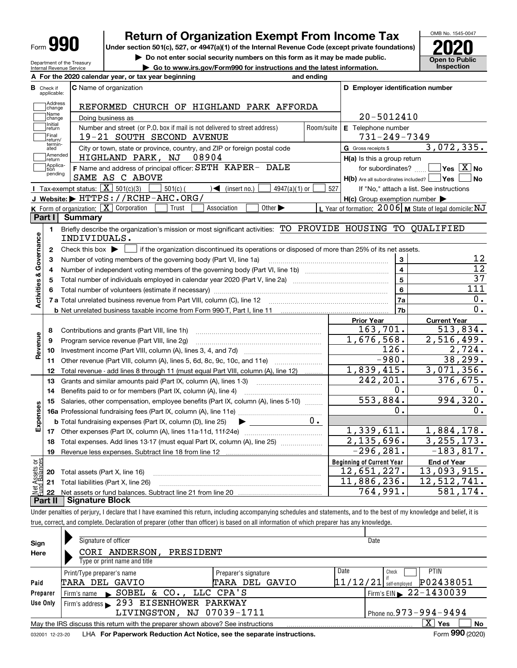| <b>Form</b> |
|-------------|
|-------------|

**A**

# **Return of Organization Exempt From Income Tax**

**Under section 501(c), 527, or 4947(a)(1) of the Internal Revenue Code (except private foundations) 2020**

**| Do not enter social security numbers on this form as it may be made public.**

**| Go to www.irs.gov/Form990 for instructions and the latest information. Inspection**



Department of the Treasury Internal Revenue Service

|                              | A For the 2020 calendar year, or tax year beginning                                                                                                      | and ending |                                                         |                                                           |
|------------------------------|----------------------------------------------------------------------------------------------------------------------------------------------------------|------------|---------------------------------------------------------|-----------------------------------------------------------|
| В<br>Check if<br>applicable: | <b>C</b> Name of organization                                                                                                                            |            | D Employer identification number                        |                                                           |
| Address<br>change            | REFORMED CHURCH OF HIGHLAND PARK AFFORDA                                                                                                                 |            |                                                         |                                                           |
| Name<br>change               | Doing business as                                                                                                                                        |            | 20-5012410                                              |                                                           |
| ,<br> Initial<br> return     | Number and street (or P.O. box if mail is not delivered to street address)                                                                               | Room/suite | E Telephone number                                      |                                                           |
| Final<br>return/             | 19-21 SOUTH SECOND AVENUE                                                                                                                                |            | $731 - 249 - 7349$                                      |                                                           |
| termin-<br>ated              | City or town, state or province, country, and ZIP or foreign postal code                                                                                 |            | G Gross receipts \$                                     | 3,072,335.                                                |
| Amended<br>return            | HIGHLAND PARK, NJ<br>08904                                                                                                                               |            | H(a) Is this a group return                             |                                                           |
| Applica-<br>tion             | F Name and address of principal officer: SETH KAPER- DALE                                                                                                |            | for subordinates?                                       | $Yes \ \boxed{X}$ No                                      |
| pending                      | SAME AS C ABOVE                                                                                                                                          |            | $H(b)$ Are all subordinates included? $\Box$ Yes $\Box$ | N <sub>o</sub>                                            |
|                              | Tax-exempt status: $\overline{X}$ 501(c)(3)<br>$501(c)$ (<br>4947(a)(1) or<br>$\rightarrow$ (insert no.)                                                 | 527        |                                                         | If "No," attach a list. See instructions                  |
|                              | J Website: FITTPS: //RCHP-AHC.ORG/                                                                                                                       |            | $H(c)$ Group exemption number $\blacktriangleright$     |                                                           |
|                              | K Form of organization: $\boxed{\mathbf{X}}$ Corporation<br>Other $\blacktriangleright$<br>Trust<br>Association                                          |            |                                                         | L Year of formation: $2006$ M State of legal domicile: NJ |
| Part I                       | <b>Summary</b>                                                                                                                                           |            |                                                         |                                                           |
| 1.                           | Briefly describe the organization's mission or most significant activities: TO PROVIDE HOUSING TO QUALIFIED                                              |            |                                                         |                                                           |
|                              | INDIVIDUALS.                                                                                                                                             |            |                                                         |                                                           |
| $\mathbf{2}$                 | Check this box $\blacktriangleright$ $\blacksquare$ if the organization discontinued its operations or disposed of more than 25% of its net assets.      |            |                                                         |                                                           |
| 3                            | Number of voting members of the governing body (Part VI, line 1a)                                                                                        |            | 3                                                       | 12                                                        |
| 4                            |                                                                                                                                                          |            | $\overline{4}$                                          | $\overline{12}$                                           |
| 5                            | Total number of individuals employed in calendar year 2020 (Part V, line 2a) manufacture of individuals employed in calendar year 2020 (Part V, line 2a) |            | $\overline{5}$                                          | $\overline{37}$                                           |
| 6                            |                                                                                                                                                          |            | 6                                                       | $\overline{111}$                                          |
|                              |                                                                                                                                                          | 7a         | 0.                                                      |                                                           |
|                              | <b>b</b> Net unrelated business taxable income from Form 990-T, Part I, line 11                                                                          |            | 7b                                                      | 0.                                                        |
|                              |                                                                                                                                                          |            | <b>Prior Year</b>                                       | <b>Current Year</b>                                       |
| 8                            | Contributions and grants (Part VIII, line 1h)                                                                                                            |            | 163, 701.                                               | 513,834.                                                  |
| 9                            | Program service revenue (Part VIII, line 2g)                                                                                                             |            | 1,676,568.                                              | 2,516,499.                                                |
| 10                           |                                                                                                                                                          |            | 126.                                                    | 2,724.                                                    |
| 11                           | Other revenue (Part VIII, column (A), lines 5, 6d, 8c, 9c, 10c, and 11e)                                                                                 |            | $-980.$                                                 | 38,299.                                                   |
| 12                           | Total revenue - add lines 8 through 11 (must equal Part VIII, column (A), line 12)                                                                       |            | 1,839,415.                                              | 3,071,356.                                                |
| 13                           | Grants and similar amounts paid (Part IX, column (A), lines 1-3)                                                                                         |            | 242,201.                                                | 376,675.                                                  |
| 14                           | Benefits paid to or for members (Part IX, column (A), line 4)                                                                                            |            | 0.                                                      | 0.                                                        |
| 15                           | Salaries, other compensation, employee benefits (Part IX, column (A), lines 5-10)                                                                        |            | 553,884.                                                | 994, 320.                                                 |
|                              |                                                                                                                                                          |            | 0.                                                      | 0.                                                        |
|                              | <b>b</b> Total fundraising expenses (Part IX, column (D), line 25)                                                                                       | $0$ .      |                                                         |                                                           |
|                              |                                                                                                                                                          |            | 1,339,611.                                              | 1,884,178.                                                |
| 18                           | Total expenses. Add lines 13-17 (must equal Part IX, column (A), line 25)                                                                                |            | 2,135,696.                                              | 3, 255, 173.                                              |
| 19                           |                                                                                                                                                          |            | $-296, 281.$                                            | $-183,817.$                                               |
|                              |                                                                                                                                                          |            | <b>Beginning of Current Year</b>                        | <b>End of Year</b>                                        |
| bg<br>20                     | Total assets (Part X, line 16)                                                                                                                           |            | 12,651,227.                                             | 13,093,915.                                               |
| ouglas<br>Saga               | 21 Total liabilities (Part X, line 26)                                                                                                                   |            | 11,886,236.                                             | 12, 512, 741.                                             |
| 22                           |                                                                                                                                                          |            | 764,991.                                                | 581, 174.                                                 |
| Part II                      | <b>Signature Block</b>                                                                                                                                   |            |                                                         |                                                           |

Under penalties of perjury, I declare that I have examined this return, including accompanying schedules and statements, and to the best of my knowledge and belief, it is true, correct, and complete. Declaration of preparer (other than officer) is based on all information of which preparer has any knowledge.

| Sign            | Signature of officer                                                            |                      | Date                   |                                |
|-----------------|---------------------------------------------------------------------------------|----------------------|------------------------|--------------------------------|
| Here            | CORI ANDERSON,<br>PRESIDENT                                                     |                      |                        |                                |
|                 | Type or print name and title                                                    |                      |                        |                                |
|                 | Print/Type preparer's name                                                      | Preparer's signature | Date<br>Check          | <b>PTIN</b>                    |
| Paid            | TARA DEL GAVIO                                                                  | GAVIO<br>TARA DEL    | 11/12/21               | P02438051<br>self-emploved     |
| Preparer        | Firm's name SOBEL & CO., LLC CPA'S                                              |                      |                        | Firm's EIN $\geq 22 - 1430039$ |
| Use Only        | Firm's address 293 EISENHOWER PARKWAY                                           |                      |                        |                                |
|                 | LIVINGSTON, NJ 07039-1711                                                       |                      | Phone no. 973-994-9494 |                                |
|                 | May the IRS discuss this return with the preparer shown above? See instructions |                      |                        | x<br>No<br>Yes                 |
| 032001 12-23-20 | LHA For Paperwork Reduction Act Notice, see the separate instructions.          |                      |                        | Form 990 (2020)                |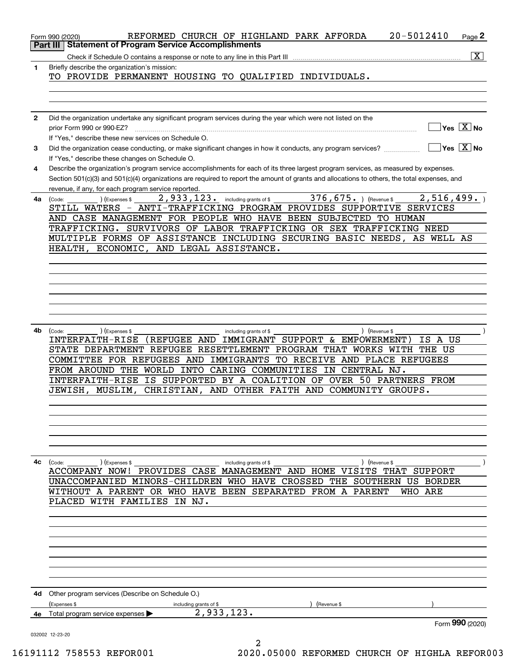|                 | 20-5012410<br>REFORMED CHURCH OF HIGHLAND PARK AFFORDA<br>$Page$ <sup>2</sup><br>Form 990 (2020)                                                                                                             |
|-----------------|--------------------------------------------------------------------------------------------------------------------------------------------------------------------------------------------------------------|
| <b>Part III</b> | <b>Statement of Program Service Accomplishments</b>                                                                                                                                                          |
|                 | $\overline{\mathbf{x}}$<br>Check if Schedule O contains a response or note to any line in this Part III                                                                                                      |
| 1               | Briefly describe the organization's mission:<br>TO PROVIDE PERMANENT HOUSING TO QUALIFIED INDIVIDUALS.                                                                                                       |
|                 |                                                                                                                                                                                                              |
|                 |                                                                                                                                                                                                              |
| $\mathbf{2}$    | Did the organization undertake any significant program services during the year which were not listed on the                                                                                                 |
|                 | $\sqrt{}$ Yes $\sqrt{}$ $\overline{\rm X}$ No<br>prior Form 990 or 990-EZ?                                                                                                                                   |
|                 | If "Yes," describe these new services on Schedule O.                                                                                                                                                         |
| 3               | $\overline{\ }$ Yes $\overline{\ \ X}$ No<br>Did the organization cease conducting, or make significant changes in how it conducts, any program services?<br>If "Yes," describe these changes on Schedule O. |
| 4               | Describe the organization's program service accomplishments for each of its three largest program services, as measured by expenses.                                                                         |
|                 | Section 501(c)(3) and 501(c)(4) organizations are required to report the amount of grants and allocations to others, the total expenses, and                                                                 |
|                 | revenue, if any, for each program service reported.<br>2,933,123. including grants of \$376,675. ) (Revenue \$<br>2,516,499.                                                                                 |
| 4a              | (Expenses \$<br>(Code:<br>STILL WATERS - ANTI-TRAFFICKING PROGRAM PROVIDES SUPPORTIVE SERVICES                                                                                                               |
|                 | AND CASE MANAGEMENT FOR PEOPLE WHO HAVE BEEN SUBJECTED TO HUMAN                                                                                                                                              |
|                 | TRAFFICKING. SURVIVORS OF LABOR TRAFFICKING OR SEX TRAFFICKING NEED                                                                                                                                          |
|                 | MULTIPLE FORMS OF ASSISTANCE INCLUDING SECURING BASIC NEEDS, AS WELL AS                                                                                                                                      |
|                 | HEALTH, ECONOMIC, AND LEGAL ASSISTANCE.                                                                                                                                                                      |
|                 |                                                                                                                                                                                                              |
|                 |                                                                                                                                                                                                              |
|                 |                                                                                                                                                                                                              |
|                 |                                                                                                                                                                                                              |
|                 |                                                                                                                                                                                                              |
|                 |                                                                                                                                                                                                              |
|                 |                                                                                                                                                                                                              |
| 4b              | ) (Revenue \$<br>(Code:<br>) (Expenses \$<br>including grants of \$                                                                                                                                          |
|                 | (REFUGEE AND IMMIGRANT SUPPORT & EMPOWERMENT)<br>INTERFAITH-RISE<br>IS A US                                                                                                                                  |
|                 | STATE DEPARTMENT REFUGEE RESETTLEMENT PROGRAM THAT WORKS WITH THE US<br>COMMITTEE FOR REFUGEES AND IMMIGRANTS TO RECEIVE AND PLACE REFUGEES                                                                  |
|                 | FROM AROUND THE WORLD INTO CARING COMMUNITIES IN CENTRAL NJ.                                                                                                                                                 |
|                 | INTERFAITH-RISE IS SUPPORTED BY A COALITION OF OVER 50 PARTNERS FROM                                                                                                                                         |
|                 | CHRISTIAN, AND OTHER FAITH AND COMMUNITY GROUPS.<br>JEWISH, MUSLIM,                                                                                                                                          |
|                 |                                                                                                                                                                                                              |
|                 |                                                                                                                                                                                                              |
|                 |                                                                                                                                                                                                              |
|                 |                                                                                                                                                                                                              |
|                 |                                                                                                                                                                                                              |
|                 |                                                                                                                                                                                                              |
| 4с              | (Code: ) (Expenses \$<br>) (Revenue \$<br>including grants of \$                                                                                                                                             |
|                 | ACCOMPANY NOW! PROVIDES CASE MANAGEMENT AND HOME VISITS THAT SUPPORT                                                                                                                                         |
|                 | UNACCOMPANIED MINORS-CHILDREN WHO HAVE CROSSED THE SOUTHERN US BORDER                                                                                                                                        |
|                 | WITHOUT A PARENT OR WHO HAVE BEEN SEPARATED FROM A PARENT<br>WHO ARE                                                                                                                                         |
|                 | PLACED WITH FAMILIES IN NJ.                                                                                                                                                                                  |
|                 |                                                                                                                                                                                                              |
|                 |                                                                                                                                                                                                              |
|                 |                                                                                                                                                                                                              |
|                 |                                                                                                                                                                                                              |
|                 |                                                                                                                                                                                                              |
|                 |                                                                                                                                                                                                              |
|                 |                                                                                                                                                                                                              |
|                 | <b>4d</b> Other program services (Describe on Schedule O.)                                                                                                                                                   |
|                 | (Expenses \$<br>including grants of \$<br>(Revenue \$                                                                                                                                                        |
|                 | 2,933,123.<br>4e Total program service expenses $\blacktriangleright$                                                                                                                                        |
|                 | Form 990 (2020)                                                                                                                                                                                              |
|                 | 032002 12-23-20                                                                                                                                                                                              |
|                 |                                                                                                                                                                                                              |

16191112 758553 REFOR001 2020.05000 REFORMED CHURCH OF HIGHLA REFOR003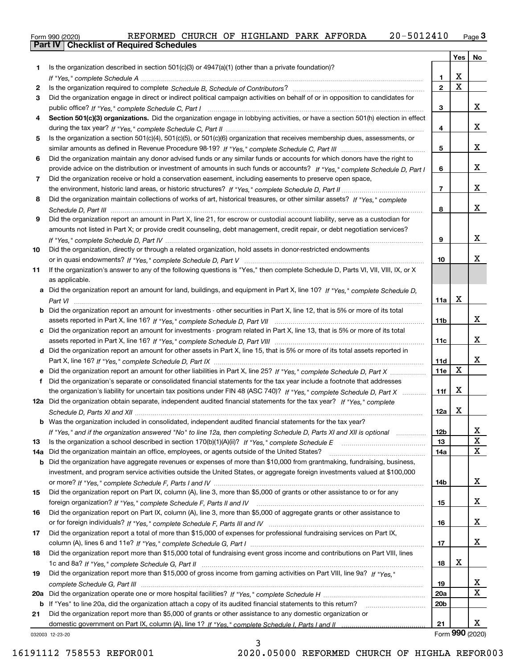|  | Form 990 (2020) |  |
|--|-----------------|--|
|  |                 |  |

| Is the organization described in section $501(c)(3)$ or $4947(a)(1)$ (other than a private foundation)?<br>1.<br>X<br>1.<br>$\overline{\mathbf{x}}$<br>$\overline{2}$<br>2<br>Did the organization engage in direct or indirect political campaign activities on behalf of or in opposition to candidates for<br>3<br>x<br>3<br>Section 501(c)(3) organizations. Did the organization engage in lobbying activities, or have a section 501(h) election in effect<br>4<br>x<br>4<br>Is the organization a section 501(c)(4), 501(c)(5), or 501(c)(6) organization that receives membership dues, assessments, or<br>5<br>x<br>5<br>Did the organization maintain any donor advised funds or any similar funds or accounts for which donors have the right to<br>6<br>x<br>provide advice on the distribution or investment of amounts in such funds or accounts? If "Yes," complete Schedule D, Part I<br>6<br>Did the organization receive or hold a conservation easement, including easements to preserve open space,<br>7<br>X<br>$\overline{7}$<br>Did the organization maintain collections of works of art, historical treasures, or other similar assets? If "Yes," complete<br>8<br>x<br>8<br>Did the organization report an amount in Part X, line 21, for escrow or custodial account liability, serve as a custodian for<br>9<br>amounts not listed in Part X; or provide credit counseling, debt management, credit repair, or debt negotiation services?<br>x<br>9<br>Did the organization, directly or through a related organization, hold assets in donor-restricted endowments<br>10<br>х<br>10<br>If the organization's answer to any of the following questions is "Yes," then complete Schedule D, Parts VI, VII, VIII, IX, or X<br>11<br>as applicable.<br>a Did the organization report an amount for land, buildings, and equipment in Part X, line 10? If "Yes," complete Schedule D,<br>X<br>11a<br>Did the organization report an amount for investments - other securities in Part X, line 12, that is 5% or more of its total<br>b<br>x<br>11b<br>Did the organization report an amount for investments - program related in Part X, line 13, that is 5% or more of its total<br>c<br>х<br>11c<br>d Did the organization report an amount for other assets in Part X, line 15, that is 5% or more of its total assets reported in<br>х<br>11d<br>$\mathbf X$<br>11e<br>Did the organization report an amount for other liabilities in Part X, line 25? If "Yes," complete Schedule D, Part X<br>Did the organization's separate or consolidated financial statements for the tax year include a footnote that addresses<br>f<br>X<br>the organization's liability for uncertain tax positions under FIN 48 (ASC 740)? If "Yes," complete Schedule D, Part X<br>11f<br>12a Did the organization obtain separate, independent audited financial statements for the tax year? If "Yes," complete<br>X<br>12a<br><b>b</b> Was the organization included in consolidated, independent audited financial statements for the tax year?<br>If "Yes," and if the organization answered "No" to line 12a, then completing Schedule D, Parts XI and XII is optional<br>12D<br>ᅀ<br>$\mathbf X$<br>13<br>Is the organization a school described in section $170(b)(1)(A)(ii)?$ If "Yes," complete Schedule E<br>13<br>$\mathbf X$<br>Did the organization maintain an office, employees, or agents outside of the United States?<br>14a<br>14a<br>Did the organization have aggregate revenues or expenses of more than \$10,000 from grantmaking, fundraising, business,<br>b<br>investment, and program service activities outside the United States, or aggregate foreign investments valued at \$100,000<br>x<br>14b<br>Did the organization report on Part IX, column (A), line 3, more than \$5,000 of grants or other assistance to or for any<br>15<br>x<br>15<br>Did the organization report on Part IX, column (A), line 3, more than \$5,000 of aggregate grants or other assistance to<br>16<br>x<br>16<br>Did the organization report a total of more than \$15,000 of expenses for professional fundraising services on Part IX,<br>17<br>X<br>17<br>Did the organization report more than \$15,000 total of fundraising event gross income and contributions on Part VIII, lines<br>18<br>х<br>18<br>Did the organization report more than \$15,000 of gross income from gaming activities on Part VIII, line 9a? If "Yes."<br>19<br>$\overline{\mathbf{x}}$<br>19<br>$\overline{\mathbf{x}}$<br>20a<br>20a<br>20 <sub>b</sub><br>If "Yes" to line 20a, did the organization attach a copy of its audited financial statements to this return?<br>b<br>Did the organization report more than \$5,000 of grants or other assistance to any domestic organization or<br>21<br>х<br>21<br>032003 12-23-20 |  | Yes | No |
|---------------------------------------------------------------------------------------------------------------------------------------------------------------------------------------------------------------------------------------------------------------------------------------------------------------------------------------------------------------------------------------------------------------------------------------------------------------------------------------------------------------------------------------------------------------------------------------------------------------------------------------------------------------------------------------------------------------------------------------------------------------------------------------------------------------------------------------------------------------------------------------------------------------------------------------------------------------------------------------------------------------------------------------------------------------------------------------------------------------------------------------------------------------------------------------------------------------------------------------------------------------------------------------------------------------------------------------------------------------------------------------------------------------------------------------------------------------------------------------------------------------------------------------------------------------------------------------------------------------------------------------------------------------------------------------------------------------------------------------------------------------------------------------------------------------------------------------------------------------------------------------------------------------------------------------------------------------------------------------------------------------------------------------------------------------------------------------------------------------------------------------------------------------------------------------------------------------------------------------------------------------------------------------------------------------------------------------------------------------------------------------------------------------------------------------------------------------------------------------------------------------------------------------------------------------------------------------------------------------------------------------------------------------------------------------------------------------------------------------------------------------------------------------------------------------------------------------------------------------------------------------------------------------------------------------------------------------------------------------------------------------------------------------------------------------------------------------------------------------------------------------------------------------------------------------------------------------------------------------------------------------------------------------------------------------------------------------------------------------------------------------------------------------------------------------------------------------------------------------------------------------------------------------------------------------------------------------------------------------------------------------------------------------------------------------------------------------------------------------------------------------------------------------------------------------------------------------------------------------------------------------------------------------------------------------------------------------------------------------------------------------------------------------------------------------------------------------------------------------------------------------------------------------------------------------------------------------------------------------------------------------------------------------------------------------------------------------------------------------------------------------------------------------------------------------------------------------------------------------------------------------------------------------------------------------------------------------------------------------------------------------------------------------------------------------------------------------------------------------------------------------------------------------------------------------------------------------|--|-----|----|
|                                                                                                                                                                                                                                                                                                                                                                                                                                                                                                                                                                                                                                                                                                                                                                                                                                                                                                                                                                                                                                                                                                                                                                                                                                                                                                                                                                                                                                                                                                                                                                                                                                                                                                                                                                                                                                                                                                                                                                                                                                                                                                                                                                                                                                                                                                                                                                                                                                                                                                                                                                                                                                                                                                                                                                                                                                                                                                                                                                                                                                                                                                                                                                                                                                                                                                                                                                                                                                                                                                                                                                                                                                                                                                                                                                                                                                                                                                                                                                                                                                                                                                                                                                                                                                                                                                                                                                                                                                                                                                                                                                                                                                                                                                                                                                                                                                       |  |     |    |
|                                                                                                                                                                                                                                                                                                                                                                                                                                                                                                                                                                                                                                                                                                                                                                                                                                                                                                                                                                                                                                                                                                                                                                                                                                                                                                                                                                                                                                                                                                                                                                                                                                                                                                                                                                                                                                                                                                                                                                                                                                                                                                                                                                                                                                                                                                                                                                                                                                                                                                                                                                                                                                                                                                                                                                                                                                                                                                                                                                                                                                                                                                                                                                                                                                                                                                                                                                                                                                                                                                                                                                                                                                                                                                                                                                                                                                                                                                                                                                                                                                                                                                                                                                                                                                                                                                                                                                                                                                                                                                                                                                                                                                                                                                                                                                                                                                       |  |     |    |
|                                                                                                                                                                                                                                                                                                                                                                                                                                                                                                                                                                                                                                                                                                                                                                                                                                                                                                                                                                                                                                                                                                                                                                                                                                                                                                                                                                                                                                                                                                                                                                                                                                                                                                                                                                                                                                                                                                                                                                                                                                                                                                                                                                                                                                                                                                                                                                                                                                                                                                                                                                                                                                                                                                                                                                                                                                                                                                                                                                                                                                                                                                                                                                                                                                                                                                                                                                                                                                                                                                                                                                                                                                                                                                                                                                                                                                                                                                                                                                                                                                                                                                                                                                                                                                                                                                                                                                                                                                                                                                                                                                                                                                                                                                                                                                                                                                       |  |     |    |
|                                                                                                                                                                                                                                                                                                                                                                                                                                                                                                                                                                                                                                                                                                                                                                                                                                                                                                                                                                                                                                                                                                                                                                                                                                                                                                                                                                                                                                                                                                                                                                                                                                                                                                                                                                                                                                                                                                                                                                                                                                                                                                                                                                                                                                                                                                                                                                                                                                                                                                                                                                                                                                                                                                                                                                                                                                                                                                                                                                                                                                                                                                                                                                                                                                                                                                                                                                                                                                                                                                                                                                                                                                                                                                                                                                                                                                                                                                                                                                                                                                                                                                                                                                                                                                                                                                                                                                                                                                                                                                                                                                                                                                                                                                                                                                                                                                       |  |     |    |
|                                                                                                                                                                                                                                                                                                                                                                                                                                                                                                                                                                                                                                                                                                                                                                                                                                                                                                                                                                                                                                                                                                                                                                                                                                                                                                                                                                                                                                                                                                                                                                                                                                                                                                                                                                                                                                                                                                                                                                                                                                                                                                                                                                                                                                                                                                                                                                                                                                                                                                                                                                                                                                                                                                                                                                                                                                                                                                                                                                                                                                                                                                                                                                                                                                                                                                                                                                                                                                                                                                                                                                                                                                                                                                                                                                                                                                                                                                                                                                                                                                                                                                                                                                                                                                                                                                                                                                                                                                                                                                                                                                                                                                                                                                                                                                                                                                       |  |     |    |
|                                                                                                                                                                                                                                                                                                                                                                                                                                                                                                                                                                                                                                                                                                                                                                                                                                                                                                                                                                                                                                                                                                                                                                                                                                                                                                                                                                                                                                                                                                                                                                                                                                                                                                                                                                                                                                                                                                                                                                                                                                                                                                                                                                                                                                                                                                                                                                                                                                                                                                                                                                                                                                                                                                                                                                                                                                                                                                                                                                                                                                                                                                                                                                                                                                                                                                                                                                                                                                                                                                                                                                                                                                                                                                                                                                                                                                                                                                                                                                                                                                                                                                                                                                                                                                                                                                                                                                                                                                                                                                                                                                                                                                                                                                                                                                                                                                       |  |     |    |
|                                                                                                                                                                                                                                                                                                                                                                                                                                                                                                                                                                                                                                                                                                                                                                                                                                                                                                                                                                                                                                                                                                                                                                                                                                                                                                                                                                                                                                                                                                                                                                                                                                                                                                                                                                                                                                                                                                                                                                                                                                                                                                                                                                                                                                                                                                                                                                                                                                                                                                                                                                                                                                                                                                                                                                                                                                                                                                                                                                                                                                                                                                                                                                                                                                                                                                                                                                                                                                                                                                                                                                                                                                                                                                                                                                                                                                                                                                                                                                                                                                                                                                                                                                                                                                                                                                                                                                                                                                                                                                                                                                                                                                                                                                                                                                                                                                       |  |     |    |
|                                                                                                                                                                                                                                                                                                                                                                                                                                                                                                                                                                                                                                                                                                                                                                                                                                                                                                                                                                                                                                                                                                                                                                                                                                                                                                                                                                                                                                                                                                                                                                                                                                                                                                                                                                                                                                                                                                                                                                                                                                                                                                                                                                                                                                                                                                                                                                                                                                                                                                                                                                                                                                                                                                                                                                                                                                                                                                                                                                                                                                                                                                                                                                                                                                                                                                                                                                                                                                                                                                                                                                                                                                                                                                                                                                                                                                                                                                                                                                                                                                                                                                                                                                                                                                                                                                                                                                                                                                                                                                                                                                                                                                                                                                                                                                                                                                       |  |     |    |
|                                                                                                                                                                                                                                                                                                                                                                                                                                                                                                                                                                                                                                                                                                                                                                                                                                                                                                                                                                                                                                                                                                                                                                                                                                                                                                                                                                                                                                                                                                                                                                                                                                                                                                                                                                                                                                                                                                                                                                                                                                                                                                                                                                                                                                                                                                                                                                                                                                                                                                                                                                                                                                                                                                                                                                                                                                                                                                                                                                                                                                                                                                                                                                                                                                                                                                                                                                                                                                                                                                                                                                                                                                                                                                                                                                                                                                                                                                                                                                                                                                                                                                                                                                                                                                                                                                                                                                                                                                                                                                                                                                                                                                                                                                                                                                                                                                       |  |     |    |
|                                                                                                                                                                                                                                                                                                                                                                                                                                                                                                                                                                                                                                                                                                                                                                                                                                                                                                                                                                                                                                                                                                                                                                                                                                                                                                                                                                                                                                                                                                                                                                                                                                                                                                                                                                                                                                                                                                                                                                                                                                                                                                                                                                                                                                                                                                                                                                                                                                                                                                                                                                                                                                                                                                                                                                                                                                                                                                                                                                                                                                                                                                                                                                                                                                                                                                                                                                                                                                                                                                                                                                                                                                                                                                                                                                                                                                                                                                                                                                                                                                                                                                                                                                                                                                                                                                                                                                                                                                                                                                                                                                                                                                                                                                                                                                                                                                       |  |     |    |
|                                                                                                                                                                                                                                                                                                                                                                                                                                                                                                                                                                                                                                                                                                                                                                                                                                                                                                                                                                                                                                                                                                                                                                                                                                                                                                                                                                                                                                                                                                                                                                                                                                                                                                                                                                                                                                                                                                                                                                                                                                                                                                                                                                                                                                                                                                                                                                                                                                                                                                                                                                                                                                                                                                                                                                                                                                                                                                                                                                                                                                                                                                                                                                                                                                                                                                                                                                                                                                                                                                                                                                                                                                                                                                                                                                                                                                                                                                                                                                                                                                                                                                                                                                                                                                                                                                                                                                                                                                                                                                                                                                                                                                                                                                                                                                                                                                       |  |     |    |
|                                                                                                                                                                                                                                                                                                                                                                                                                                                                                                                                                                                                                                                                                                                                                                                                                                                                                                                                                                                                                                                                                                                                                                                                                                                                                                                                                                                                                                                                                                                                                                                                                                                                                                                                                                                                                                                                                                                                                                                                                                                                                                                                                                                                                                                                                                                                                                                                                                                                                                                                                                                                                                                                                                                                                                                                                                                                                                                                                                                                                                                                                                                                                                                                                                                                                                                                                                                                                                                                                                                                                                                                                                                                                                                                                                                                                                                                                                                                                                                                                                                                                                                                                                                                                                                                                                                                                                                                                                                                                                                                                                                                                                                                                                                                                                                                                                       |  |     |    |
|                                                                                                                                                                                                                                                                                                                                                                                                                                                                                                                                                                                                                                                                                                                                                                                                                                                                                                                                                                                                                                                                                                                                                                                                                                                                                                                                                                                                                                                                                                                                                                                                                                                                                                                                                                                                                                                                                                                                                                                                                                                                                                                                                                                                                                                                                                                                                                                                                                                                                                                                                                                                                                                                                                                                                                                                                                                                                                                                                                                                                                                                                                                                                                                                                                                                                                                                                                                                                                                                                                                                                                                                                                                                                                                                                                                                                                                                                                                                                                                                                                                                                                                                                                                                                                                                                                                                                                                                                                                                                                                                                                                                                                                                                                                                                                                                                                       |  |     |    |
|                                                                                                                                                                                                                                                                                                                                                                                                                                                                                                                                                                                                                                                                                                                                                                                                                                                                                                                                                                                                                                                                                                                                                                                                                                                                                                                                                                                                                                                                                                                                                                                                                                                                                                                                                                                                                                                                                                                                                                                                                                                                                                                                                                                                                                                                                                                                                                                                                                                                                                                                                                                                                                                                                                                                                                                                                                                                                                                                                                                                                                                                                                                                                                                                                                                                                                                                                                                                                                                                                                                                                                                                                                                                                                                                                                                                                                                                                                                                                                                                                                                                                                                                                                                                                                                                                                                                                                                                                                                                                                                                                                                                                                                                                                                                                                                                                                       |  |     |    |
|                                                                                                                                                                                                                                                                                                                                                                                                                                                                                                                                                                                                                                                                                                                                                                                                                                                                                                                                                                                                                                                                                                                                                                                                                                                                                                                                                                                                                                                                                                                                                                                                                                                                                                                                                                                                                                                                                                                                                                                                                                                                                                                                                                                                                                                                                                                                                                                                                                                                                                                                                                                                                                                                                                                                                                                                                                                                                                                                                                                                                                                                                                                                                                                                                                                                                                                                                                                                                                                                                                                                                                                                                                                                                                                                                                                                                                                                                                                                                                                                                                                                                                                                                                                                                                                                                                                                                                                                                                                                                                                                                                                                                                                                                                                                                                                                                                       |  |     |    |
|                                                                                                                                                                                                                                                                                                                                                                                                                                                                                                                                                                                                                                                                                                                                                                                                                                                                                                                                                                                                                                                                                                                                                                                                                                                                                                                                                                                                                                                                                                                                                                                                                                                                                                                                                                                                                                                                                                                                                                                                                                                                                                                                                                                                                                                                                                                                                                                                                                                                                                                                                                                                                                                                                                                                                                                                                                                                                                                                                                                                                                                                                                                                                                                                                                                                                                                                                                                                                                                                                                                                                                                                                                                                                                                                                                                                                                                                                                                                                                                                                                                                                                                                                                                                                                                                                                                                                                                                                                                                                                                                                                                                                                                                                                                                                                                                                                       |  |     |    |
|                                                                                                                                                                                                                                                                                                                                                                                                                                                                                                                                                                                                                                                                                                                                                                                                                                                                                                                                                                                                                                                                                                                                                                                                                                                                                                                                                                                                                                                                                                                                                                                                                                                                                                                                                                                                                                                                                                                                                                                                                                                                                                                                                                                                                                                                                                                                                                                                                                                                                                                                                                                                                                                                                                                                                                                                                                                                                                                                                                                                                                                                                                                                                                                                                                                                                                                                                                                                                                                                                                                                                                                                                                                                                                                                                                                                                                                                                                                                                                                                                                                                                                                                                                                                                                                                                                                                                                                                                                                                                                                                                                                                                                                                                                                                                                                                                                       |  |     |    |
|                                                                                                                                                                                                                                                                                                                                                                                                                                                                                                                                                                                                                                                                                                                                                                                                                                                                                                                                                                                                                                                                                                                                                                                                                                                                                                                                                                                                                                                                                                                                                                                                                                                                                                                                                                                                                                                                                                                                                                                                                                                                                                                                                                                                                                                                                                                                                                                                                                                                                                                                                                                                                                                                                                                                                                                                                                                                                                                                                                                                                                                                                                                                                                                                                                                                                                                                                                                                                                                                                                                                                                                                                                                                                                                                                                                                                                                                                                                                                                                                                                                                                                                                                                                                                                                                                                                                                                                                                                                                                                                                                                                                                                                                                                                                                                                                                                       |  |     |    |
|                                                                                                                                                                                                                                                                                                                                                                                                                                                                                                                                                                                                                                                                                                                                                                                                                                                                                                                                                                                                                                                                                                                                                                                                                                                                                                                                                                                                                                                                                                                                                                                                                                                                                                                                                                                                                                                                                                                                                                                                                                                                                                                                                                                                                                                                                                                                                                                                                                                                                                                                                                                                                                                                                                                                                                                                                                                                                                                                                                                                                                                                                                                                                                                                                                                                                                                                                                                                                                                                                                                                                                                                                                                                                                                                                                                                                                                                                                                                                                                                                                                                                                                                                                                                                                                                                                                                                                                                                                                                                                                                                                                                                                                                                                                                                                                                                                       |  |     |    |
|                                                                                                                                                                                                                                                                                                                                                                                                                                                                                                                                                                                                                                                                                                                                                                                                                                                                                                                                                                                                                                                                                                                                                                                                                                                                                                                                                                                                                                                                                                                                                                                                                                                                                                                                                                                                                                                                                                                                                                                                                                                                                                                                                                                                                                                                                                                                                                                                                                                                                                                                                                                                                                                                                                                                                                                                                                                                                                                                                                                                                                                                                                                                                                                                                                                                                                                                                                                                                                                                                                                                                                                                                                                                                                                                                                                                                                                                                                                                                                                                                                                                                                                                                                                                                                                                                                                                                                                                                                                                                                                                                                                                                                                                                                                                                                                                                                       |  |     |    |
|                                                                                                                                                                                                                                                                                                                                                                                                                                                                                                                                                                                                                                                                                                                                                                                                                                                                                                                                                                                                                                                                                                                                                                                                                                                                                                                                                                                                                                                                                                                                                                                                                                                                                                                                                                                                                                                                                                                                                                                                                                                                                                                                                                                                                                                                                                                                                                                                                                                                                                                                                                                                                                                                                                                                                                                                                                                                                                                                                                                                                                                                                                                                                                                                                                                                                                                                                                                                                                                                                                                                                                                                                                                                                                                                                                                                                                                                                                                                                                                                                                                                                                                                                                                                                                                                                                                                                                                                                                                                                                                                                                                                                                                                                                                                                                                                                                       |  |     |    |
|                                                                                                                                                                                                                                                                                                                                                                                                                                                                                                                                                                                                                                                                                                                                                                                                                                                                                                                                                                                                                                                                                                                                                                                                                                                                                                                                                                                                                                                                                                                                                                                                                                                                                                                                                                                                                                                                                                                                                                                                                                                                                                                                                                                                                                                                                                                                                                                                                                                                                                                                                                                                                                                                                                                                                                                                                                                                                                                                                                                                                                                                                                                                                                                                                                                                                                                                                                                                                                                                                                                                                                                                                                                                                                                                                                                                                                                                                                                                                                                                                                                                                                                                                                                                                                                                                                                                                                                                                                                                                                                                                                                                                                                                                                                                                                                                                                       |  |     |    |
|                                                                                                                                                                                                                                                                                                                                                                                                                                                                                                                                                                                                                                                                                                                                                                                                                                                                                                                                                                                                                                                                                                                                                                                                                                                                                                                                                                                                                                                                                                                                                                                                                                                                                                                                                                                                                                                                                                                                                                                                                                                                                                                                                                                                                                                                                                                                                                                                                                                                                                                                                                                                                                                                                                                                                                                                                                                                                                                                                                                                                                                                                                                                                                                                                                                                                                                                                                                                                                                                                                                                                                                                                                                                                                                                                                                                                                                                                                                                                                                                                                                                                                                                                                                                                                                                                                                                                                                                                                                                                                                                                                                                                                                                                                                                                                                                                                       |  |     |    |
|                                                                                                                                                                                                                                                                                                                                                                                                                                                                                                                                                                                                                                                                                                                                                                                                                                                                                                                                                                                                                                                                                                                                                                                                                                                                                                                                                                                                                                                                                                                                                                                                                                                                                                                                                                                                                                                                                                                                                                                                                                                                                                                                                                                                                                                                                                                                                                                                                                                                                                                                                                                                                                                                                                                                                                                                                                                                                                                                                                                                                                                                                                                                                                                                                                                                                                                                                                                                                                                                                                                                                                                                                                                                                                                                                                                                                                                                                                                                                                                                                                                                                                                                                                                                                                                                                                                                                                                                                                                                                                                                                                                                                                                                                                                                                                                                                                       |  |     |    |
|                                                                                                                                                                                                                                                                                                                                                                                                                                                                                                                                                                                                                                                                                                                                                                                                                                                                                                                                                                                                                                                                                                                                                                                                                                                                                                                                                                                                                                                                                                                                                                                                                                                                                                                                                                                                                                                                                                                                                                                                                                                                                                                                                                                                                                                                                                                                                                                                                                                                                                                                                                                                                                                                                                                                                                                                                                                                                                                                                                                                                                                                                                                                                                                                                                                                                                                                                                                                                                                                                                                                                                                                                                                                                                                                                                                                                                                                                                                                                                                                                                                                                                                                                                                                                                                                                                                                                                                                                                                                                                                                                                                                                                                                                                                                                                                                                                       |  |     |    |
|                                                                                                                                                                                                                                                                                                                                                                                                                                                                                                                                                                                                                                                                                                                                                                                                                                                                                                                                                                                                                                                                                                                                                                                                                                                                                                                                                                                                                                                                                                                                                                                                                                                                                                                                                                                                                                                                                                                                                                                                                                                                                                                                                                                                                                                                                                                                                                                                                                                                                                                                                                                                                                                                                                                                                                                                                                                                                                                                                                                                                                                                                                                                                                                                                                                                                                                                                                                                                                                                                                                                                                                                                                                                                                                                                                                                                                                                                                                                                                                                                                                                                                                                                                                                                                                                                                                                                                                                                                                                                                                                                                                                                                                                                                                                                                                                                                       |  |     |    |
|                                                                                                                                                                                                                                                                                                                                                                                                                                                                                                                                                                                                                                                                                                                                                                                                                                                                                                                                                                                                                                                                                                                                                                                                                                                                                                                                                                                                                                                                                                                                                                                                                                                                                                                                                                                                                                                                                                                                                                                                                                                                                                                                                                                                                                                                                                                                                                                                                                                                                                                                                                                                                                                                                                                                                                                                                                                                                                                                                                                                                                                                                                                                                                                                                                                                                                                                                                                                                                                                                                                                                                                                                                                                                                                                                                                                                                                                                                                                                                                                                                                                                                                                                                                                                                                                                                                                                                                                                                                                                                                                                                                                                                                                                                                                                                                                                                       |  |     |    |
|                                                                                                                                                                                                                                                                                                                                                                                                                                                                                                                                                                                                                                                                                                                                                                                                                                                                                                                                                                                                                                                                                                                                                                                                                                                                                                                                                                                                                                                                                                                                                                                                                                                                                                                                                                                                                                                                                                                                                                                                                                                                                                                                                                                                                                                                                                                                                                                                                                                                                                                                                                                                                                                                                                                                                                                                                                                                                                                                                                                                                                                                                                                                                                                                                                                                                                                                                                                                                                                                                                                                                                                                                                                                                                                                                                                                                                                                                                                                                                                                                                                                                                                                                                                                                                                                                                                                                                                                                                                                                                                                                                                                                                                                                                                                                                                                                                       |  |     |    |
|                                                                                                                                                                                                                                                                                                                                                                                                                                                                                                                                                                                                                                                                                                                                                                                                                                                                                                                                                                                                                                                                                                                                                                                                                                                                                                                                                                                                                                                                                                                                                                                                                                                                                                                                                                                                                                                                                                                                                                                                                                                                                                                                                                                                                                                                                                                                                                                                                                                                                                                                                                                                                                                                                                                                                                                                                                                                                                                                                                                                                                                                                                                                                                                                                                                                                                                                                                                                                                                                                                                                                                                                                                                                                                                                                                                                                                                                                                                                                                                                                                                                                                                                                                                                                                                                                                                                                                                                                                                                                                                                                                                                                                                                                                                                                                                                                                       |  |     |    |
|                                                                                                                                                                                                                                                                                                                                                                                                                                                                                                                                                                                                                                                                                                                                                                                                                                                                                                                                                                                                                                                                                                                                                                                                                                                                                                                                                                                                                                                                                                                                                                                                                                                                                                                                                                                                                                                                                                                                                                                                                                                                                                                                                                                                                                                                                                                                                                                                                                                                                                                                                                                                                                                                                                                                                                                                                                                                                                                                                                                                                                                                                                                                                                                                                                                                                                                                                                                                                                                                                                                                                                                                                                                                                                                                                                                                                                                                                                                                                                                                                                                                                                                                                                                                                                                                                                                                                                                                                                                                                                                                                                                                                                                                                                                                                                                                                                       |  |     |    |
|                                                                                                                                                                                                                                                                                                                                                                                                                                                                                                                                                                                                                                                                                                                                                                                                                                                                                                                                                                                                                                                                                                                                                                                                                                                                                                                                                                                                                                                                                                                                                                                                                                                                                                                                                                                                                                                                                                                                                                                                                                                                                                                                                                                                                                                                                                                                                                                                                                                                                                                                                                                                                                                                                                                                                                                                                                                                                                                                                                                                                                                                                                                                                                                                                                                                                                                                                                                                                                                                                                                                                                                                                                                                                                                                                                                                                                                                                                                                                                                                                                                                                                                                                                                                                                                                                                                                                                                                                                                                                                                                                                                                                                                                                                                                                                                                                                       |  |     |    |
|                                                                                                                                                                                                                                                                                                                                                                                                                                                                                                                                                                                                                                                                                                                                                                                                                                                                                                                                                                                                                                                                                                                                                                                                                                                                                                                                                                                                                                                                                                                                                                                                                                                                                                                                                                                                                                                                                                                                                                                                                                                                                                                                                                                                                                                                                                                                                                                                                                                                                                                                                                                                                                                                                                                                                                                                                                                                                                                                                                                                                                                                                                                                                                                                                                                                                                                                                                                                                                                                                                                                                                                                                                                                                                                                                                                                                                                                                                                                                                                                                                                                                                                                                                                                                                                                                                                                                                                                                                                                                                                                                                                                                                                                                                                                                                                                                                       |  |     |    |
|                                                                                                                                                                                                                                                                                                                                                                                                                                                                                                                                                                                                                                                                                                                                                                                                                                                                                                                                                                                                                                                                                                                                                                                                                                                                                                                                                                                                                                                                                                                                                                                                                                                                                                                                                                                                                                                                                                                                                                                                                                                                                                                                                                                                                                                                                                                                                                                                                                                                                                                                                                                                                                                                                                                                                                                                                                                                                                                                                                                                                                                                                                                                                                                                                                                                                                                                                                                                                                                                                                                                                                                                                                                                                                                                                                                                                                                                                                                                                                                                                                                                                                                                                                                                                                                                                                                                                                                                                                                                                                                                                                                                                                                                                                                                                                                                                                       |  |     |    |
|                                                                                                                                                                                                                                                                                                                                                                                                                                                                                                                                                                                                                                                                                                                                                                                                                                                                                                                                                                                                                                                                                                                                                                                                                                                                                                                                                                                                                                                                                                                                                                                                                                                                                                                                                                                                                                                                                                                                                                                                                                                                                                                                                                                                                                                                                                                                                                                                                                                                                                                                                                                                                                                                                                                                                                                                                                                                                                                                                                                                                                                                                                                                                                                                                                                                                                                                                                                                                                                                                                                                                                                                                                                                                                                                                                                                                                                                                                                                                                                                                                                                                                                                                                                                                                                                                                                                                                                                                                                                                                                                                                                                                                                                                                                                                                                                                                       |  |     |    |
|                                                                                                                                                                                                                                                                                                                                                                                                                                                                                                                                                                                                                                                                                                                                                                                                                                                                                                                                                                                                                                                                                                                                                                                                                                                                                                                                                                                                                                                                                                                                                                                                                                                                                                                                                                                                                                                                                                                                                                                                                                                                                                                                                                                                                                                                                                                                                                                                                                                                                                                                                                                                                                                                                                                                                                                                                                                                                                                                                                                                                                                                                                                                                                                                                                                                                                                                                                                                                                                                                                                                                                                                                                                                                                                                                                                                                                                                                                                                                                                                                                                                                                                                                                                                                                                                                                                                                                                                                                                                                                                                                                                                                                                                                                                                                                                                                                       |  |     |    |
|                                                                                                                                                                                                                                                                                                                                                                                                                                                                                                                                                                                                                                                                                                                                                                                                                                                                                                                                                                                                                                                                                                                                                                                                                                                                                                                                                                                                                                                                                                                                                                                                                                                                                                                                                                                                                                                                                                                                                                                                                                                                                                                                                                                                                                                                                                                                                                                                                                                                                                                                                                                                                                                                                                                                                                                                                                                                                                                                                                                                                                                                                                                                                                                                                                                                                                                                                                                                                                                                                                                                                                                                                                                                                                                                                                                                                                                                                                                                                                                                                                                                                                                                                                                                                                                                                                                                                                                                                                                                                                                                                                                                                                                                                                                                                                                                                                       |  |     |    |
|                                                                                                                                                                                                                                                                                                                                                                                                                                                                                                                                                                                                                                                                                                                                                                                                                                                                                                                                                                                                                                                                                                                                                                                                                                                                                                                                                                                                                                                                                                                                                                                                                                                                                                                                                                                                                                                                                                                                                                                                                                                                                                                                                                                                                                                                                                                                                                                                                                                                                                                                                                                                                                                                                                                                                                                                                                                                                                                                                                                                                                                                                                                                                                                                                                                                                                                                                                                                                                                                                                                                                                                                                                                                                                                                                                                                                                                                                                                                                                                                                                                                                                                                                                                                                                                                                                                                                                                                                                                                                                                                                                                                                                                                                                                                                                                                                                       |  |     |    |
|                                                                                                                                                                                                                                                                                                                                                                                                                                                                                                                                                                                                                                                                                                                                                                                                                                                                                                                                                                                                                                                                                                                                                                                                                                                                                                                                                                                                                                                                                                                                                                                                                                                                                                                                                                                                                                                                                                                                                                                                                                                                                                                                                                                                                                                                                                                                                                                                                                                                                                                                                                                                                                                                                                                                                                                                                                                                                                                                                                                                                                                                                                                                                                                                                                                                                                                                                                                                                                                                                                                                                                                                                                                                                                                                                                                                                                                                                                                                                                                                                                                                                                                                                                                                                                                                                                                                                                                                                                                                                                                                                                                                                                                                                                                                                                                                                                       |  |     |    |
|                                                                                                                                                                                                                                                                                                                                                                                                                                                                                                                                                                                                                                                                                                                                                                                                                                                                                                                                                                                                                                                                                                                                                                                                                                                                                                                                                                                                                                                                                                                                                                                                                                                                                                                                                                                                                                                                                                                                                                                                                                                                                                                                                                                                                                                                                                                                                                                                                                                                                                                                                                                                                                                                                                                                                                                                                                                                                                                                                                                                                                                                                                                                                                                                                                                                                                                                                                                                                                                                                                                                                                                                                                                                                                                                                                                                                                                                                                                                                                                                                                                                                                                                                                                                                                                                                                                                                                                                                                                                                                                                                                                                                                                                                                                                                                                                                                       |  |     |    |
|                                                                                                                                                                                                                                                                                                                                                                                                                                                                                                                                                                                                                                                                                                                                                                                                                                                                                                                                                                                                                                                                                                                                                                                                                                                                                                                                                                                                                                                                                                                                                                                                                                                                                                                                                                                                                                                                                                                                                                                                                                                                                                                                                                                                                                                                                                                                                                                                                                                                                                                                                                                                                                                                                                                                                                                                                                                                                                                                                                                                                                                                                                                                                                                                                                                                                                                                                                                                                                                                                                                                                                                                                                                                                                                                                                                                                                                                                                                                                                                                                                                                                                                                                                                                                                                                                                                                                                                                                                                                                                                                                                                                                                                                                                                                                                                                                                       |  |     |    |
|                                                                                                                                                                                                                                                                                                                                                                                                                                                                                                                                                                                                                                                                                                                                                                                                                                                                                                                                                                                                                                                                                                                                                                                                                                                                                                                                                                                                                                                                                                                                                                                                                                                                                                                                                                                                                                                                                                                                                                                                                                                                                                                                                                                                                                                                                                                                                                                                                                                                                                                                                                                                                                                                                                                                                                                                                                                                                                                                                                                                                                                                                                                                                                                                                                                                                                                                                                                                                                                                                                                                                                                                                                                                                                                                                                                                                                                                                                                                                                                                                                                                                                                                                                                                                                                                                                                                                                                                                                                                                                                                                                                                                                                                                                                                                                                                                                       |  |     |    |
|                                                                                                                                                                                                                                                                                                                                                                                                                                                                                                                                                                                                                                                                                                                                                                                                                                                                                                                                                                                                                                                                                                                                                                                                                                                                                                                                                                                                                                                                                                                                                                                                                                                                                                                                                                                                                                                                                                                                                                                                                                                                                                                                                                                                                                                                                                                                                                                                                                                                                                                                                                                                                                                                                                                                                                                                                                                                                                                                                                                                                                                                                                                                                                                                                                                                                                                                                                                                                                                                                                                                                                                                                                                                                                                                                                                                                                                                                                                                                                                                                                                                                                                                                                                                                                                                                                                                                                                                                                                                                                                                                                                                                                                                                                                                                                                                                                       |  |     |    |
|                                                                                                                                                                                                                                                                                                                                                                                                                                                                                                                                                                                                                                                                                                                                                                                                                                                                                                                                                                                                                                                                                                                                                                                                                                                                                                                                                                                                                                                                                                                                                                                                                                                                                                                                                                                                                                                                                                                                                                                                                                                                                                                                                                                                                                                                                                                                                                                                                                                                                                                                                                                                                                                                                                                                                                                                                                                                                                                                                                                                                                                                                                                                                                                                                                                                                                                                                                                                                                                                                                                                                                                                                                                                                                                                                                                                                                                                                                                                                                                                                                                                                                                                                                                                                                                                                                                                                                                                                                                                                                                                                                                                                                                                                                                                                                                                                                       |  |     |    |
|                                                                                                                                                                                                                                                                                                                                                                                                                                                                                                                                                                                                                                                                                                                                                                                                                                                                                                                                                                                                                                                                                                                                                                                                                                                                                                                                                                                                                                                                                                                                                                                                                                                                                                                                                                                                                                                                                                                                                                                                                                                                                                                                                                                                                                                                                                                                                                                                                                                                                                                                                                                                                                                                                                                                                                                                                                                                                                                                                                                                                                                                                                                                                                                                                                                                                                                                                                                                                                                                                                                                                                                                                                                                                                                                                                                                                                                                                                                                                                                                                                                                                                                                                                                                                                                                                                                                                                                                                                                                                                                                                                                                                                                                                                                                                                                                                                       |  |     |    |
|                                                                                                                                                                                                                                                                                                                                                                                                                                                                                                                                                                                                                                                                                                                                                                                                                                                                                                                                                                                                                                                                                                                                                                                                                                                                                                                                                                                                                                                                                                                                                                                                                                                                                                                                                                                                                                                                                                                                                                                                                                                                                                                                                                                                                                                                                                                                                                                                                                                                                                                                                                                                                                                                                                                                                                                                                                                                                                                                                                                                                                                                                                                                                                                                                                                                                                                                                                                                                                                                                                                                                                                                                                                                                                                                                                                                                                                                                                                                                                                                                                                                                                                                                                                                                                                                                                                                                                                                                                                                                                                                                                                                                                                                                                                                                                                                                                       |  |     |    |
|                                                                                                                                                                                                                                                                                                                                                                                                                                                                                                                                                                                                                                                                                                                                                                                                                                                                                                                                                                                                                                                                                                                                                                                                                                                                                                                                                                                                                                                                                                                                                                                                                                                                                                                                                                                                                                                                                                                                                                                                                                                                                                                                                                                                                                                                                                                                                                                                                                                                                                                                                                                                                                                                                                                                                                                                                                                                                                                                                                                                                                                                                                                                                                                                                                                                                                                                                                                                                                                                                                                                                                                                                                                                                                                                                                                                                                                                                                                                                                                                                                                                                                                                                                                                                                                                                                                                                                                                                                                                                                                                                                                                                                                                                                                                                                                                                                       |  |     |    |
|                                                                                                                                                                                                                                                                                                                                                                                                                                                                                                                                                                                                                                                                                                                                                                                                                                                                                                                                                                                                                                                                                                                                                                                                                                                                                                                                                                                                                                                                                                                                                                                                                                                                                                                                                                                                                                                                                                                                                                                                                                                                                                                                                                                                                                                                                                                                                                                                                                                                                                                                                                                                                                                                                                                                                                                                                                                                                                                                                                                                                                                                                                                                                                                                                                                                                                                                                                                                                                                                                                                                                                                                                                                                                                                                                                                                                                                                                                                                                                                                                                                                                                                                                                                                                                                                                                                                                                                                                                                                                                                                                                                                                                                                                                                                                                                                                                       |  |     |    |
|                                                                                                                                                                                                                                                                                                                                                                                                                                                                                                                                                                                                                                                                                                                                                                                                                                                                                                                                                                                                                                                                                                                                                                                                                                                                                                                                                                                                                                                                                                                                                                                                                                                                                                                                                                                                                                                                                                                                                                                                                                                                                                                                                                                                                                                                                                                                                                                                                                                                                                                                                                                                                                                                                                                                                                                                                                                                                                                                                                                                                                                                                                                                                                                                                                                                                                                                                                                                                                                                                                                                                                                                                                                                                                                                                                                                                                                                                                                                                                                                                                                                                                                                                                                                                                                                                                                                                                                                                                                                                                                                                                                                                                                                                                                                                                                                                                       |  |     |    |
|                                                                                                                                                                                                                                                                                                                                                                                                                                                                                                                                                                                                                                                                                                                                                                                                                                                                                                                                                                                                                                                                                                                                                                                                                                                                                                                                                                                                                                                                                                                                                                                                                                                                                                                                                                                                                                                                                                                                                                                                                                                                                                                                                                                                                                                                                                                                                                                                                                                                                                                                                                                                                                                                                                                                                                                                                                                                                                                                                                                                                                                                                                                                                                                                                                                                                                                                                                                                                                                                                                                                                                                                                                                                                                                                                                                                                                                                                                                                                                                                                                                                                                                                                                                                                                                                                                                                                                                                                                                                                                                                                                                                                                                                                                                                                                                                                                       |  |     |    |
|                                                                                                                                                                                                                                                                                                                                                                                                                                                                                                                                                                                                                                                                                                                                                                                                                                                                                                                                                                                                                                                                                                                                                                                                                                                                                                                                                                                                                                                                                                                                                                                                                                                                                                                                                                                                                                                                                                                                                                                                                                                                                                                                                                                                                                                                                                                                                                                                                                                                                                                                                                                                                                                                                                                                                                                                                                                                                                                                                                                                                                                                                                                                                                                                                                                                                                                                                                                                                                                                                                                                                                                                                                                                                                                                                                                                                                                                                                                                                                                                                                                                                                                                                                                                                                                                                                                                                                                                                                                                                                                                                                                                                                                                                                                                                                                                                                       |  |     |    |
|                                                                                                                                                                                                                                                                                                                                                                                                                                                                                                                                                                                                                                                                                                                                                                                                                                                                                                                                                                                                                                                                                                                                                                                                                                                                                                                                                                                                                                                                                                                                                                                                                                                                                                                                                                                                                                                                                                                                                                                                                                                                                                                                                                                                                                                                                                                                                                                                                                                                                                                                                                                                                                                                                                                                                                                                                                                                                                                                                                                                                                                                                                                                                                                                                                                                                                                                                                                                                                                                                                                                                                                                                                                                                                                                                                                                                                                                                                                                                                                                                                                                                                                                                                                                                                                                                                                                                                                                                                                                                                                                                                                                                                                                                                                                                                                                                                       |  |     |    |
|                                                                                                                                                                                                                                                                                                                                                                                                                                                                                                                                                                                                                                                                                                                                                                                                                                                                                                                                                                                                                                                                                                                                                                                                                                                                                                                                                                                                                                                                                                                                                                                                                                                                                                                                                                                                                                                                                                                                                                                                                                                                                                                                                                                                                                                                                                                                                                                                                                                                                                                                                                                                                                                                                                                                                                                                                                                                                                                                                                                                                                                                                                                                                                                                                                                                                                                                                                                                                                                                                                                                                                                                                                                                                                                                                                                                                                                                                                                                                                                                                                                                                                                                                                                                                                                                                                                                                                                                                                                                                                                                                                                                                                                                                                                                                                                                                                       |  |     |    |
|                                                                                                                                                                                                                                                                                                                                                                                                                                                                                                                                                                                                                                                                                                                                                                                                                                                                                                                                                                                                                                                                                                                                                                                                                                                                                                                                                                                                                                                                                                                                                                                                                                                                                                                                                                                                                                                                                                                                                                                                                                                                                                                                                                                                                                                                                                                                                                                                                                                                                                                                                                                                                                                                                                                                                                                                                                                                                                                                                                                                                                                                                                                                                                                                                                                                                                                                                                                                                                                                                                                                                                                                                                                                                                                                                                                                                                                                                                                                                                                                                                                                                                                                                                                                                                                                                                                                                                                                                                                                                                                                                                                                                                                                                                                                                                                                                                       |  |     |    |
| Form 990 (2020)                                                                                                                                                                                                                                                                                                                                                                                                                                                                                                                                                                                                                                                                                                                                                                                                                                                                                                                                                                                                                                                                                                                                                                                                                                                                                                                                                                                                                                                                                                                                                                                                                                                                                                                                                                                                                                                                                                                                                                                                                                                                                                                                                                                                                                                                                                                                                                                                                                                                                                                                                                                                                                                                                                                                                                                                                                                                                                                                                                                                                                                                                                                                                                                                                                                                                                                                                                                                                                                                                                                                                                                                                                                                                                                                                                                                                                                                                                                                                                                                                                                                                                                                                                                                                                                                                                                                                                                                                                                                                                                                                                                                                                                                                                                                                                                                                       |  |     |    |
|                                                                                                                                                                                                                                                                                                                                                                                                                                                                                                                                                                                                                                                                                                                                                                                                                                                                                                                                                                                                                                                                                                                                                                                                                                                                                                                                                                                                                                                                                                                                                                                                                                                                                                                                                                                                                                                                                                                                                                                                                                                                                                                                                                                                                                                                                                                                                                                                                                                                                                                                                                                                                                                                                                                                                                                                                                                                                                                                                                                                                                                                                                                                                                                                                                                                                                                                                                                                                                                                                                                                                                                                                                                                                                                                                                                                                                                                                                                                                                                                                                                                                                                                                                                                                                                                                                                                                                                                                                                                                                                                                                                                                                                                                                                                                                                                                                       |  |     |    |

032003 12-23-20

3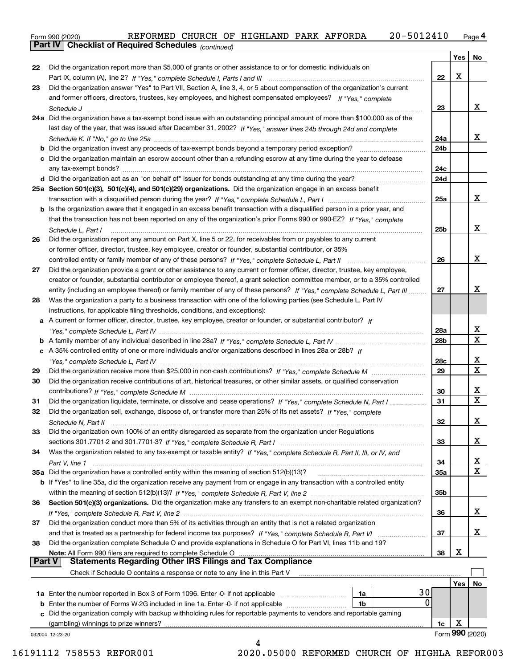orm 990 (2020) REFORMED CHURCH OF HIGHLAND PARK AFFORDA 20-5 012 410 <sub>Page</sub> 4<br><mark>Part IV | Checklist of Required Schedules</mark> <sub>(continued)</sub> Form 990 (2020) REFORMED CHURCH OF HIGHLAND PARK AFFORDA 2 0-5 0 1 2 4 1 0 Page

|        |                                                                                                                              |     | Yes     | No              |
|--------|------------------------------------------------------------------------------------------------------------------------------|-----|---------|-----------------|
| 22     | Did the organization report more than \$5,000 of grants or other assistance to or for domestic individuals on                |     |         |                 |
|        |                                                                                                                              | 22  | X       |                 |
| 23     | Did the organization answer "Yes" to Part VII, Section A, line 3, 4, or 5 about compensation of the organization's current   |     |         |                 |
|        | and former officers, directors, trustees, key employees, and highest compensated employees? If "Yes," complete               |     |         |                 |
|        |                                                                                                                              | 23  |         | x               |
|        | 24a Did the organization have a tax-exempt bond issue with an outstanding principal amount of more than \$100,000 as of the  |     |         |                 |
|        | last day of the year, that was issued after December 31, 2002? If "Yes," answer lines 24b through 24d and complete           |     |         |                 |
|        |                                                                                                                              | 24a |         | x               |
|        |                                                                                                                              | 24b |         |                 |
|        | c Did the organization maintain an escrow account other than a refunding escrow at any time during the year to defease       | 24c |         |                 |
|        |                                                                                                                              | 24d |         |                 |
|        | 25a Section 501(c)(3), 501(c)(4), and 501(c)(29) organizations. Did the organization engage in an excess benefit             |     |         |                 |
|        |                                                                                                                              | 25a |         | x               |
|        | b Is the organization aware that it engaged in an excess benefit transaction with a disqualified person in a prior year, and |     |         |                 |
|        | that the transaction has not been reported on any of the organization's prior Forms 990 or 990-EZ? If "Yes," complete        |     |         |                 |
|        | Schedule L, Part I                                                                                                           | 25b |         | x               |
| 26     | Did the organization report any amount on Part X, line 5 or 22, for receivables from or payables to any current              |     |         |                 |
|        | or former officer, director, trustee, key employee, creator or founder, substantial contributor, or 35%                      |     |         |                 |
|        |                                                                                                                              | 26  |         | x               |
| 27     | Did the organization provide a grant or other assistance to any current or former officer, director, trustee, key employee,  |     |         |                 |
|        | creator or founder, substantial contributor or employee thereof, a grant selection committee member, or to a 35% controlled  |     |         |                 |
|        | entity (including an employee thereof) or family member of any of these persons? If "Yes," complete Schedule L, Part III     | 27  |         | x               |
| 28     | Was the organization a party to a business transaction with one of the following parties (see Schedule L, Part IV            |     |         |                 |
|        | instructions, for applicable filing thresholds, conditions, and exceptions):                                                 |     |         |                 |
|        | a A current or former officer, director, trustee, key employee, creator or founder, or substantial contributor? If           | 28a |         | х               |
|        |                                                                                                                              | 28b |         | $\mathbf X$     |
|        | c A 35% controlled entity of one or more individuals and/or organizations described in lines 28a or 28b? If                  |     |         |                 |
|        |                                                                                                                              | 28c |         | X               |
| 29     |                                                                                                                              | 29  |         | $\mathbf X$     |
| 30     | Did the organization receive contributions of art, historical treasures, or other similar assets, or qualified conservation  |     |         |                 |
|        |                                                                                                                              | 30  |         | X               |
| 31     | Did the organization liquidate, terminate, or dissolve and cease operations? If "Yes," complete Schedule N, Part I           | 31  |         | X               |
| 32     | Did the organization sell, exchange, dispose of, or transfer more than 25% of its net assets? If "Yes," complete             |     |         |                 |
|        |                                                                                                                              | 32  |         | х               |
| 33     | Did the organization own 100% of an entity disregarded as separate from the organization under Regulations                   |     |         |                 |
|        |                                                                                                                              | 33  |         | х               |
| 34     | Was the organization related to any tax-exempt or taxable entity? If "Yes," complete Schedule R, Part II, III, or IV, and    |     |         |                 |
|        |                                                                                                                              | 34  |         | x               |
|        | 35a Did the organization have a controlled entity within the meaning of section 512(b)(13)?                                  | 35a |         | $\mathbf X$     |
|        | b If "Yes" to line 35a, did the organization receive any payment from or engage in any transaction with a controlled entity  |     |         |                 |
| 36     | Section 501(c)(3) organizations. Did the organization make any transfers to an exempt non-charitable related organization?   | 35b |         |                 |
|        |                                                                                                                              | 36  |         | х               |
| 37     | Did the organization conduct more than 5% of its activities through an entity that is not a related organization             |     |         |                 |
|        |                                                                                                                              | 37  |         | х               |
| 38     | Did the organization complete Schedule O and provide explanations in Schedule O for Part VI, lines 11b and 19?               |     |         |                 |
|        |                                                                                                                              | 38  | х       |                 |
| Part V |                                                                                                                              |     |         |                 |
|        | Check if Schedule O contains a response or note to any line in this Part V                                                   |     |         |                 |
|        |                                                                                                                              |     | Yes $ $ | No              |
|        | 30<br>1a Enter the number reported in Box 3 of Form 1096. Enter -0- if not applicable<br>1a                                  |     |         |                 |
|        | 0<br>1b                                                                                                                      |     |         |                 |
|        | c Did the organization comply with backup withholding rules for reportable payments to vendors and reportable gaming         |     |         |                 |
|        |                                                                                                                              | 1c  | х       | Form 990 (2020) |
|        | 032004 12-23-20<br>4                                                                                                         |     |         |                 |

 <sup>16191112 758553</sup> REFOR001 2020.05000 REFORMED CHURCH OF HIGHLA REFOR003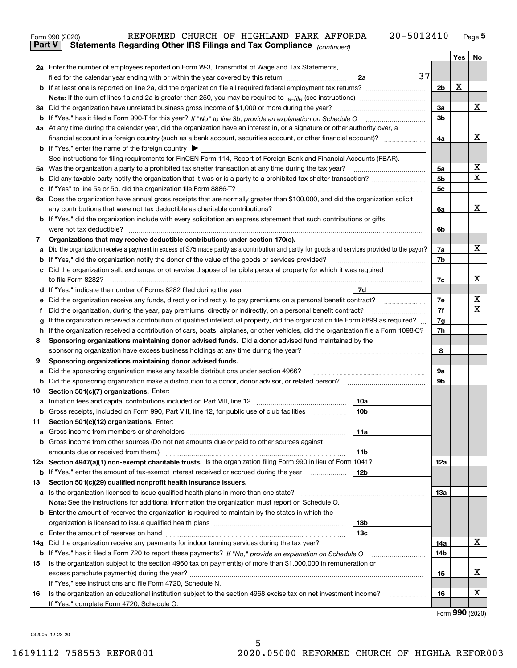|               | 20-5012410<br>REFORMED CHURCH OF HIGHLAND PARK AFFORDA<br>Form 990 (2020)                                                                       |     |     | $Page$ <sup>5</sup>  |  |  |  |  |  |  |  |  |
|---------------|-------------------------------------------------------------------------------------------------------------------------------------------------|-----|-----|----------------------|--|--|--|--|--|--|--|--|
| <b>Part V</b> | Statements Regarding Other IRS Filings and Tax Compliance (continued)                                                                           |     |     |                      |  |  |  |  |  |  |  |  |
|               |                                                                                                                                                 |     | Yes | No                   |  |  |  |  |  |  |  |  |
|               | 2a Enter the number of employees reported on Form W-3, Transmittal of Wage and Tax Statements,                                                  |     |     |                      |  |  |  |  |  |  |  |  |
|               | 37<br>filed for the calendar year ending with or within the year covered by this return<br>2a                                                   |     | х   |                      |  |  |  |  |  |  |  |  |
|               |                                                                                                                                                 |     |     |                      |  |  |  |  |  |  |  |  |
|               |                                                                                                                                                 |     |     |                      |  |  |  |  |  |  |  |  |
|               | 3a Did the organization have unrelated business gross income of \$1,000 or more during the year?                                                |     |     |                      |  |  |  |  |  |  |  |  |
|               |                                                                                                                                                 |     |     |                      |  |  |  |  |  |  |  |  |
|               | 4a At any time during the calendar year, did the organization have an interest in, or a signature or other authority over, a                    |     |     |                      |  |  |  |  |  |  |  |  |
|               |                                                                                                                                                 |     |     |                      |  |  |  |  |  |  |  |  |
|               | <b>b</b> If "Yes," enter the name of the foreign country $\blacktriangleright$                                                                  |     |     |                      |  |  |  |  |  |  |  |  |
|               | See instructions for filing requirements for FinCEN Form 114, Report of Foreign Bank and Financial Accounts (FBAR).                             |     |     |                      |  |  |  |  |  |  |  |  |
|               | 5a Was the organization a party to a prohibited tax shelter transaction at any time during the tax year?                                        | 5a  |     | x                    |  |  |  |  |  |  |  |  |
| b             |                                                                                                                                                 | 5b  |     | X                    |  |  |  |  |  |  |  |  |
| c             |                                                                                                                                                 | 5c  |     |                      |  |  |  |  |  |  |  |  |
|               | 6a Does the organization have annual gross receipts that are normally greater than \$100,000, and did the organization solicit                  |     |     |                      |  |  |  |  |  |  |  |  |
|               | any contributions that were not tax deductible as charitable contributions?                                                                     | 6a  |     | x                    |  |  |  |  |  |  |  |  |
|               | <b>b</b> If "Yes," did the organization include with every solicitation an express statement that such contributions or gifts                   |     |     |                      |  |  |  |  |  |  |  |  |
|               | were not tax deductible?                                                                                                                        | 6b  |     |                      |  |  |  |  |  |  |  |  |
| 7             | Organizations that may receive deductible contributions under section 170(c).                                                                   |     |     |                      |  |  |  |  |  |  |  |  |
| a             | Did the organization receive a payment in excess of \$75 made partly as a contribution and partly for goods and services provided to the payor? | 7a  |     | х                    |  |  |  |  |  |  |  |  |
|               | <b>b</b> If "Yes," did the organization notify the donor of the value of the goods or services provided?                                        | 7b  |     |                      |  |  |  |  |  |  |  |  |
|               | c Did the organization sell, exchange, or otherwise dispose of tangible personal property for which it was required                             |     |     |                      |  |  |  |  |  |  |  |  |
|               |                                                                                                                                                 | 7c  |     | х                    |  |  |  |  |  |  |  |  |
|               | 7d                                                                                                                                              |     |     |                      |  |  |  |  |  |  |  |  |
| е             | Did the organization receive any funds, directly or indirectly, to pay premiums on a personal benefit contract?                                 | 7е  |     | х                    |  |  |  |  |  |  |  |  |
| f             | Did the organization, during the year, pay premiums, directly or indirectly, on a personal benefit contract?                                    | 7f  |     | х                    |  |  |  |  |  |  |  |  |
| g             | If the organization received a contribution of qualified intellectual property, did the organization file Form 8899 as required?                | 7g  |     |                      |  |  |  |  |  |  |  |  |
| h.            | If the organization received a contribution of cars, boats, airplanes, or other vehicles, did the organization file a Form 1098-C?              |     |     |                      |  |  |  |  |  |  |  |  |
| 8             | Sponsoring organizations maintaining donor advised funds. Did a donor advised fund maintained by the                                            |     |     |                      |  |  |  |  |  |  |  |  |
|               | sponsoring organization have excess business holdings at any time during the year?                                                              | 8   |     |                      |  |  |  |  |  |  |  |  |
| 9             | Sponsoring organizations maintaining donor advised funds.                                                                                       |     |     |                      |  |  |  |  |  |  |  |  |
| а             | Did the sponsoring organization make any taxable distributions under section 4966?                                                              | 9а  |     |                      |  |  |  |  |  |  |  |  |
| b             | Did the sponsoring organization make a distribution to a donor, donor advisor, or related person?                                               | 9b  |     |                      |  |  |  |  |  |  |  |  |
| 10            | Section 501(c)(7) organizations. Enter:                                                                                                         |     |     |                      |  |  |  |  |  |  |  |  |
|               | 10a                                                                                                                                             |     |     |                      |  |  |  |  |  |  |  |  |
|               | 10b <br>Gross receipts, included on Form 990, Part VIII, line 12, for public use of club facilities                                             |     |     |                      |  |  |  |  |  |  |  |  |
| 11            | Section 501(c)(12) organizations. Enter:                                                                                                        |     |     |                      |  |  |  |  |  |  |  |  |
| a             | Gross income from members or shareholders<br>11a                                                                                                |     |     |                      |  |  |  |  |  |  |  |  |
|               | b Gross income from other sources (Do not net amounts due or paid to other sources against                                                      |     |     |                      |  |  |  |  |  |  |  |  |
|               | 11b                                                                                                                                             |     |     |                      |  |  |  |  |  |  |  |  |
|               | 12a Section 4947(a)(1) non-exempt charitable trusts. Is the organization filing Form 990 in lieu of Form 1041?                                  | 12a |     |                      |  |  |  |  |  |  |  |  |
|               | 12b<br><b>b</b> If "Yes," enter the amount of tax-exempt interest received or accrued during the year                                           |     |     |                      |  |  |  |  |  |  |  |  |
| 13            | Section 501(c)(29) qualified nonprofit health insurance issuers.                                                                                |     |     |                      |  |  |  |  |  |  |  |  |
| a             | Is the organization licensed to issue qualified health plans in more than one state?                                                            | 13а |     |                      |  |  |  |  |  |  |  |  |
|               | Note: See the instructions for additional information the organization must report on Schedule O.                                               |     |     |                      |  |  |  |  |  |  |  |  |
|               | <b>b</b> Enter the amount of reserves the organization is required to maintain by the states in which the                                       |     |     |                      |  |  |  |  |  |  |  |  |
|               | 13b<br>13с                                                                                                                                      |     |     |                      |  |  |  |  |  |  |  |  |
|               | 14a Did the organization receive any payments for indoor tanning services during the tax year?                                                  | 14a |     | х                    |  |  |  |  |  |  |  |  |
|               | <b>b</b> If "Yes," has it filed a Form 720 to report these payments? If "No," provide an explanation on Schedule O                              | 14b |     |                      |  |  |  |  |  |  |  |  |
| 15            | Is the organization subject to the section 4960 tax on payment(s) of more than \$1,000,000 in remuneration or                                   |     |     |                      |  |  |  |  |  |  |  |  |
|               |                                                                                                                                                 | 15  |     | x                    |  |  |  |  |  |  |  |  |
|               | If "Yes," see instructions and file Form 4720, Schedule N.                                                                                      |     |     |                      |  |  |  |  |  |  |  |  |
| 16            | Is the organization an educational institution subject to the section 4968 excise tax on net investment income?                                 | 16  |     | x                    |  |  |  |  |  |  |  |  |
|               | If "Yes," complete Form 4720, Schedule O.                                                                                                       |     |     |                      |  |  |  |  |  |  |  |  |
|               |                                                                                                                                                 |     |     | $000 \; \text{mass}$ |  |  |  |  |  |  |  |  |

Form (2020) **990**

032005 12-23-20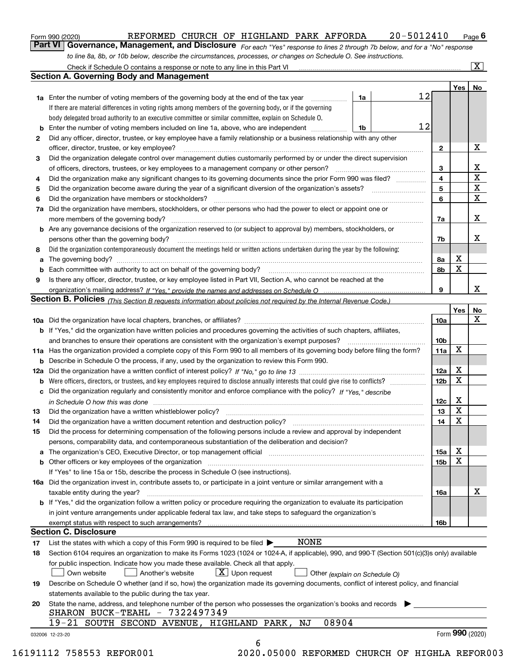|  | Form 990 (2020) |
|--|-----------------|
|  |                 |

## Form 990 (2020) REFORMED CHURCH OF HIGHLAND PARK AFFORDA 2 0-5 0 1 2 4 1 0 Page

orm 990 (2020) REFORMED CHURCH OF HIGHLAND PARK AFFORDA 20-5 01 2 4 10 <sub>Page</sub> 6<br>**Part VI** | **Governance, Management, and Disclosure** <sub>For each "Yes" response to lines 2 through 7b below, </sub> *to line 8a, 8b, or 10b below, describe the circumstances, processes, or changes on Schedule O. See instructions.*

|    |                                                                                                                                                                               |    | 12 |                 | Yes   No |             |
|----|-------------------------------------------------------------------------------------------------------------------------------------------------------------------------------|----|----|-----------------|----------|-------------|
|    | <b>1a</b> Enter the number of voting members of the governing body at the end of the tax year <i>manumum</i>                                                                  | 1a |    |                 |          |             |
|    | If there are material differences in voting rights among members of the governing body, or if the governing                                                                   |    |    |                 |          |             |
|    | body delegated broad authority to an executive committee or similar committee, explain on Schedule O.                                                                         |    |    |                 |          |             |
|    | <b>b</b> Enter the number of voting members included on line 1a, above, who are independent <i>manumum</i>                                                                    | 1b | 12 |                 |          |             |
| 2  | Did any officer, director, trustee, or key employee have a family relationship or a business relationship with any other                                                      |    |    |                 |          |             |
|    | officer, director, trustee, or key employee?                                                                                                                                  |    |    | $\mathbf{2}$    |          | X           |
| 3  | Did the organization delegate control over management duties customarily performed by or under the direct supervision                                                         |    |    |                 |          |             |
|    |                                                                                                                                                                               |    |    | 3               |          | X           |
| 4  | Did the organization make any significant changes to its governing documents since the prior Form 990 was filed?                                                              |    |    | $\overline{4}$  |          | $\mathbf X$ |
| 5  |                                                                                                                                                                               |    |    | 5               |          | $\mathbf X$ |
| 6  |                                                                                                                                                                               |    |    | 6               |          | $\mathbf X$ |
| 7a | Did the organization have members, stockholders, or other persons who had the power to elect or appoint one or                                                                |    |    |                 |          |             |
|    |                                                                                                                                                                               |    |    | 7a              |          | x           |
|    | <b>b</b> Are any governance decisions of the organization reserved to (or subject to approval by) members, stockholders, or                                                   |    |    |                 |          |             |
|    | persons other than the governing body?                                                                                                                                        |    |    | 7b              |          | х           |
| 8  | Did the organization contemporaneously document the meetings held or written actions undertaken during the year by the following:                                             |    |    |                 |          |             |
| a  |                                                                                                                                                                               |    |    | 8a              | X        |             |
|    |                                                                                                                                                                               |    |    | 8b              | X        |             |
| 9  | Is there any officer, director, trustee, or key employee listed in Part VII, Section A, who cannot be reached at the                                                          |    |    |                 |          |             |
|    |                                                                                                                                                                               |    |    | 9               |          | x           |
|    | Section B. Policies (This Section B requests information about policies not required by the Internal Revenue Code.)                                                           |    |    |                 |          |             |
|    |                                                                                                                                                                               |    |    |                 | Yes      | No          |
|    |                                                                                                                                                                               |    |    | 10a             |          | X           |
|    | <b>b</b> If "Yes," did the organization have written policies and procedures governing the activities of such chapters, affiliates,                                           |    |    |                 |          |             |
|    |                                                                                                                                                                               |    |    | 10 <sub>b</sub> |          |             |
|    | 11a Has the organization provided a complete copy of this Form 990 to all members of its governing body before filing the form?                                               |    |    | 11a             | X        |             |
|    | <b>b</b> Describe in Schedule O the process, if any, used by the organization to review this Form 990.                                                                        |    |    |                 |          |             |
|    |                                                                                                                                                                               |    |    | 12a             | X        |             |
| b  |                                                                                                                                                                               |    |    | 12 <sub>b</sub> | X        |             |
|    | c Did the organization regularly and consistently monitor and enforce compliance with the policy? If "Yes." describe                                                          |    |    |                 |          |             |
|    | in Schedule O how this was done manufactured and continuum control of the Schedule O how this was done manufactured and continuum control of the Schedule O how this was done |    |    | 12c             | X        |             |
| 13 |                                                                                                                                                                               |    |    | 13              | X        |             |
| 14 | Did the organization have a written document retention and destruction policy? manufactured and the organization have a written document retention and destruction policy?    |    |    | 14              | X        |             |
| 15 | Did the process for determining compensation of the following persons include a review and approval by independent                                                            |    |    |                 |          |             |
|    | persons, comparability data, and contemporaneous substantiation of the deliberation and decision?                                                                             |    |    |                 |          |             |
|    |                                                                                                                                                                               |    |    | 15a             | X        |             |
|    |                                                                                                                                                                               |    |    | 15 <sub>b</sub> | X        |             |
|    | If "Yes" to line 15a or 15b, describe the process in Schedule O (see instructions).                                                                                           |    |    |                 |          |             |
|    | 16a Did the organization invest in, contribute assets to, or participate in a joint venture or similar arrangement with a                                                     |    |    |                 |          |             |
|    | taxable entity during the year?                                                                                                                                               |    |    | 16a             |          | X           |
|    | <b>b</b> If "Yes," did the organization follow a written policy or procedure requiring the organization to evaluate its participation                                         |    |    |                 |          |             |
|    | in joint venture arrangements under applicable federal tax law, and take steps to safequard the organization's                                                                |    |    |                 |          |             |
|    | exempt status with respect to such arrangements?                                                                                                                              |    |    | 16 <sub>b</sub> |          |             |
|    | <b>Section C. Disclosure</b>                                                                                                                                                  |    |    |                 |          |             |
| 17 | <b>NONE</b><br>List the states with which a copy of this Form 990 is required to be filed $\blacktriangleright$                                                               |    |    |                 |          |             |
| 18 | Section 6104 requires an organization to make its Forms 1023 (1024 or 1024-A, if applicable), 990, and 990-T (Section 501(c)(3)s only) available                              |    |    |                 |          |             |
|    | for public inspection. Indicate how you made these available. Check all that apply.<br>$X$ Upon request<br>Another's website                                                  |    |    |                 |          |             |
|    | Own website<br>Other (explain on Schedule O)                                                                                                                                  |    |    |                 |          |             |
| 19 | Describe on Schedule O whether (and if so, how) the organization made its governing documents, conflict of interest policy, and financial                                     |    |    |                 |          |             |
|    | statements available to the public during the tax year.                                                                                                                       |    |    |                 |          |             |
| 20 | State the name, address, and telephone number of the person who possesses the organization's books and records                                                                |    |    |                 |          |             |
|    | SHARON BUCK-TEAHL - 7322497349<br>08904<br>19-21 SOUTH SECOND AVENUE, HIGHLAND PARK, NJ                                                                                       |    |    |                 |          |             |
|    |                                                                                                                                                                               |    |    |                 |          |             |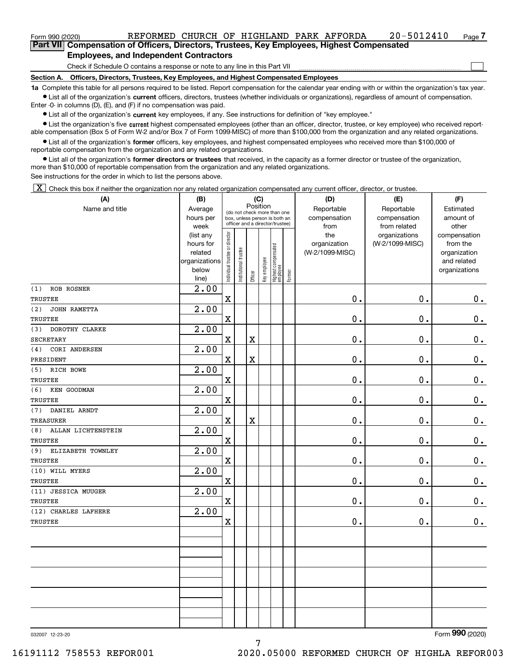## **Employees, and Independent Contractors**

Check if Schedule O contains a response or note to any line in this Part VII

**Section A. Officers, Directors, Trustees, Key Employees, and Highest Compensated Employees**

**1a**  Complete this table for all persons required to be listed. Report compensation for the calendar year ending with or within the organization's tax year. **•** List all of the organization's current officers, directors, trustees (whether individuals or organizations), regardless of amount of compensation.

Enter -0- in columns (D), (E), and (F) if no compensation was paid.

 $\bullet$  List all of the organization's  $\,$ current key employees, if any. See instructions for definition of "key employee."

**•** List the organization's five current highest compensated employees (other than an officer, director, trustee, or key employee) who received reportable compensation (Box 5 of Form W-2 and/or Box 7 of Form 1099-MISC) of more than \$100,000 from the organization and any related organizations.

**•** List all of the organization's former officers, key employees, and highest compensated employees who received more than \$100,000 of reportable compensation from the organization and any related organizations.

**former directors or trustees**  ¥ List all of the organization's that received, in the capacity as a former director or trustee of the organization, more than \$10,000 of reportable compensation from the organization and any related organizations.

See instructions for the order in which to list the persons above.

 $\boxed{\textbf{X}}$  Check this box if neither the organization nor any related organization compensated any current officer, director, or trustee.

| (A)                       | (B)                                                                  |                               |                      |                                                                                                             | (C)          |                                 |        | (D)                                    | (E)                                        | (F)                                                                      |
|---------------------------|----------------------------------------------------------------------|-------------------------------|----------------------|-------------------------------------------------------------------------------------------------------------|--------------|---------------------------------|--------|----------------------------------------|--------------------------------------------|--------------------------------------------------------------------------|
| Name and title            | Average<br>hours per<br>week                                         |                               |                      | Position<br>(do not check more than one<br>box, unless person is both an<br>officer and a director/trustee) |              |                                 |        | Reportable<br>compensation<br>from     | Reportable<br>compensation<br>from related | Estimated<br>amount of<br>other                                          |
|                           | (list any<br>hours for<br>related<br>organizations<br>below<br>line) | ndividual trustee or director | nstitutional trustee | Officer                                                                                                     | Key employee | Highest compensated<br>employee | Former | the<br>organization<br>(W-2/1099-MISC) | organizations<br>(W-2/1099-MISC)           | compensation<br>from the<br>organization<br>and related<br>organizations |
| <b>ROB ROSNER</b><br>(1)  | $\overline{2}$ .00                                                   |                               |                      |                                                                                                             |              |                                 |        |                                        |                                            |                                                                          |
| TRUSTEE                   |                                                                      | $\overline{\textbf{X}}$       |                      |                                                                                                             |              |                                 |        | 0.                                     | 0.                                         | $0_{.}$                                                                  |
| (2)<br>JOHN RAMETTA       | 2.00                                                                 |                               |                      |                                                                                                             |              |                                 |        |                                        |                                            |                                                                          |
| TRUSTEE                   |                                                                      | $\overline{\textbf{X}}$       |                      |                                                                                                             |              |                                 |        | 0.                                     | 0.                                         | $0_{.}$                                                                  |
| DOROTHY CLARKE<br>(3)     | 2.00                                                                 |                               |                      |                                                                                                             |              |                                 |        |                                        |                                            |                                                                          |
| <b>SECRETARY</b>          |                                                                      | $\mathbf X$                   |                      | $\overline{\textbf{X}}$                                                                                     |              |                                 |        | 0.                                     | $\mathbf 0$ .                              | $\mathbf 0$ .                                                            |
| (4)<br>CORI ANDERSEN      | 2.00                                                                 |                               |                      |                                                                                                             |              |                                 |        |                                        |                                            |                                                                          |
| PRESIDENT                 |                                                                      | $\mathbf x$                   |                      | $\overline{\textbf{X}}$                                                                                     |              |                                 |        | 0.                                     | 0.                                         | $\mathbf 0$ .                                                            |
| RICH BOWE<br>(5)          | 2.00                                                                 |                               |                      |                                                                                                             |              |                                 |        |                                        |                                            |                                                                          |
| TRUSTEE                   |                                                                      | $\overline{\textbf{X}}$       |                      |                                                                                                             |              |                                 |        | 0.                                     | 0.                                         | 0.                                                                       |
| (6)<br>KEN GOODMAN        | 2.00                                                                 |                               |                      |                                                                                                             |              |                                 |        |                                        |                                            |                                                                          |
| <b>TRUSTEE</b>            |                                                                      | $\mathbf X$                   |                      |                                                                                                             |              |                                 |        | 0.                                     | 0.                                         | $\mathbf 0$ .                                                            |
| DANIEL ARNDT<br>(7)       | 2.00                                                                 |                               |                      |                                                                                                             |              |                                 |        |                                        |                                            |                                                                          |
| <b>TREASURER</b>          |                                                                      | $\mathbf X$                   |                      | $\overline{\textbf{X}}$                                                                                     |              |                                 |        | 0.                                     | $\mathbf 0$ .                              | $\mathbf 0$ .                                                            |
| (8)<br>ALLAN LICHTENSTEIN | 2.00                                                                 |                               |                      |                                                                                                             |              |                                 |        |                                        |                                            |                                                                          |
| <b>TRUSTEE</b>            |                                                                      | $\mathbf x$                   |                      |                                                                                                             |              |                                 |        | 0.                                     | 0.                                         | $\mathbf 0$ .                                                            |
| ELIZABETH TOWNLEY<br>(9)  | 2.00                                                                 |                               |                      |                                                                                                             |              |                                 |        |                                        |                                            |                                                                          |
| TRUSTEE                   |                                                                      | $\mathbf x$                   |                      |                                                                                                             |              |                                 |        | 0.                                     | 0.                                         | 0.                                                                       |
| (10) WILL MYERS           | 2.00                                                                 |                               |                      |                                                                                                             |              |                                 |        |                                        |                                            |                                                                          |
| TRUSTEE                   |                                                                      | $\overline{\textbf{X}}$       |                      |                                                                                                             |              |                                 |        | 0.                                     | 0.                                         | $0_{.}$                                                                  |
| (11) JESSICA MUUGER       | 2.00                                                                 |                               |                      |                                                                                                             |              |                                 |        |                                        |                                            |                                                                          |
| <b>TRUSTEE</b>            |                                                                      | $\mathbf x$                   |                      |                                                                                                             |              |                                 |        | 0.                                     | $\mathbf 0$ .                              | $\mathbf 0$ .                                                            |
| (12) CHARLES LAFHERE      | 2.00                                                                 |                               |                      |                                                                                                             |              |                                 |        |                                        |                                            |                                                                          |
| <b>TRUSTEE</b>            |                                                                      | $\mathbf x$                   |                      |                                                                                                             |              |                                 |        | 0.                                     | 0.                                         | $\mathbf 0$ .                                                            |
|                           |                                                                      |                               |                      |                                                                                                             |              |                                 |        |                                        |                                            |                                                                          |
|                           |                                                                      |                               |                      |                                                                                                             |              |                                 |        |                                        |                                            |                                                                          |
|                           |                                                                      |                               |                      |                                                                                                             |              |                                 |        |                                        |                                            |                                                                          |
|                           |                                                                      |                               |                      |                                                                                                             |              |                                 |        |                                        |                                            |                                                                          |
|                           |                                                                      |                               |                      |                                                                                                             |              |                                 |        |                                        |                                            |                                                                          |
|                           |                                                                      |                               |                      |                                                                                                             |              |                                 |        |                                        |                                            |                                                                          |
|                           |                                                                      |                               |                      |                                                                                                             |              |                                 |        |                                        |                                            |                                                                          |
|                           |                                                                      |                               |                      |                                                                                                             |              |                                 |        |                                        |                                            |                                                                          |

032007 12-23-20

Form (2020) **990**

 $\mathcal{L}^{\text{max}}$ 

7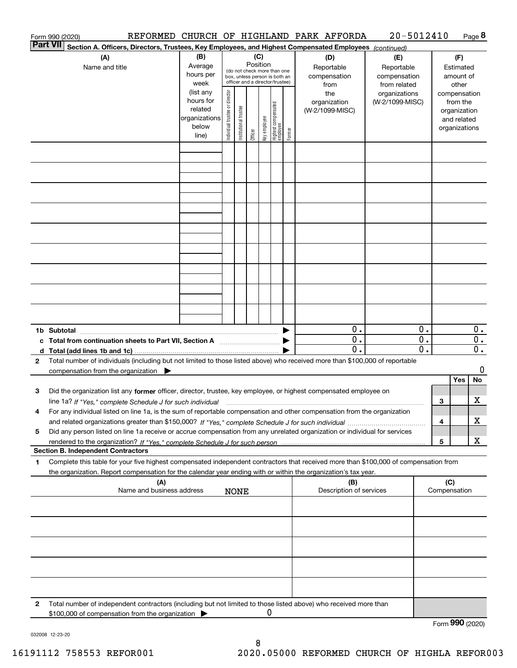|                 | REFORMED CHURCH OF HIGHLAND PARK AFFORDA<br>Form 990 (2020)                                                                                     |                          |                                |                       |          |              |                                   |        |                         | 20-5012410      |    |     |                 | Page 8 |
|-----------------|-------------------------------------------------------------------------------------------------------------------------------------------------|--------------------------|--------------------------------|-----------------------|----------|--------------|-----------------------------------|--------|-------------------------|-----------------|----|-----|-----------------|--------|
| <b>Part VII</b> | Section A. Officers, Directors, Trustees, Key Employees, and Highest Compensated Employees (continued)                                          |                          |                                |                       |          |              |                                   |        |                         |                 |    |     |                 |        |
|                 | (A)                                                                                                                                             | (B)                      |                                |                       |          | (C)          |                                   |        | (D)                     | (E)             |    |     | (F)             |        |
|                 | Name and title                                                                                                                                  | Average                  |                                |                       | Position |              | (do not check more than one       |        | Reportable              | Reportable      |    |     | Estimated       |        |
|                 |                                                                                                                                                 | hours per                |                                |                       |          |              | box, unless person is both an     |        | compensation            | compensation    |    |     | amount of       |        |
|                 |                                                                                                                                                 | week                     |                                |                       |          |              | officer and a director/trustee)   |        | from                    | from related    |    |     | other           |        |
|                 |                                                                                                                                                 | (list any                |                                |                       |          |              |                                   |        | the                     | organizations   |    |     | compensation    |        |
|                 |                                                                                                                                                 | hours for                |                                |                       |          |              |                                   |        | organization            | (W-2/1099-MISC) |    |     | from the        |        |
|                 |                                                                                                                                                 | related<br>organizations |                                |                       |          |              |                                   |        | (W-2/1099-MISC)         |                 |    |     | organization    |        |
|                 |                                                                                                                                                 | below                    |                                |                       |          |              |                                   |        |                         |                 |    |     | and related     |        |
|                 |                                                                                                                                                 | line)                    | Individual trustee or director | Institutional trustee | Officer  | Key employee | Highest compensated<br>  employee | Former |                         |                 |    |     | organizations   |        |
|                 |                                                                                                                                                 |                          |                                |                       |          |              |                                   |        |                         |                 |    |     |                 |        |
|                 |                                                                                                                                                 |                          |                                |                       |          |              |                                   |        |                         |                 |    |     |                 |        |
|                 |                                                                                                                                                 |                          |                                |                       |          |              |                                   |        |                         |                 |    |     |                 |        |
|                 |                                                                                                                                                 |                          |                                |                       |          |              |                                   |        |                         |                 |    |     |                 |        |
|                 |                                                                                                                                                 |                          |                                |                       |          |              |                                   |        |                         |                 |    |     |                 |        |
|                 |                                                                                                                                                 |                          |                                |                       |          |              |                                   |        |                         |                 |    |     |                 |        |
|                 |                                                                                                                                                 |                          |                                |                       |          |              |                                   |        |                         |                 |    |     |                 |        |
|                 |                                                                                                                                                 |                          |                                |                       |          |              |                                   |        |                         |                 |    |     |                 |        |
|                 |                                                                                                                                                 |                          |                                |                       |          |              |                                   |        |                         |                 |    |     |                 |        |
|                 |                                                                                                                                                 |                          |                                |                       |          |              |                                   |        |                         |                 |    |     |                 |        |
|                 |                                                                                                                                                 |                          |                                |                       |          |              |                                   |        |                         |                 |    |     |                 |        |
|                 |                                                                                                                                                 |                          |                                |                       |          |              |                                   |        |                         |                 |    |     |                 |        |
|                 |                                                                                                                                                 |                          |                                |                       |          |              |                                   |        |                         |                 |    |     |                 |        |
|                 |                                                                                                                                                 |                          |                                |                       |          |              |                                   |        |                         |                 |    |     |                 |        |
|                 |                                                                                                                                                 |                          |                                |                       |          |              |                                   |        |                         |                 |    |     |                 |        |
|                 |                                                                                                                                                 |                          |                                |                       |          |              |                                   |        |                         |                 |    |     |                 |        |
|                 |                                                                                                                                                 |                          |                                |                       |          |              |                                   |        |                         |                 |    |     |                 |        |
|                 |                                                                                                                                                 |                          |                                |                       |          |              |                                   |        |                         |                 |    |     |                 |        |
|                 |                                                                                                                                                 |                          |                                |                       |          |              |                                   |        | $0$ .                   |                 | 0. |     |                 | $0$ .  |
|                 | c Total from continuation sheets to Part VII, Section A manufactured by                                                                         |                          |                                |                       |          |              |                                   |        | 0.                      |                 | 0. |     |                 | 0.     |
|                 |                                                                                                                                                 |                          |                                |                       |          |              |                                   |        | 0.                      |                 | 0. |     |                 | $0$ .  |
| $\mathbf{2}$    | Total number of individuals (including but not limited to those listed above) who received more than \$100,000 of reportable                    |                          |                                |                       |          |              |                                   |        |                         |                 |    |     |                 |        |
|                 | compensation from the organization $\blacktriangleright$                                                                                        |                          |                                |                       |          |              |                                   |        |                         |                 |    |     |                 | 0      |
|                 |                                                                                                                                                 |                          |                                |                       |          |              |                                   |        |                         |                 |    |     | Yes             | No     |
| 3               | Did the organization list any former officer, director, trustee, key employee, or highest compensated employee on                               |                          |                                |                       |          |              |                                   |        |                         |                 |    |     |                 |        |
|                 | line 1a? If "Yes," complete Schedule J for such individual manufactured contained and the 1a? If "Yes," complete Schedule J for such individual |                          |                                |                       |          |              |                                   |        |                         |                 |    | 3   |                 | х      |
|                 | For any individual listed on line 1a, is the sum of reportable compensation and other compensation from the organization                        |                          |                                |                       |          |              |                                   |        |                         |                 |    |     |                 |        |
|                 |                                                                                                                                                 |                          |                                |                       |          |              |                                   |        |                         |                 |    | 4   |                 | X      |
| 5               | Did any person listed on line 1a receive or accrue compensation from any unrelated organization or individual for services                      |                          |                                |                       |          |              |                                   |        |                         |                 |    |     |                 |        |
|                 |                                                                                                                                                 |                          |                                |                       |          |              |                                   |        |                         |                 |    | 5   |                 | х      |
|                 | <b>Section B. Independent Contractors</b>                                                                                                       |                          |                                |                       |          |              |                                   |        |                         |                 |    |     |                 |        |
| 1               | Complete this table for your five highest compensated independent contractors that received more than \$100,000 of compensation from            |                          |                                |                       |          |              |                                   |        |                         |                 |    |     |                 |        |
|                 | the organization. Report compensation for the calendar year ending with or within the organization's tax year.                                  |                          |                                |                       |          |              |                                   |        |                         |                 |    |     |                 |        |
|                 | (A)                                                                                                                                             |                          |                                |                       |          |              |                                   |        | (B)                     |                 |    | (C) |                 |        |
|                 | Name and business address                                                                                                                       |                          |                                | <b>NONE</b>           |          |              |                                   |        | Description of services |                 |    |     | Compensation    |        |
|                 |                                                                                                                                                 |                          |                                |                       |          |              |                                   |        |                         |                 |    |     |                 |        |
|                 |                                                                                                                                                 |                          |                                |                       |          |              |                                   |        |                         |                 |    |     |                 |        |
|                 |                                                                                                                                                 |                          |                                |                       |          |              |                                   |        |                         |                 |    |     |                 |        |
|                 |                                                                                                                                                 |                          |                                |                       |          |              |                                   |        |                         |                 |    |     |                 |        |
|                 |                                                                                                                                                 |                          |                                |                       |          |              |                                   |        |                         |                 |    |     |                 |        |
|                 |                                                                                                                                                 |                          |                                |                       |          |              |                                   |        |                         |                 |    |     |                 |        |
|                 |                                                                                                                                                 |                          |                                |                       |          |              |                                   |        |                         |                 |    |     |                 |        |
|                 |                                                                                                                                                 |                          |                                |                       |          |              |                                   |        |                         |                 |    |     |                 |        |
|                 |                                                                                                                                                 |                          |                                |                       |          |              |                                   |        |                         |                 |    |     |                 |        |
|                 |                                                                                                                                                 |                          |                                |                       |          |              |                                   |        |                         |                 |    |     |                 |        |
| 2               | Total number of independent contractors (including but not limited to those listed above) who received more than                                |                          |                                |                       |          |              |                                   |        |                         |                 |    |     |                 |        |
|                 | \$100,000 of compensation from the organization                                                                                                 |                          |                                |                       |          | 0            |                                   |        |                         |                 |    |     |                 |        |
|                 |                                                                                                                                                 |                          |                                |                       |          |              |                                   |        |                         |                 |    |     | Form 990 (2020) |        |

032008 12-23-20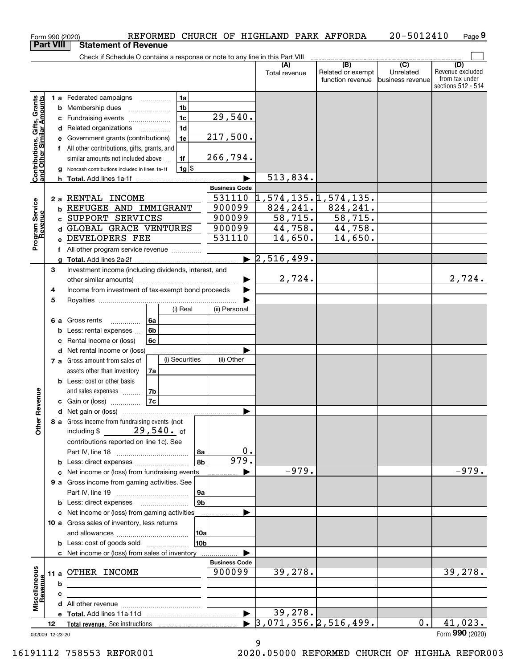|                                                           |    |   | REFORMED CHURCH OF HIGHLAND PARK AFFORDA<br>Form 990 (2020)                               |                      |                                             |                          | 20-5012410       | Page 9                  |
|-----------------------------------------------------------|----|---|-------------------------------------------------------------------------------------------|----------------------|---------------------------------------------|--------------------------|------------------|-------------------------|
| <b>Part VIII</b>                                          |    |   | <b>Statement of Revenue</b>                                                               |                      |                                             |                          |                  |                         |
|                                                           |    |   | Check if Schedule O contains a response or note to any line in this Part VIII             |                      |                                             |                          |                  |                         |
|                                                           |    |   |                                                                                           |                      | (A)<br>Total revenue                        | (B)<br>Related or exempt | (C)<br>Unrelated | (D)<br>Revenue excluded |
|                                                           |    |   |                                                                                           |                      |                                             | function revenue         | business revenue | from tax under          |
|                                                           |    |   |                                                                                           |                      |                                             |                          |                  | sections 512 - 514      |
|                                                           |    |   | 1a<br><b>1 a</b> Federated campaigns                                                      |                      |                                             |                          |                  |                         |
|                                                           |    |   | 1 <sub>b</sub><br><b>b</b> Membership dues                                                |                      |                                             |                          |                  |                         |
|                                                           |    |   | 1 <sub>c</sub><br>c Fundraising events                                                    | 29,540.              |                                             |                          |                  |                         |
|                                                           |    |   | 1 <sub>d</sub><br>d Related organizations                                                 |                      |                                             |                          |                  |                         |
|                                                           |    |   | 1e<br>e Government grants (contributions)                                                 | 217,500.             |                                             |                          |                  |                         |
|                                                           |    |   | f All other contributions, gifts, grants, and                                             |                      |                                             |                          |                  |                         |
|                                                           |    |   | similar amounts not included above<br>1f                                                  | 266,794.             |                                             |                          |                  |                         |
| Contributions, Gifts, Grants<br>and Other Similar Amounts |    |   | 1g <br>g Noncash contributions included in lines 1a-1f                                    |                      |                                             |                          |                  |                         |
|                                                           |    |   |                                                                                           |                      | 513,834.                                    |                          |                  |                         |
|                                                           |    |   |                                                                                           | <b>Business Code</b> |                                             |                          |                  |                         |
|                                                           |    |   | 2 a RENTAL INCOME                                                                         | 531110               | 1,574,135.1,574,135.                        |                          |                  |                         |
|                                                           |    |   | <b>b REFUGEE AND IMMIGRANT</b>                                                            | 900099               | 824, 241.                                   | 824, 241.                |                  |                         |
|                                                           |    |   | c SUPPORT SERVICES                                                                        | 900099               | 58, 715.                                    | 58, 715.                 |                  |                         |
|                                                           |    |   | d GLOBAL GRACE VENTURES                                                                   | 900099               | 44,758.                                     | 44,758.                  |                  |                         |
| Program Service<br>Revenue                                |    |   | e DEVELOPERS FEE                                                                          | 531110               | 14,650.                                     | 14,650.                  |                  |                         |
|                                                           |    |   | f All other program service revenue <i>minimum</i>                                        |                      |                                             |                          |                  |                         |
|                                                           |    |   |                                                                                           |                      | $\blacktriangleright$ 2,516,499.            |                          |                  |                         |
|                                                           | 3  |   | Investment income (including dividends, interest, and                                     |                      |                                             |                          |                  |                         |
|                                                           |    |   |                                                                                           | ▶                    | 2,724.                                      |                          |                  | 2,724.                  |
|                                                           | 4  |   | Income from investment of tax-exempt bond proceeds                                        |                      |                                             |                          |                  |                         |
|                                                           | 5  |   |                                                                                           |                      |                                             |                          |                  |                         |
|                                                           |    |   | (i) Real                                                                                  | (ii) Personal        |                                             |                          |                  |                         |
|                                                           |    |   | 6a<br>6 a Gross rents                                                                     |                      |                                             |                          |                  |                         |
|                                                           |    |   | 6 <sub>b</sub><br><b>b</b> Less: rental expenses                                          |                      |                                             |                          |                  |                         |
|                                                           |    |   | <b>6c</b><br>c Rental income or (loss)                                                    |                      |                                             |                          |                  |                         |
|                                                           |    |   | d Net rental income or (loss)                                                             |                      |                                             |                          |                  |                         |
|                                                           |    |   | (i) Securities<br>7 a Gross amount from sales of                                          | (ii) Other           |                                             |                          |                  |                         |
|                                                           |    |   | assets other than inventory<br>7a                                                         |                      |                                             |                          |                  |                         |
|                                                           |    |   | <b>b</b> Less: cost or other basis                                                        |                      |                                             |                          |                  |                         |
|                                                           |    |   | 7b<br>and sales expenses                                                                  |                      |                                             |                          |                  |                         |
| enueve                                                    |    |   | 7c<br>c Gain or (loss)                                                                    |                      |                                             |                          |                  |                         |
|                                                           |    |   |                                                                                           |                      |                                             |                          |                  |                         |
| Other R                                                   |    |   | 8 a Gross income from fundraising events (not                                             |                      |                                             |                          |                  |                         |
|                                                           |    |   | including \$ $29,540.$ of                                                                 |                      |                                             |                          |                  |                         |
|                                                           |    |   | contributions reported on line 1c). See                                                   |                      |                                             |                          |                  |                         |
|                                                           |    |   | 8a                                                                                        | 0.                   |                                             |                          |                  |                         |
|                                                           |    |   | 8 <sub>b</sub><br><b>b</b> Less: direct expenses <b>constants</b> b                       | 979.                 |                                             |                          |                  |                         |
|                                                           |    |   | c Net income or (loss) from fundraising events                                            |                      | $-979.$                                     |                          |                  | $-979.$                 |
|                                                           |    |   | 9 a Gross income from gaming activities. See                                              |                      |                                             |                          |                  |                         |
|                                                           |    |   | 9a                                                                                        |                      |                                             |                          |                  |                         |
|                                                           |    |   | 9 <sub>b</sub><br><b>b</b> Less: direct expenses <b>contained b</b> Less: direct expenses |                      |                                             |                          |                  |                         |
|                                                           |    |   | c Net income or (loss) from gaming activities                                             |                      |                                             |                          |                  |                         |
|                                                           |    |   | 10 a Gross sales of inventory, less returns                                               |                      |                                             |                          |                  |                         |
|                                                           |    |   | 10a                                                                                       |                      |                                             |                          |                  |                         |
|                                                           |    |   | 10bl                                                                                      |                      |                                             |                          |                  |                         |
|                                                           |    |   | c Net income or (loss) from sales of inventory                                            |                      |                                             |                          |                  |                         |
|                                                           |    |   |                                                                                           | <b>Business Code</b> |                                             |                          |                  |                         |
|                                                           |    |   | 11 a OTHER INCOME                                                                         | 900099               | 39,278.                                     |                          |                  | 39,278.                 |
|                                                           |    | b |                                                                                           |                      |                                             |                          |                  |                         |
| Miscellaneous<br>Revenue                                  |    | c |                                                                                           |                      |                                             |                          |                  |                         |
|                                                           |    |   |                                                                                           |                      |                                             |                          |                  |                         |
|                                                           |    |   |                                                                                           | ▶                    | 39,278.                                     |                          |                  |                         |
|                                                           | 12 |   |                                                                                           |                      | $\blacktriangleright$ 3,071,356. 2,516,499. |                          | $0$ .            | 41,023.                 |
| 032009 12-23-20                                           |    |   |                                                                                           |                      |                                             |                          |                  | Form 990 (2020)         |
|                                                           |    |   |                                                                                           |                      | 9                                           |                          |                  |                         |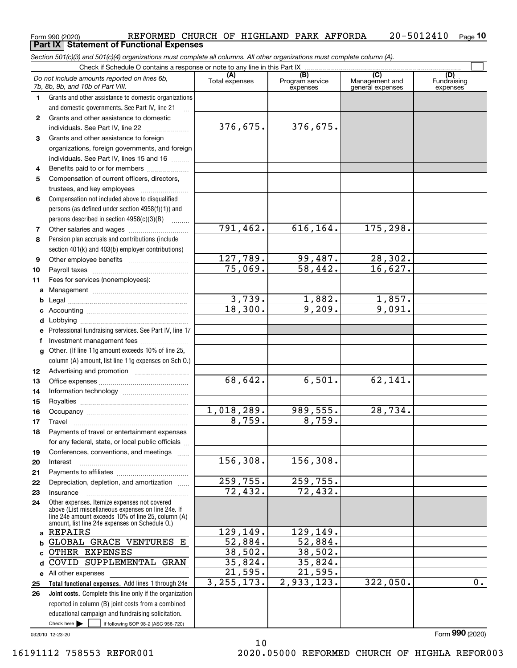#### $_{\rm Form}$ 990 (2020) REFORMED CHURCH OF HIGHLAND PARK AFFORDA 2<code>0-5012410</code> <sub>Page</sub> **10 Part IX Statement of Functional Expenses**

*Section 501(c)(3) and 501(c)(4) organizations must complete all columns. All other organizations must complete column (A).*

|              | Check if Schedule O contains a response or note to any line in this Part IX                              |                          |                                    |                                           |                                |  |  |
|--------------|----------------------------------------------------------------------------------------------------------|--------------------------|------------------------------------|-------------------------------------------|--------------------------------|--|--|
|              | Do not include amounts reported on lines 6b,<br>7b, 8b, 9b, and 10b of Part VIII.                        | Total expenses           | (B)<br>Program service<br>expenses | (C)<br>Management and<br>general expenses | (D)<br>Fundraising<br>expenses |  |  |
| 1.           | Grants and other assistance to domestic organizations                                                    |                          |                                    |                                           |                                |  |  |
|              | and domestic governments. See Part IV, line 21                                                           |                          |                                    |                                           |                                |  |  |
| $\mathbf{2}$ | Grants and other assistance to domestic                                                                  |                          |                                    |                                           |                                |  |  |
|              | individuals. See Part IV, line 22                                                                        | 376,675.                 | 376,675.                           |                                           |                                |  |  |
| 3            | Grants and other assistance to foreign                                                                   |                          |                                    |                                           |                                |  |  |
|              | organizations, foreign governments, and foreign                                                          |                          |                                    |                                           |                                |  |  |
|              | individuals. See Part IV, lines 15 and 16                                                                |                          |                                    |                                           |                                |  |  |
| 4            | Benefits paid to or for members                                                                          |                          |                                    |                                           |                                |  |  |
| 5            | Compensation of current officers, directors,                                                             |                          |                                    |                                           |                                |  |  |
|              | trustees, and key employees                                                                              |                          |                                    |                                           |                                |  |  |
| 6            | Compensation not included above to disqualified                                                          |                          |                                    |                                           |                                |  |  |
|              | persons (as defined under section 4958(f)(1)) and                                                        |                          |                                    |                                           |                                |  |  |
|              | persons described in section 4958(c)(3)(B)                                                               |                          |                                    |                                           |                                |  |  |
| 7            |                                                                                                          | 791,462.                 | 616,164.                           | 175,298.                                  |                                |  |  |
| 8            | Pension plan accruals and contributions (include                                                         |                          |                                    |                                           |                                |  |  |
|              | section 401(k) and 403(b) employer contributions)                                                        |                          |                                    |                                           |                                |  |  |
| 9            |                                                                                                          | 127,789.                 | <u>99,487.</u>                     | 28,302.                                   |                                |  |  |
| 10           |                                                                                                          | 75,069.                  | 58,442.                            | 16,627.                                   |                                |  |  |
| 11           | Fees for services (nonemployees):                                                                        |                          |                                    |                                           |                                |  |  |
| a            |                                                                                                          |                          |                                    |                                           |                                |  |  |
| b            |                                                                                                          | $\frac{3,739}{18,300}$ . | $\frac{1,882.}{9,209.}$            | $\frac{1,857.}{9,091.}$                   |                                |  |  |
| c            |                                                                                                          |                          |                                    |                                           |                                |  |  |
| d            |                                                                                                          |                          |                                    |                                           |                                |  |  |
|              | Professional fundraising services. See Part IV, line 17                                                  |                          |                                    |                                           |                                |  |  |
| f            | Investment management fees                                                                               |                          |                                    |                                           |                                |  |  |
| g            | Other. (If line 11g amount exceeds 10% of line 25,                                                       |                          |                                    |                                           |                                |  |  |
|              | column (A) amount, list line 11g expenses on Sch O.)                                                     |                          |                                    |                                           |                                |  |  |
| 12           |                                                                                                          | 68,642.                  | 6,501.                             | 62,141.                                   |                                |  |  |
| 13<br>14     |                                                                                                          |                          |                                    |                                           |                                |  |  |
| 15           |                                                                                                          |                          |                                    |                                           |                                |  |  |
| 16           |                                                                                                          | <u>1,018,289.</u>        | 989,555.                           | 28,734.                                   |                                |  |  |
| 17           | Travel                                                                                                   | 8,759.                   | 8,759.                             |                                           |                                |  |  |
| 18           | Payments of travel or entertainment expenses                                                             |                          |                                    |                                           |                                |  |  |
|              | for any federal, state, or local public officials                                                        |                          |                                    |                                           |                                |  |  |
| 19           | Conferences, conventions, and meetings                                                                   |                          |                                    |                                           |                                |  |  |
| 20           | Interest                                                                                                 | 156,308.                 | 156,308.                           |                                           |                                |  |  |
| 21           |                                                                                                          |                          |                                    |                                           |                                |  |  |
| 22           | Depreciation, depletion, and amortization                                                                | 259,755.                 | 259,755.                           |                                           |                                |  |  |
| 23           | Insurance                                                                                                | $\overline{72}$ , 432.   | $\overline{72, 432}$ .             |                                           |                                |  |  |
| 24           | Other expenses. Itemize expenses not covered                                                             |                          |                                    |                                           |                                |  |  |
|              | above (List miscellaneous expenses on line 24e. If<br>line 24e amount exceeds 10% of line 25, column (A) |                          |                                    |                                           |                                |  |  |
|              | amount, list line 24e expenses on Schedule O.)                                                           |                          |                                    |                                           |                                |  |  |
| a            | <b>REPAIRS</b>                                                                                           | 129,149.                 | 129,149.                           |                                           |                                |  |  |
| b            | GLOBAL GRACE VENTURES E                                                                                  | 52,884.                  | 52,884.                            |                                           |                                |  |  |
| C            | OTHER EXPENSES                                                                                           | 38,502.                  | 38,502.                            |                                           |                                |  |  |
| d            | COVID SUPPLEMENTAL GRAN                                                                                  | <u>35,824.</u>           | 35,824.                            |                                           |                                |  |  |
|              | e All other expenses                                                                                     | 21,595.                  | 21,595.                            |                                           |                                |  |  |
| 25           | Total functional expenses. Add lines 1 through 24e                                                       | 3, 255, 173.             | 2,933,123.                         | 322,050.                                  | $0$ .                          |  |  |
| 26           | Joint costs. Complete this line only if the organization                                                 |                          |                                    |                                           |                                |  |  |
|              | reported in column (B) joint costs from a combined                                                       |                          |                                    |                                           |                                |  |  |
|              | educational campaign and fundraising solicitation.<br>Check here $\blacktriangleright$                   |                          |                                    |                                           |                                |  |  |
|              | if following SOP 98-2 (ASC 958-720)                                                                      |                          |                                    |                                           |                                |  |  |

10

032010 12-23-20

Form (2020) **990**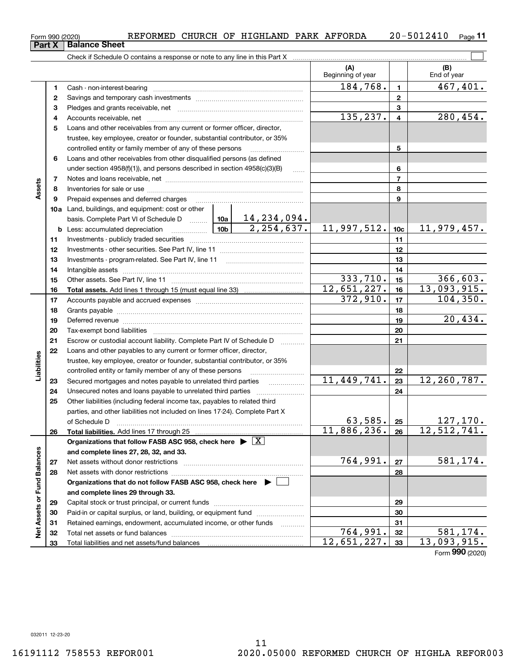#### Form 990 (2020) REFORMED CHURCH OF HIGHLAND PARK AFFORDA 20-5012410 <sub>Page</sub> 11 **Part X Balance Sheet**

Check if Schedule O contains a response or note to any line in this Part X

|                             |    |                                                                                                                              |  |              | (A)<br>Beginning of year    |                 | (B)<br>End of year |
|-----------------------------|----|------------------------------------------------------------------------------------------------------------------------------|--|--------------|-----------------------------|-----------------|--------------------|
|                             | 1  | Cash - non-interest-bearing                                                                                                  |  |              | 184,768.                    | $\blacksquare$  | 467,401.           |
|                             | 2  |                                                                                                                              |  |              | $\mathbf{2}$                |                 |                    |
|                             | 3  |                                                                                                                              |  | 3            |                             |                 |                    |
|                             | 4  |                                                                                                                              |  | 135,237.     | 4                           | 280,454.        |                    |
|                             | 5  | Loans and other receivables from any current or former officer, director,                                                    |  |              |                             |                 |                    |
|                             |    | trustee, key employee, creator or founder, substantial contributor, or 35%                                                   |  |              |                             |                 |                    |
|                             |    | controlled entity or family member of any of these persons                                                                   |  |              |                             | 5               |                    |
|                             | 6  | Loans and other receivables from other disqualified persons (as defined                                                      |  |              |                             |                 |                    |
|                             |    | under section $4958(f)(1)$ , and persons described in section $4958(c)(3)(B)$                                                |  | 1.1.1.1      |                             | 6               |                    |
|                             | 7  |                                                                                                                              |  |              |                             | 7               |                    |
| Assets                      | 8  |                                                                                                                              |  |              |                             | 8               |                    |
|                             | 9  | Prepaid expenses and deferred charges                                                                                        |  |              |                             | 9               |                    |
|                             |    | <b>10a</b> Land, buildings, and equipment: cost or other                                                                     |  |              |                             |                 |                    |
|                             |    | basis. Complete Part VI of Schedule D    10a   14, 234, 094.                                                                 |  |              |                             |                 |                    |
|                             | b  | Less: accumulated depreciation                                                                                               |  | 2, 254, 637. | 11,997,512.                 | 10 <sub>c</sub> | 11,979,457.        |
|                             | 11 |                                                                                                                              |  |              |                             | 11              |                    |
|                             | 12 |                                                                                                                              |  | 12           |                             |                 |                    |
|                             | 13 | Investments - program-related. See Part IV, line 11                                                                          |  | 13           |                             |                 |                    |
|                             | 14 |                                                                                                                              |  | 14           |                             |                 |                    |
|                             | 15 |                                                                                                                              |  |              | 333,710.                    | 15              | 366,603.           |
|                             | 16 |                                                                                                                              |  |              | $\overline{12}$ , 651, 227. | 16              | 13,093,915.        |
|                             | 17 |                                                                                                                              |  |              | 372,910.                    | 17              | 104, 350.          |
|                             | 18 |                                                                                                                              |  | 18           |                             |                 |                    |
|                             | 19 |                                                                                                                              |  | 19           | 20,434.                     |                 |                    |
|                             | 20 |                                                                                                                              |  |              |                             | 20              |                    |
|                             | 21 | Escrow or custodial account liability. Complete Part IV of Schedule D                                                        |  |              |                             | 21              |                    |
|                             | 22 | Loans and other payables to any current or former officer, director,                                                         |  |              |                             |                 |                    |
| Liabilities                 |    | trustee, key employee, creator or founder, substantial contributor, or 35%                                                   |  |              |                             |                 |                    |
|                             | 23 | controlled entity or family member of any of these persons<br>Secured mortgages and notes payable to unrelated third parties |  |              | 11,449,741.                 | 22<br>23        | 12,260,787.        |
|                             | 24 | Unsecured notes and loans payable to unrelated third parties                                                                 |  |              |                             | 24              |                    |
|                             | 25 | Other liabilities (including federal income tax, payables to related third                                                   |  |              |                             |                 |                    |
|                             |    | parties, and other liabilities not included on lines 17-24). Complete Part X                                                 |  |              |                             |                 |                    |
|                             |    | of Schedule D                                                                                                                |  |              | 63,585.                     | 25              | 127, 170.          |
|                             | 26 |                                                                                                                              |  |              | 11,886,236.                 | 26              | 12, 512, 741.      |
|                             |    | Organizations that follow FASB ASC 958, check here $\blacktriangleright \boxed{X}$                                           |  |              |                             |                 |                    |
|                             |    | and complete lines 27, 28, 32, and 33.                                                                                       |  |              |                             |                 |                    |
|                             | 27 | Net assets without donor restrictions                                                                                        |  |              | 764,991.                    | 27              | 581,174.           |
|                             | 28 |                                                                                                                              |  | 28           |                             |                 |                    |
|                             |    | Organizations that do not follow FASB ASC 958, check here $\blacktriangleright$                                              |  |              |                             |                 |                    |
|                             |    | and complete lines 29 through 33.                                                                                            |  |              |                             |                 |                    |
|                             | 29 |                                                                                                                              |  | 29           |                             |                 |                    |
|                             | 30 | Paid-in or capital surplus, or land, building, or equipment fund                                                             |  | 30           |                             |                 |                    |
| Net Assets or Fund Balances | 31 | Retained earnings, endowment, accumulated income, or other funds                                                             |  | .            |                             | 31              |                    |
|                             | 32 |                                                                                                                              |  |              | 764,991.                    | 32              | 581,174.           |
|                             | 33 |                                                                                                                              |  |              | 12,651,227.                 | 33              | 13,093,915.        |

Form (2020) **990**

 $\mathcal{L}^{\text{max}}$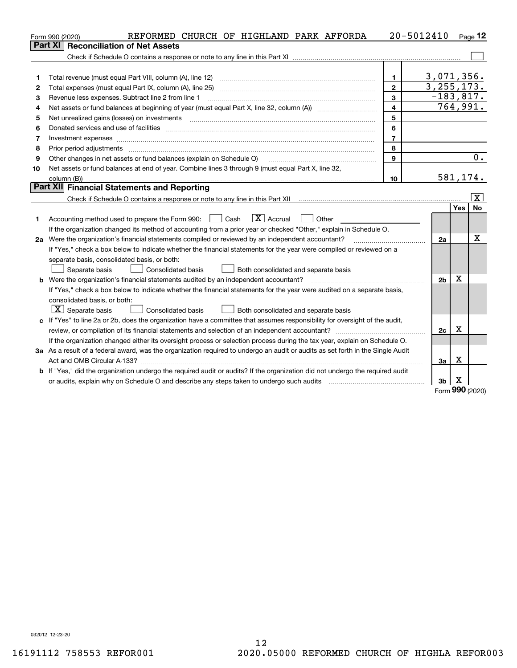|    | REFORMED CHURCH OF HIGHLAND PARK AFFORDA<br>Form 990 (2020)                                                                     |                | 20-5012410     |            | $Page$ 12               |
|----|---------------------------------------------------------------------------------------------------------------------------------|----------------|----------------|------------|-------------------------|
|    | <b>Reconciliation of Net Assets</b><br><b>Part XI</b>                                                                           |                |                |            |                         |
|    |                                                                                                                                 |                |                |            |                         |
|    |                                                                                                                                 |                |                |            |                         |
| 1  | Total revenue (must equal Part VIII, column (A), line 12)                                                                       | 1.             | 3,071,356.     |            |                         |
| 2  | Total expenses (must equal Part IX, column (A), line 25)                                                                        | $\overline{2}$ | 3, 255, 173.   |            |                         |
| 3  | Revenue less expenses. Subtract line 2 from line 1                                                                              | $\mathbf{3}$   | $-183,817.$    |            |                         |
| 4  |                                                                                                                                 | $\overline{4}$ | 764,991.       |            |                         |
| 5  | Net unrealized gains (losses) on investments                                                                                    | 5              |                |            |                         |
| 6  |                                                                                                                                 | 6              |                |            |                         |
| 7  | Investment expenses                                                                                                             | $\overline{7}$ |                |            |                         |
| 8  | Prior period adjustments                                                                                                        | 8              |                |            |                         |
| 9  | Other changes in net assets or fund balances (explain on Schedule O)                                                            | 9              |                |            | 0.                      |
| 10 | Net assets or fund balances at end of year. Combine lines 3 through 9 (must equal Part X, line 32,                              |                |                |            |                         |
|    |                                                                                                                                 | 10             | 581,174.       |            |                         |
|    | Part XII Financial Statements and Reporting                                                                                     |                |                |            |                         |
|    |                                                                                                                                 |                |                |            | $\overline{\mathbf{X}}$ |
|    |                                                                                                                                 |                |                | <b>Yes</b> | No                      |
| 1  | $\boxed{\text{X}}$ Accrual<br>Accounting method used to prepare the Form 990: <u>I</u> Cash<br>Other                            |                |                |            |                         |
|    | If the organization changed its method of accounting from a prior year or checked "Other," explain in Schedule O.               |                |                |            |                         |
|    | 2a Were the organization's financial statements compiled or reviewed by an independent accountant?                              |                | 2a             |            | х                       |
|    | If "Yes," check a box below to indicate whether the financial statements for the year were compiled or reviewed on a            |                |                |            |                         |
|    | separate basis, consolidated basis, or both:                                                                                    |                |                |            |                         |
|    | Separate basis<br>Consolidated basis<br>Both consolidated and separate basis                                                    |                |                |            |                         |
|    | <b>b</b> Were the organization's financial statements audited by an independent accountant?                                     |                | 2 <sub>b</sub> | X          |                         |
|    | If "Yes," check a box below to indicate whether the financial statements for the year were audited on a separate basis,         |                |                |            |                         |
|    | consolidated basis, or both:                                                                                                    |                |                |            |                         |
|    | $ \mathbf{X} $ Separate basis<br><b>Consolidated basis</b><br>Both consolidated and separate basis                              |                |                |            |                         |
|    | c If "Yes" to line 2a or 2b, does the organization have a committee that assumes responsibility for oversight of the audit,     |                |                |            |                         |
|    | review, or compilation of its financial statements and selection of an independent accountant?                                  |                | 2c             | Χ          |                         |
|    | If the organization changed either its oversight process or selection process during the tax year, explain on Schedule O.       |                |                |            |                         |
|    | 3a As a result of a federal award, was the organization required to undergo an audit or audits as set forth in the Single Audit |                |                |            |                         |
|    |                                                                                                                                 |                | За             | X          |                         |
|    | b If "Yes," did the organization undergo the required audit or audits? If the organization did not undergo the required audit   |                |                |            |                         |
|    | or audits, explain why on Schedule O and describe any steps taken to undergo such audits                                        |                | 3 <sub>b</sub> | х          |                         |

Form (2020) **990**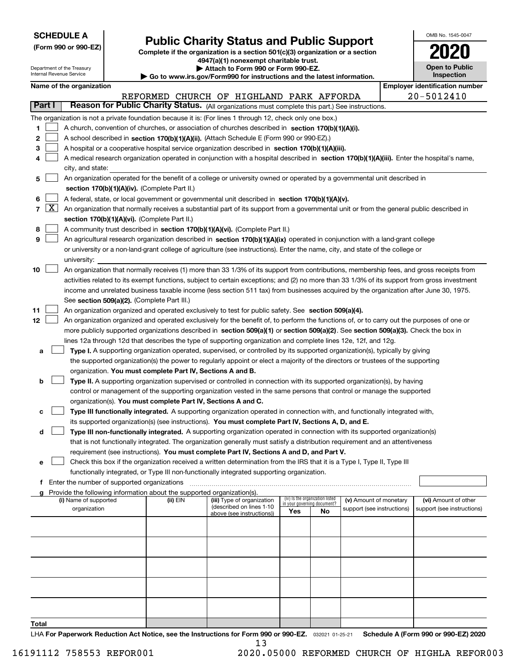| <b>SCHEDULE A</b> |  |  |  |  |  |  |
|-------------------|--|--|--|--|--|--|
|-------------------|--|--|--|--|--|--|

Department of the Treasury

**(Form 990 or 990-EZ)**

# **Public Charity Status and Public Support**

**Complete if the organization is a section 501(c)(3) organization or a section 4947(a)(1) nonexempt charitable trust. | Attach to Form 990 or Form 990-EZ.** 

| o www.irs.gov/Form990 for instructions and the latest information. |  |  |  |  |
|--------------------------------------------------------------------|--|--|--|--|
|                                                                    |  |  |  |  |

| OMB No 1545-0047                    |
|-------------------------------------|
| 2020                                |
| <b>Open to Public</b><br>Inspection |

 $\overline{\phantom{a}}$ 

|               | Internal Revenue Service                      |                                               |                                                                        | $\blacktriangleright$ Go to www.irs.gov/Form990 for instructions and the latest information.                                                               |     |                                                                |                            |            | <b>Inspection</b>                     |
|---------------|-----------------------------------------------|-----------------------------------------------|------------------------------------------------------------------------|------------------------------------------------------------------------------------------------------------------------------------------------------------|-----|----------------------------------------------------------------|----------------------------|------------|---------------------------------------|
|               | Name of the organization                      |                                               |                                                                        |                                                                                                                                                            |     |                                                                |                            |            | <b>Employer identification number</b> |
|               |                                               |                                               |                                                                        | REFORMED CHURCH OF HIGHLAND PARK AFFORDA                                                                                                                   |     |                                                                |                            | 20-5012410 |                                       |
| <b>Part I</b> |                                               |                                               |                                                                        | Reason for Public Charity Status. (All organizations must complete this part.) See instructions.                                                           |     |                                                                |                            |            |                                       |
|               |                                               |                                               |                                                                        | The organization is not a private foundation because it is: (For lines 1 through 12, check only one box.)                                                  |     |                                                                |                            |            |                                       |
| 1             |                                               |                                               |                                                                        | A church, convention of churches, or association of churches described in section 170(b)(1)(A)(i).                                                         |     |                                                                |                            |            |                                       |
| 2             |                                               |                                               |                                                                        | A school described in section 170(b)(1)(A)(ii). (Attach Schedule E (Form 990 or 990-EZ).)                                                                  |     |                                                                |                            |            |                                       |
| з             |                                               |                                               |                                                                        | A hospital or a cooperative hospital service organization described in section 170(b)(1)(A)(iii).                                                          |     |                                                                |                            |            |                                       |
| 4             |                                               |                                               |                                                                        | A medical research organization operated in conjunction with a hospital described in section 170(b)(1)(A)(iii). Enter the hospital's name,                 |     |                                                                |                            |            |                                       |
|               | city, and state:                              |                                               |                                                                        |                                                                                                                                                            |     |                                                                |                            |            |                                       |
| 5             |                                               |                                               |                                                                        | An organization operated for the benefit of a college or university owned or operated by a governmental unit described in                                  |     |                                                                |                            |            |                                       |
|               | section 170(b)(1)(A)(iv). (Complete Part II.) |                                               |                                                                        |                                                                                                                                                            |     |                                                                |                            |            |                                       |
| 6             |                                               |                                               |                                                                        | A federal, state, or local government or governmental unit described in section 170(b)(1)(A)(v).                                                           |     |                                                                |                            |            |                                       |
|               |                                               |                                               |                                                                        | $7 \overline{X}$ An organization that normally receives a substantial part of its support from a governmental unit or from the general public described in |     |                                                                |                            |            |                                       |
|               |                                               |                                               | section 170(b)(1)(A)(vi). (Complete Part II.)                          |                                                                                                                                                            |     |                                                                |                            |            |                                       |
| 8             |                                               |                                               |                                                                        | A community trust described in section 170(b)(1)(A)(vi). (Complete Part II.)                                                                               |     |                                                                |                            |            |                                       |
| 9             |                                               |                                               |                                                                        | An agricultural research organization described in section 170(b)(1)(A)(ix) operated in conjunction with a land-grant college                              |     |                                                                |                            |            |                                       |
|               |                                               |                                               |                                                                        | or university or a non-land-grant college of agriculture (see instructions). Enter the name, city, and state of the college or                             |     |                                                                |                            |            |                                       |
|               | university:                                   |                                               |                                                                        |                                                                                                                                                            |     |                                                                |                            |            |                                       |
| 10            |                                               |                                               |                                                                        | An organization that normally receives (1) more than 33 1/3% of its support from contributions, membership fees, and gross receipts from                   |     |                                                                |                            |            |                                       |
|               |                                               |                                               |                                                                        | activities related to its exempt functions, subject to certain exceptions; and (2) no more than 33 1/3% of its support from gross investment               |     |                                                                |                            |            |                                       |
|               |                                               |                                               |                                                                        | income and unrelated business taxable income (less section 511 tax) from businesses acquired by the organization after June 30, 1975.                      |     |                                                                |                            |            |                                       |
|               |                                               |                                               |                                                                        |                                                                                                                                                            |     |                                                                |                            |            |                                       |
|               |                                               |                                               | See section 509(a)(2). (Complete Part III.)                            |                                                                                                                                                            |     |                                                                |                            |            |                                       |
| 11            |                                               |                                               |                                                                        | An organization organized and operated exclusively to test for public safety. See section 509(a)(4).                                                       |     |                                                                |                            |            |                                       |
| 12            |                                               |                                               |                                                                        | An organization organized and operated exclusively for the benefit of, to perform the functions of, or to carry out the purposes of one or                 |     |                                                                |                            |            |                                       |
|               |                                               |                                               |                                                                        | more publicly supported organizations described in section 509(a)(1) or section 509(a)(2). See section 509(a)(3). Check the box in                         |     |                                                                |                            |            |                                       |
|               |                                               |                                               |                                                                        | lines 12a through 12d that describes the type of supporting organization and complete lines 12e, 12f, and 12g.                                             |     |                                                                |                            |            |                                       |
| а             |                                               |                                               |                                                                        | Type I. A supporting organization operated, supervised, or controlled by its supported organization(s), typically by giving                                |     |                                                                |                            |            |                                       |
|               |                                               |                                               |                                                                        | the supported organization(s) the power to regularly appoint or elect a majority of the directors or trustees of the supporting                            |     |                                                                |                            |            |                                       |
|               |                                               |                                               | organization. You must complete Part IV, Sections A and B.             |                                                                                                                                                            |     |                                                                |                            |            |                                       |
| b             |                                               |                                               |                                                                        | Type II. A supporting organization supervised or controlled in connection with its supported organization(s), by having                                    |     |                                                                |                            |            |                                       |
|               |                                               |                                               |                                                                        | control or management of the supporting organization vested in the same persons that control or manage the supported                                       |     |                                                                |                            |            |                                       |
|               |                                               |                                               | organization(s). You must complete Part IV, Sections A and C.          |                                                                                                                                                            |     |                                                                |                            |            |                                       |
| с             |                                               |                                               |                                                                        | Type III functionally integrated. A supporting organization operated in connection with, and functionally integrated with,                                 |     |                                                                |                            |            |                                       |
|               |                                               |                                               |                                                                        | its supported organization(s) (see instructions). You must complete Part IV, Sections A, D, and E.                                                         |     |                                                                |                            |            |                                       |
| d             |                                               |                                               |                                                                        | Type III non-functionally integrated. A supporting organization operated in connection with its supported organization(s)                                  |     |                                                                |                            |            |                                       |
|               |                                               |                                               |                                                                        | that is not functionally integrated. The organization generally must satisfy a distribution requirement and an attentiveness                               |     |                                                                |                            |            |                                       |
|               |                                               |                                               |                                                                        | requirement (see instructions). You must complete Part IV, Sections A and D, and Part V.                                                                   |     |                                                                |                            |            |                                       |
| е             |                                               |                                               |                                                                        | Check this box if the organization received a written determination from the IRS that it is a Type I, Type II, Type III                                    |     |                                                                |                            |            |                                       |
|               |                                               |                                               |                                                                        | functionally integrated, or Type III non-functionally integrated supporting organization.                                                                  |     |                                                                |                            |            |                                       |
|               |                                               | f Enter the number of supported organizations |                                                                        |                                                                                                                                                            |     |                                                                |                            |            |                                       |
|               |                                               |                                               | Provide the following information about the supported organization(s). |                                                                                                                                                            |     |                                                                |                            |            |                                       |
|               | (i) Name of supported                         |                                               | (ii) EIN                                                               | (iii) Type of organization<br>(described on lines 1-10                                                                                                     |     | (iv) Is the organization listed<br>in your governing document? | (v) Amount of monetary     |            | (vi) Amount of other                  |
|               | organization                                  |                                               |                                                                        | above (see instructions))                                                                                                                                  | Yes | <b>No</b>                                                      | support (see instructions) |            | support (see instructions)            |
|               |                                               |                                               |                                                                        |                                                                                                                                                            |     |                                                                |                            |            |                                       |
|               |                                               |                                               |                                                                        |                                                                                                                                                            |     |                                                                |                            |            |                                       |
|               |                                               |                                               |                                                                        |                                                                                                                                                            |     |                                                                |                            |            |                                       |
|               |                                               |                                               |                                                                        |                                                                                                                                                            |     |                                                                |                            |            |                                       |
|               |                                               |                                               |                                                                        |                                                                                                                                                            |     |                                                                |                            |            |                                       |
|               |                                               |                                               |                                                                        |                                                                                                                                                            |     |                                                                |                            |            |                                       |
|               |                                               |                                               |                                                                        |                                                                                                                                                            |     |                                                                |                            |            |                                       |
|               |                                               |                                               |                                                                        |                                                                                                                                                            |     |                                                                |                            |            |                                       |
|               |                                               |                                               |                                                                        |                                                                                                                                                            |     |                                                                |                            |            |                                       |
|               |                                               |                                               |                                                                        |                                                                                                                                                            |     |                                                                |                            |            |                                       |
| Total         |                                               |                                               |                                                                        |                                                                                                                                                            |     |                                                                |                            |            |                                       |

LHA For Paperwork Reduction Act Notice, see the Instructions for Form 990 or 990-EZ. <sub>032021</sub> o1-25-21 Schedule A (Form 990 or 990-EZ) 2020 13

16191112 758553 REFOR001 2020.05000 REFORMED CHURCH OF HIGHLA REFOR003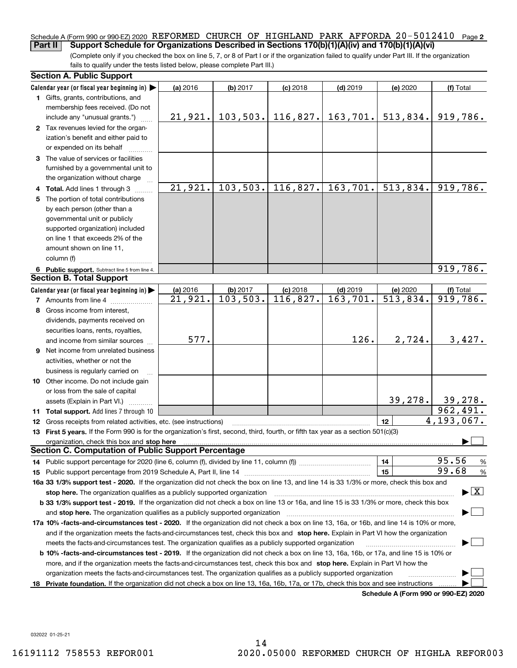## Schedule A (Form 990 or 990-EZ) 2020 REFORMED CHURCH OF HIGHLAND PARK AFFORDA 20-5012410 Page **2 Part II Support Schedule for Organizations Described in Sections 170(b)(1)(A)(iv) and 170(b)(1)(A)(vi)**

(Complete only if you checked the box on line 5, 7, or 8 of Part I or if the organization failed to qualify under Part III. If the organization fails to qualify under the tests listed below, please complete Part III.)

| <b>Section A. Public Support</b>                                                                                                                                                                                               |            |                        |            |                                 |                                      |                                          |
|--------------------------------------------------------------------------------------------------------------------------------------------------------------------------------------------------------------------------------|------------|------------------------|------------|---------------------------------|--------------------------------------|------------------------------------------|
| Calendar year (or fiscal year beginning in) $\blacktriangleright$                                                                                                                                                              | (a) 2016   | (b) 2017               | $(c)$ 2018 | $(d)$ 2019                      | (e) 2020                             | (f) Total                                |
| 1 Gifts, grants, contributions, and<br>membership fees received. (Do not                                                                                                                                                       |            |                        |            |                                 |                                      |                                          |
| include any "unusual grants.")                                                                                                                                                                                                 | 21,921.    |                        |            | $103, 503.$ 116, 827. 163, 701. | 513,834.                             | 919,786.                                 |
| 2 Tax revenues levied for the organ-<br>ization's benefit and either paid to<br>or expended on its behalf                                                                                                                      |            |                        |            |                                 |                                      |                                          |
| 3 The value of services or facilities<br>furnished by a governmental unit to                                                                                                                                                   |            |                        |            |                                 |                                      |                                          |
| the organization without charge                                                                                                                                                                                                | 21,921.    | 103,503.               | 116,827.   | 163,701.                        | 513,834.                             | 919,786.                                 |
| 4 Total. Add lines 1 through 3<br>5 The portion of total contributions                                                                                                                                                         |            |                        |            |                                 |                                      |                                          |
| by each person (other than a                                                                                                                                                                                                   |            |                        |            |                                 |                                      |                                          |
| governmental unit or publicly                                                                                                                                                                                                  |            |                        |            |                                 |                                      |                                          |
| supported organization) included                                                                                                                                                                                               |            |                        |            |                                 |                                      |                                          |
| on line 1 that exceeds 2% of the                                                                                                                                                                                               |            |                        |            |                                 |                                      |                                          |
| amount shown on line 11,                                                                                                                                                                                                       |            |                        |            |                                 |                                      |                                          |
| column (f)                                                                                                                                                                                                                     |            |                        |            |                                 |                                      |                                          |
| 6 Public support. Subtract line 5 from line 4.                                                                                                                                                                                 |            |                        |            |                                 |                                      | 919,786.                                 |
| <b>Section B. Total Support</b>                                                                                                                                                                                                |            |                        |            |                                 |                                      |                                          |
| Calendar year (or fiscal year beginning in)                                                                                                                                                                                    | $(a)$ 2016 | (b) 2017               | $(c)$ 2018 | $(d)$ 2019                      | (e) 2020                             | (f) Total                                |
| <b>7</b> Amounts from line 4                                                                                                                                                                                                   | 21,921.    | $\overline{103,503}$ . | 116,827.   | 163,701.                        | $\overline{513,834}$ .               | $\overline{919,786}$ .                   |
| 8 Gross income from interest,                                                                                                                                                                                                  |            |                        |            |                                 |                                      |                                          |
| dividends, payments received on                                                                                                                                                                                                |            |                        |            |                                 |                                      |                                          |
| securities loans, rents, royalties,                                                                                                                                                                                            |            |                        |            |                                 |                                      |                                          |
| and income from similar sources                                                                                                                                                                                                | 577.       |                        |            | 126.                            | 2,724.                               | 3,427.                                   |
| 9 Net income from unrelated business                                                                                                                                                                                           |            |                        |            |                                 |                                      |                                          |
| activities, whether or not the                                                                                                                                                                                                 |            |                        |            |                                 |                                      |                                          |
| business is regularly carried on                                                                                                                                                                                               |            |                        |            |                                 |                                      |                                          |
| 10 Other income. Do not include gain                                                                                                                                                                                           |            |                        |            |                                 |                                      |                                          |
| or loss from the sale of capital                                                                                                                                                                                               |            |                        |            |                                 |                                      |                                          |
| assets (Explain in Part VI.) <b>Constant</b>                                                                                                                                                                                   |            |                        |            |                                 | 39, 278.                             | 39, 278.                                 |
| <b>11 Total support.</b> Add lines 7 through 10                                                                                                                                                                                |            |                        |            |                                 |                                      | 962,491.                                 |
| <b>12</b> Gross receipts from related activities, etc. (see instructions)                                                                                                                                                      |            |                        |            |                                 | 12 <sup>2</sup>                      | 4,193,067.                               |
| 13 First 5 years. If the Form 990 is for the organization's first, second, third, fourth, or fifth tax year as a section 501(c)(3)                                                                                             |            |                        |            |                                 |                                      |                                          |
| organization, check this box and stop here manufactured and stop the state of the state of the state of the state of the state of the state of the state of the state of the state of the state of the state of the state of t |            |                        |            |                                 |                                      |                                          |
| <b>Section C. Computation of Public Support Percentage</b>                                                                                                                                                                     |            |                        |            |                                 |                                      |                                          |
| 14 Public support percentage for 2020 (line 6, column (f), divided by line 11, column (f) <i>mummumumum</i>                                                                                                                    |            |                        |            |                                 | 14                                   | 95.56<br>%<br>99.68                      |
|                                                                                                                                                                                                                                |            |                        |            |                                 | 15                                   | %                                        |
| 16a 33 1/3% support test - 2020. If the organization did not check the box on line 13, and line 14 is 33 1/3% or more, check this box and                                                                                      |            |                        |            |                                 |                                      | $\blacktriangleright$ $\boxed{\text{X}}$ |
| stop here. The organization qualifies as a publicly supported organization<br>b 33 1/3% support test - 2019. If the organization did not check a box on line 13 or 16a, and line 15 is 33 1/3% or more, check this box         |            |                        |            |                                 |                                      |                                          |
| and stop here. The organization qualifies as a publicly supported organization                                                                                                                                                 |            |                        |            |                                 |                                      |                                          |
| 17a 10% -facts-and-circumstances test - 2020. If the organization did not check a box on line 13, 16a, or 16b, and line 14 is 10% or more,                                                                                     |            |                        |            |                                 |                                      |                                          |
| and if the organization meets the facts-and-circumstances test, check this box and stop here. Explain in Part VI how the organization                                                                                          |            |                        |            |                                 |                                      |                                          |
| meets the facts-and-circumstances test. The organization qualifies as a publicly supported organization                                                                                                                        |            |                        |            |                                 |                                      |                                          |
| <b>b 10% -facts-and-circumstances test - 2019.</b> If the organization did not check a box on line 13, 16a, 16b, or 17a, and line 15 is 10% or                                                                                 |            |                        |            |                                 |                                      |                                          |
| more, and if the organization meets the facts-and-circumstances test, check this box and stop here. Explain in Part VI how the                                                                                                 |            |                        |            |                                 |                                      |                                          |
| organization meets the facts-and-circumstances test. The organization qualifies as a publicly supported organization                                                                                                           |            |                        |            |                                 |                                      |                                          |
| 18 Private foundation. If the organization did not check a box on line 13, 16a, 16b, 17a, or 17b, check this box and see instructions                                                                                          |            |                        |            |                                 |                                      |                                          |
|                                                                                                                                                                                                                                |            |                        |            |                                 | Schedule A (Form 990 or 990-EZ) 2020 |                                          |

032022 01-25-21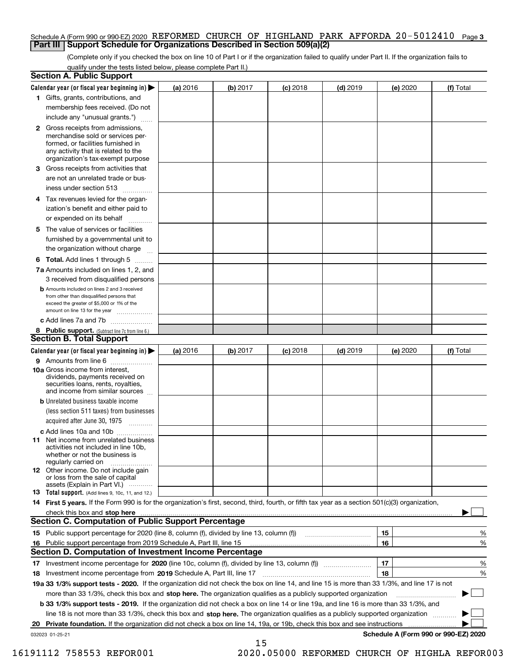## Schedule A (Form 990 or 990-EZ) 2020 REFORMED CHURCH OF HIGHLAND PARK AFFORDA 20-5012410 Page 3 **Part III Support Schedule for Organizations Described in Section 509(a)(2)**

(Complete only if you checked the box on line 10 of Part I or if the organization failed to qualify under Part II. If the organization fails to qualify under the tests listed below, please complete Part II.)

|    | <b>Section A. Public Support</b>                                                                                                                                                                                                      |          |          |            |            |                                      |           |
|----|---------------------------------------------------------------------------------------------------------------------------------------------------------------------------------------------------------------------------------------|----------|----------|------------|------------|--------------------------------------|-----------|
|    | Calendar year (or fiscal year beginning in) $\blacktriangleright$                                                                                                                                                                     | (a) 2016 | (b) 2017 | $(c)$ 2018 | $(d)$ 2019 | (e) 2020                             | (f) Total |
|    | 1 Gifts, grants, contributions, and                                                                                                                                                                                                   |          |          |            |            |                                      |           |
|    | membership fees received. (Do not                                                                                                                                                                                                     |          |          |            |            |                                      |           |
|    | include any "unusual grants.")                                                                                                                                                                                                        |          |          |            |            |                                      |           |
|    | 2 Gross receipts from admissions,<br>merchandise sold or services per-<br>formed, or facilities furnished in<br>any activity that is related to the<br>organization's tax-exempt purpose                                              |          |          |            |            |                                      |           |
|    | 3 Gross receipts from activities that<br>are not an unrelated trade or bus-<br>iness under section 513                                                                                                                                |          |          |            |            |                                      |           |
|    | 4 Tax revenues levied for the organ-<br>ization's benefit and either paid to                                                                                                                                                          |          |          |            |            |                                      |           |
|    | or expended on its behalf<br>.                                                                                                                                                                                                        |          |          |            |            |                                      |           |
|    | 5 The value of services or facilities                                                                                                                                                                                                 |          |          |            |            |                                      |           |
|    | furnished by a governmental unit to                                                                                                                                                                                                   |          |          |            |            |                                      |           |
|    | the organization without charge                                                                                                                                                                                                       |          |          |            |            |                                      |           |
|    | <b>6 Total.</b> Add lines 1 through 5                                                                                                                                                                                                 |          |          |            |            |                                      |           |
|    | 7a Amounts included on lines 1, 2, and                                                                                                                                                                                                |          |          |            |            |                                      |           |
|    | 3 received from disqualified persons<br><b>b</b> Amounts included on lines 2 and 3 received                                                                                                                                           |          |          |            |            |                                      |           |
|    | from other than disqualified persons that                                                                                                                                                                                             |          |          |            |            |                                      |           |
|    | exceed the greater of \$5,000 or 1% of the<br>amount on line 13 for the year                                                                                                                                                          |          |          |            |            |                                      |           |
|    | c Add lines 7a and 7b                                                                                                                                                                                                                 |          |          |            |            |                                      |           |
|    | 8 Public support. (Subtract line 7c from line 6.)                                                                                                                                                                                     |          |          |            |            |                                      |           |
|    | <b>Section B. Total Support</b>                                                                                                                                                                                                       |          |          |            |            |                                      |           |
|    | Calendar year (or fiscal year beginning in) $\blacktriangleright$                                                                                                                                                                     | (a) 2016 | (b) 2017 | $(c)$ 2018 | $(d)$ 2019 | (e) 2020                             | (f) Total |
|    | 9 Amounts from line 6                                                                                                                                                                                                                 |          |          |            |            |                                      |           |
|    | 10a Gross income from interest,<br>dividends, payments received on<br>securities loans, rents, royalties,<br>and income from similar sources                                                                                          |          |          |            |            |                                      |           |
|    | <b>b</b> Unrelated business taxable income                                                                                                                                                                                            |          |          |            |            |                                      |           |
|    | (less section 511 taxes) from businesses                                                                                                                                                                                              |          |          |            |            |                                      |           |
|    | acquired after June 30, 1975                                                                                                                                                                                                          |          |          |            |            |                                      |           |
|    | c Add lines 10a and 10b<br>11 Net income from unrelated business<br>activities not included in line 10b,<br>whether or not the business is<br>regularly carried on                                                                    |          |          |            |            |                                      |           |
|    | <b>12</b> Other income. Do not include gain<br>or loss from the sale of capital<br>assets (Explain in Part VI.)                                                                                                                       |          |          |            |            |                                      |           |
|    | <b>13</b> Total support. (Add lines 9, 10c, 11, and 12.)                                                                                                                                                                              |          |          |            |            |                                      |           |
|    | 14 First 5 years. If the Form 990 is for the organization's first, second, third, fourth, or fifth tax year as a section 501(c)(3) organization,                                                                                      |          |          |            |            |                                      |           |
|    |                                                                                                                                                                                                                                       |          |          |            |            |                                      |           |
|    | <b>Section C. Computation of Public Support Percentage</b>                                                                                                                                                                            |          |          |            |            |                                      |           |
|    | 15 Public support percentage for 2020 (line 8, column (f), divided by line 13, column (f))                                                                                                                                            |          |          |            |            | 15                                   | %         |
|    | 16 Public support percentage from 2019 Schedule A, Part III, line 15<br><b>Section D. Computation of Investment Income Percentage</b>                                                                                                 |          |          |            |            | 16                                   | %         |
|    |                                                                                                                                                                                                                                       |          |          |            |            | 17                                   |           |
|    | 17 Investment income percentage for 2020 (line 10c, column (f), divided by line 13, column (f))                                                                                                                                       |          |          |            |            | 18                                   | %         |
|    | <b>18</b> Investment income percentage from <b>2019</b> Schedule A, Part III, line 17<br>19a 33 1/3% support tests - 2020. If the organization did not check the box on line 14, and line 15 is more than 33 1/3%, and line 17 is not |          |          |            |            |                                      | %         |
|    | more than 33 1/3%, check this box and stop here. The organization qualifies as a publicly supported organization                                                                                                                      |          |          |            |            |                                      | ▶         |
|    | b 33 1/3% support tests - 2019. If the organization did not check a box on line 14 or line 19a, and line 16 is more than 33 1/3%, and                                                                                                 |          |          |            |            |                                      |           |
|    | line 18 is not more than 33 1/3%, check this box and stop here. The organization qualifies as a publicly supported organization                                                                                                       |          |          |            |            |                                      |           |
| 20 | Private foundation. If the organization did not check a box on line 14, 19a, or 19b, check this box and see instructions                                                                                                              |          |          |            |            | .                                    |           |
|    | 032023 01-25-21                                                                                                                                                                                                                       |          |          |            |            | Schedule A (Form 990 or 990-EZ) 2020 |           |

15

 <sup>16191112 758553</sup> REFOR001 2020.05000 REFORMED CHURCH OF HIGHLA REFOR003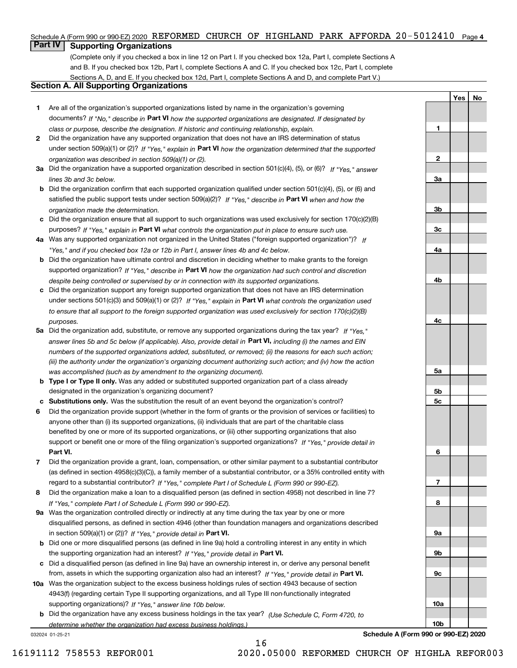## Schedule A (Form 990 or 990-EZ) 2020 REFORMED CHURCH OF HIGHLAND PARK AFFORDA 20-5012410 Page 4

## **Part IV Supporting Organizations**

(Complete only if you checked a box in line 12 on Part I. If you checked box 12a, Part I, complete Sections A and B. If you checked box 12b, Part I, complete Sections A and C. If you checked box 12c, Part I, complete Sections A, D, and E. If you checked box 12d, Part I, complete Sections A and D, and complete Part V.)

## **Section A. All Supporting Organizations**

- **1** Are all of the organization's supported organizations listed by name in the organization's governing documents? If "No," describe in **Part VI** how the supported organizations are designated. If designated by *class or purpose, describe the designation. If historic and continuing relationship, explain.*
- **2** Did the organization have any supported organization that does not have an IRS determination of status under section 509(a)(1) or (2)? If "Yes," explain in Part VI how the organization determined that the supported *organization was described in section 509(a)(1) or (2).*
- **3a** Did the organization have a supported organization described in section 501(c)(4), (5), or (6)? If "Yes," answer *lines 3b and 3c below.*
- **b** Did the organization confirm that each supported organization qualified under section 501(c)(4), (5), or (6) and satisfied the public support tests under section 509(a)(2)? If "Yes," describe in **Part VI** when and how the *organization made the determination.*
- **c**Did the organization ensure that all support to such organizations was used exclusively for section 170(c)(2)(B) purposes? If "Yes," explain in **Part VI** what controls the organization put in place to ensure such use.
- **4a***If* Was any supported organization not organized in the United States ("foreign supported organization")? *"Yes," and if you checked box 12a or 12b in Part I, answer lines 4b and 4c below.*
- **b** Did the organization have ultimate control and discretion in deciding whether to make grants to the foreign supported organization? If "Yes," describe in **Part VI** how the organization had such control and discretion *despite being controlled or supervised by or in connection with its supported organizations.*
- **c** Did the organization support any foreign supported organization that does not have an IRS determination under sections 501(c)(3) and 509(a)(1) or (2)? If "Yes," explain in **Part VI** what controls the organization used *to ensure that all support to the foreign supported organization was used exclusively for section 170(c)(2)(B) purposes.*
- **5a** Did the organization add, substitute, or remove any supported organizations during the tax year? If "Yes," answer lines 5b and 5c below (if applicable). Also, provide detail in **Part VI,** including (i) the names and EIN *numbers of the supported organizations added, substituted, or removed; (ii) the reasons for each such action; (iii) the authority under the organization's organizing document authorizing such action; and (iv) how the action was accomplished (such as by amendment to the organizing document).*
- **b** Type I or Type II only. Was any added or substituted supported organization part of a class already designated in the organization's organizing document?
- **cSubstitutions only.**  Was the substitution the result of an event beyond the organization's control?
- **6** Did the organization provide support (whether in the form of grants or the provision of services or facilities) to **Part VI.** *If "Yes," provide detail in* support or benefit one or more of the filing organization's supported organizations? anyone other than (i) its supported organizations, (ii) individuals that are part of the charitable class benefited by one or more of its supported organizations, or (iii) other supporting organizations that also
- **7**Did the organization provide a grant, loan, compensation, or other similar payment to a substantial contributor *If "Yes," complete Part I of Schedule L (Form 990 or 990-EZ).* regard to a substantial contributor? (as defined in section 4958(c)(3)(C)), a family member of a substantial contributor, or a 35% controlled entity with
- **8** Did the organization make a loan to a disqualified person (as defined in section 4958) not described in line 7? *If "Yes," complete Part I of Schedule L (Form 990 or 990-EZ).*
- **9a** Was the organization controlled directly or indirectly at any time during the tax year by one or more in section 509(a)(1) or (2))? If "Yes," *provide detail in* <code>Part VI.</code> disqualified persons, as defined in section 4946 (other than foundation managers and organizations described
- **b** Did one or more disqualified persons (as defined in line 9a) hold a controlling interest in any entity in which the supporting organization had an interest? If "Yes," provide detail in P**art VI**.
- **c**Did a disqualified person (as defined in line 9a) have an ownership interest in, or derive any personal benefit from, assets in which the supporting organization also had an interest? If "Yes," provide detail in P**art VI.**
- **10a** Was the organization subject to the excess business holdings rules of section 4943 because of section supporting organizations)? If "Yes," answer line 10b below. 4943(f) (regarding certain Type II supporting organizations, and all Type III non-functionally integrated
- **b** Did the organization have any excess business holdings in the tax year? (Use Schedule C, Form 4720, to *determine whether the organization had excess business holdings.)*

16

032024 01-25-21

**Schedule A (Form 990 or 990-EZ) 2020**

**YesNo**

**1**

**2**

**3a**

**3b**

**3c**

**4a**

**4b**

**4c**

**5a**

**5b5c**

**6**

**7**

**8**

**9a**

**9b**

**9c**

**10a**

**10b**

16191112 758553 REFOR001 2020.05000 REFORMED CHURCH OF HIGHLA REFOR003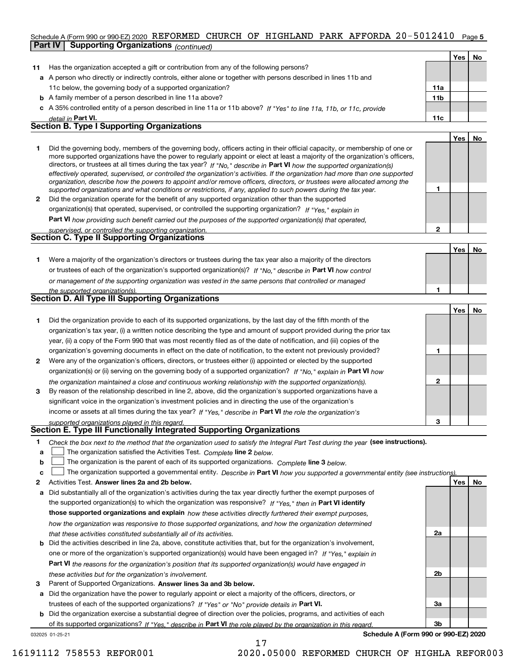## Schedule A (Form 990 or 990-EZ) 2020 REFORMED CHURCH OF HIGHLAND PARK AFFORDA 20-5012410 Page 5 **Part IV Supporting Organizations** *(continued)*

|              |                                                                                                                                                                                                                                                                                                                                                                                                                                                                                                                                                                                                                                                      |                 | Yes        | No |
|--------------|------------------------------------------------------------------------------------------------------------------------------------------------------------------------------------------------------------------------------------------------------------------------------------------------------------------------------------------------------------------------------------------------------------------------------------------------------------------------------------------------------------------------------------------------------------------------------------------------------------------------------------------------------|-----------------|------------|----|
| 11           | Has the organization accepted a gift or contribution from any of the following persons?                                                                                                                                                                                                                                                                                                                                                                                                                                                                                                                                                              |                 |            |    |
|              | a A person who directly or indirectly controls, either alone or together with persons described in lines 11b and                                                                                                                                                                                                                                                                                                                                                                                                                                                                                                                                     |                 |            |    |
|              | 11c below, the governing body of a supported organization?                                                                                                                                                                                                                                                                                                                                                                                                                                                                                                                                                                                           | 11a             |            |    |
|              | <b>b</b> A family member of a person described in line 11a above?                                                                                                                                                                                                                                                                                                                                                                                                                                                                                                                                                                                    | 11 <sub>b</sub> |            |    |
|              | c A 35% controlled entity of a person described in line 11a or 11b above? If "Yes" to line 11a, 11b, or 11c, provide                                                                                                                                                                                                                                                                                                                                                                                                                                                                                                                                 |                 |            |    |
|              | detail in Part VI.                                                                                                                                                                                                                                                                                                                                                                                                                                                                                                                                                                                                                                   | 11c             |            |    |
|              | <b>Section B. Type I Supporting Organizations</b>                                                                                                                                                                                                                                                                                                                                                                                                                                                                                                                                                                                                    |                 |            |    |
|              |                                                                                                                                                                                                                                                                                                                                                                                                                                                                                                                                                                                                                                                      |                 | <b>Yes</b> | No |
| 1            | Did the governing body, members of the governing body, officers acting in their official capacity, or membership of one or<br>more supported organizations have the power to regularly appoint or elect at least a majority of the organization's officers,<br>directors, or trustees at all times during the tax year? If "No," describe in Part VI how the supported organization(s)<br>effectively operated, supervised, or controlled the organization's activities. If the organization had more than one supported<br>organization, describe how the powers to appoint and/or remove officers, directors, or trustees were allocated among the |                 |            |    |
|              | supported organizations and what conditions or restrictions, if any, applied to such powers during the tax year.                                                                                                                                                                                                                                                                                                                                                                                                                                                                                                                                     |                 |            |    |
| $\mathbf{2}$ | Did the organization operate for the benefit of any supported organization other than the supported                                                                                                                                                                                                                                                                                                                                                                                                                                                                                                                                                  |                 |            |    |
|              | organization(s) that operated, supervised, or controlled the supporting organization? If "Yes," explain in                                                                                                                                                                                                                                                                                                                                                                                                                                                                                                                                           |                 |            |    |
|              | Part VI how providing such benefit carried out the purposes of the supported organization(s) that operated,                                                                                                                                                                                                                                                                                                                                                                                                                                                                                                                                          |                 |            |    |
|              | supervised, or controlled the supporting organization.                                                                                                                                                                                                                                                                                                                                                                                                                                                                                                                                                                                               | $\mathbf{2}$    |            |    |
|              | Section C. Type II Supporting Organizations                                                                                                                                                                                                                                                                                                                                                                                                                                                                                                                                                                                                          |                 |            |    |
|              |                                                                                                                                                                                                                                                                                                                                                                                                                                                                                                                                                                                                                                                      |                 | Yes        | No |
|              | Were a majority of the organization's directors or trustees during the tax year also a majority of the directors                                                                                                                                                                                                                                                                                                                                                                                                                                                                                                                                     |                 |            |    |

| or trustees of each of the organization's supported organization(s)? If "No," describe in Part VI how control |
|---------------------------------------------------------------------------------------------------------------|
| or management of the supporting organization was vested in the same persons that controlled or managed        |
| the supported organization(s).                                                                                |

| Section D. All Type III Supporting Organizations |  |  |  |  |
|--------------------------------------------------|--|--|--|--|
|                                                  |  |  |  |  |

|              |                                                                                                                        |   | Yes l | No |
|--------------|------------------------------------------------------------------------------------------------------------------------|---|-------|----|
|              | Did the organization provide to each of its supported organizations, by the last day of the fifth month of the         |   |       |    |
|              | organization's tax year, (i) a written notice describing the type and amount of support provided during the prior tax  |   |       |    |
|              | year, (ii) a copy of the Form 990 that was most recently filed as of the date of notification, and (iii) copies of the |   |       |    |
|              | organization's governing documents in effect on the date of notification, to the extent not previously provided?       |   |       |    |
| $\mathbf{2}$ | Were any of the organization's officers, directors, or trustees either (i) appointed or elected by the supported       |   |       |    |
|              | organization(s) or (ii) serving on the governing body of a supported organization? If "No," explain in Part VI how     |   |       |    |
|              | the organization maintained a close and continuous working relationship with the supported organization(s).            | 2 |       |    |
| 3            | By reason of the relationship described in line 2, above, did the organization's supported organizations have a        |   |       |    |
|              | significant voice in the organization's investment policies and in directing the use of the organization's             |   |       |    |
|              | income or assets at all times during the tax year? If "Yes," describe in Part VI the role the organization's           |   |       |    |
|              | supported organizations played in this regard                                                                          | з |       |    |

# *supported organizations played in this regard.* **Section E. Type III Functionally Integrated Supporting Organizations**

|  | Check the box next to the method that the organization used to satisfy the Integral Part Test during the year (see instructions). |  |  |  |
|--|-----------------------------------------------------------------------------------------------------------------------------------|--|--|--|
|--|-----------------------------------------------------------------------------------------------------------------------------------|--|--|--|

- **a**The organization satisfied the Activities Test. *Complete* line 2 below.  $\mathcal{L}^{\text{max}}$
- **b**The organization is the parent of each of its supported organizations. *Complete* line 3 *below.*  $\mathcal{L}^{\text{max}}$

|  |  | c <u>□</u> The organization supported a governmental entity. Describe in Part VI how you supported a governmental entity (see instructions). |  |  |  |  |  |
|--|--|----------------------------------------------------------------------------------------------------------------------------------------------|--|--|--|--|--|
|--|--|----------------------------------------------------------------------------------------------------------------------------------------------|--|--|--|--|--|

17

- **2Answer lines 2a and 2b below. Yes No** Activities Test.
- **a** Did substantially all of the organization's activities during the tax year directly further the exempt purposes of the supported organization(s) to which the organization was responsive? If "Yes," then in **Part VI identify those supported organizations and explain**  *how these activities directly furthered their exempt purposes, how the organization was responsive to those supported organizations, and how the organization determined that these activities constituted substantially all of its activities.*
- **b** Did the activities described in line 2a, above, constitute activities that, but for the organization's involvement, **Part VI**  *the reasons for the organization's position that its supported organization(s) would have engaged in* one or more of the organization's supported organization(s) would have been engaged in? If "Yes," e*xplain in these activities but for the organization's involvement.*
- **3** Parent of Supported Organizations. Answer lines 3a and 3b below.

**a** Did the organization have the power to regularly appoint or elect a majority of the officers, directors, or trustees of each of the supported organizations? If "Yes" or "No" provide details in **Part VI.** 

032025 01-25-21 **b** Did the organization exercise a substantial degree of direction over the policies, programs, and activities of each of its supported organizations? If "Yes," describe in Part VI the role played by the organization in this regard.

**Schedule A (Form 990 or 990-EZ) 2020**

**2a**

**2b**

**3a**

**3b**

**1**

16191112 758553 REFOR001 2020.05000 REFORMED CHURCH OF HIGHLA REFOR003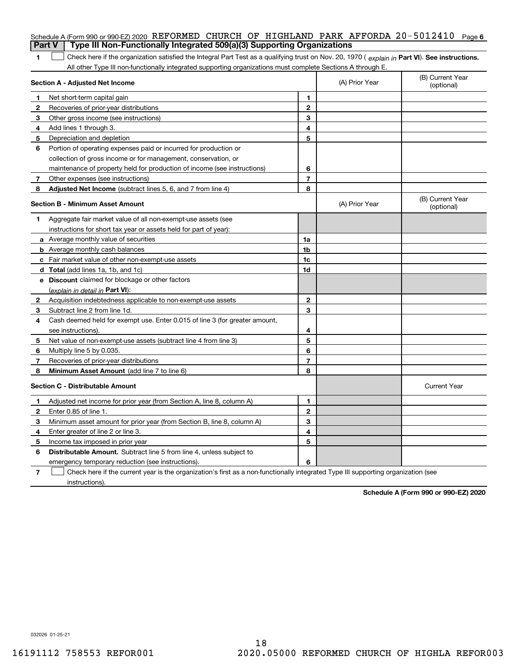|                | Schedule A (Form 990 or 990-EZ) 2020 REFORMED CHURCH OF HIGHLAND PARK AFFORDA 20-5012410<br>Type III Non-Functionally Integrated 509(a)(3) Supporting Organizations                                |                          |                | Page 6                         |  |  |
|----------------|----------------------------------------------------------------------------------------------------------------------------------------------------------------------------------------------------|--------------------------|----------------|--------------------------------|--|--|
| <b>Part V</b>  |                                                                                                                                                                                                    |                          |                |                                |  |  |
| 1              | Check here if the organization satisfied the Integral Part Test as a qualifying trust on Nov. 20, 1970 (explain in Part VI). See instructions.                                                     |                          |                |                                |  |  |
|                | All other Type III non-functionally integrated supporting organizations must complete Sections A through E.<br>(B) Current Year<br>Section A - Adjusted Net Income<br>(A) Prior Year<br>(optional) |                          |                |                                |  |  |
| 1              | Net short-term capital gain                                                                                                                                                                        | 1                        |                |                                |  |  |
| 2              | Recoveries of prior-year distributions                                                                                                                                                             | $\mathbf{2}$             |                |                                |  |  |
| З              | Other gross income (see instructions)                                                                                                                                                              | 3                        |                |                                |  |  |
| 4              | Add lines 1 through 3.                                                                                                                                                                             | 4                        |                |                                |  |  |
| 5              | Depreciation and depletion                                                                                                                                                                         | 5                        |                |                                |  |  |
| 6              | Portion of operating expenses paid or incurred for production or                                                                                                                                   |                          |                |                                |  |  |
|                | collection of gross income or for management, conservation, or                                                                                                                                     |                          |                |                                |  |  |
|                | maintenance of property held for production of income (see instructions)                                                                                                                           | 6                        |                |                                |  |  |
| 7              | Other expenses (see instructions)                                                                                                                                                                  | $\overline{\phantom{a}}$ |                |                                |  |  |
| 8              | Adjusted Net Income (subtract lines 5, 6, and 7 from line 4)                                                                                                                                       | 8                        |                |                                |  |  |
|                | <b>Section B - Minimum Asset Amount</b>                                                                                                                                                            |                          | (A) Prior Year | (B) Current Year<br>(optional) |  |  |
| 1              | Aggregate fair market value of all non-exempt-use assets (see                                                                                                                                      |                          |                |                                |  |  |
|                | instructions for short tax year or assets held for part of year):                                                                                                                                  |                          |                |                                |  |  |
|                | <b>a</b> Average monthly value of securities                                                                                                                                                       | 1a                       |                |                                |  |  |
|                | <b>b</b> Average monthly cash balances                                                                                                                                                             | 1b                       |                |                                |  |  |
|                | c Fair market value of other non-exempt-use assets                                                                                                                                                 | 1c                       |                |                                |  |  |
|                | d Total (add lines 1a, 1b, and 1c)                                                                                                                                                                 | 1d                       |                |                                |  |  |
|                | <b>e</b> Discount claimed for blockage or other factors                                                                                                                                            |                          |                |                                |  |  |
|                | (explain in detail in Part VI):                                                                                                                                                                    |                          |                |                                |  |  |
| 2              | Acquisition indebtedness applicable to non-exempt-use assets                                                                                                                                       | $\mathbf{2}$             |                |                                |  |  |
| 3              | Subtract line 2 from line 1d.                                                                                                                                                                      | 3                        |                |                                |  |  |
| 4              | Cash deemed held for exempt use. Enter 0.015 of line 3 (for greater amount,                                                                                                                        |                          |                |                                |  |  |
|                | see instructions).                                                                                                                                                                                 | 4                        |                |                                |  |  |
| 5              | Net value of non-exempt-use assets (subtract line 4 from line 3)                                                                                                                                   | 5                        |                |                                |  |  |
| 6              | Multiply line 5 by 0.035.                                                                                                                                                                          | 6                        |                |                                |  |  |
| 7              | Recoveries of prior-year distributions                                                                                                                                                             | $\overline{\phantom{a}}$ |                |                                |  |  |
| 8              | Minimum Asset Amount (add line 7 to line 6)                                                                                                                                                        | 8                        |                |                                |  |  |
|                | <b>Section C - Distributable Amount</b>                                                                                                                                                            |                          |                | <b>Current Year</b>            |  |  |
|                | Adjusted net income for prior year (from Section A, line 8, column A)                                                                                                                              | 1                        |                |                                |  |  |
| 2              | Enter 0.85 of line 1.                                                                                                                                                                              | 2                        |                |                                |  |  |
| З              | Minimum asset amount for prior year (from Section B, line 8, column A)                                                                                                                             | 3                        |                |                                |  |  |
| 4              | Enter greater of line 2 or line 3.                                                                                                                                                                 | 4                        |                |                                |  |  |
| 5              | Income tax imposed in prior year                                                                                                                                                                   | 5                        |                |                                |  |  |
| 6              | <b>Distributable Amount.</b> Subtract line 5 from line 4, unless subject to                                                                                                                        |                          |                |                                |  |  |
|                | emergency temporary reduction (see instructions).                                                                                                                                                  | 6                        |                |                                |  |  |
| $\overline{7}$ | Check here if the current year is the organization's first as a non-functionally integrated Type III supporting organization (see                                                                  |                          |                |                                |  |  |

instructions).

**Schedule A (Form 990 or 990-EZ) 2020**

032026 01-25-21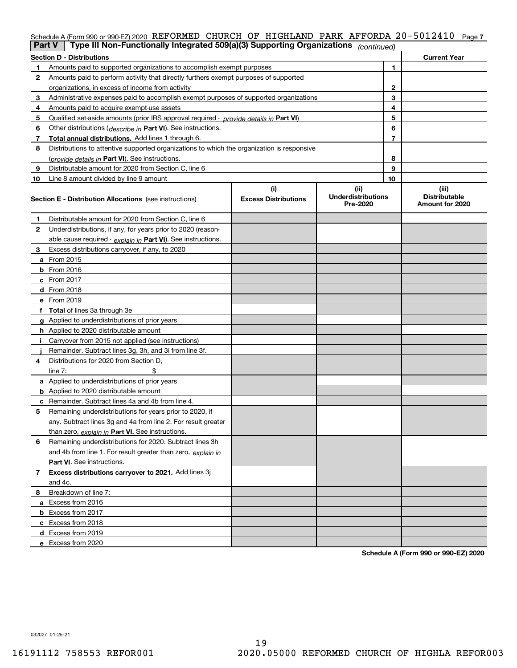## Schedule A (Form 990 or 990-EZ) 2020 REFORMED CHURCH OF HIGHLAND PARK AFFORDA 20-5012410 Page 7

|    | Type III Non-Functionally Integrated 509(a)(3) Supporting Organizations<br><b>Part V</b><br>(continued) |                             |                                       |    |                                         |  |  |
|----|---------------------------------------------------------------------------------------------------------|-----------------------------|---------------------------------------|----|-----------------------------------------|--|--|
|    | <b>Section D - Distributions</b><br><b>Current Year</b>                                                 |                             |                                       |    |                                         |  |  |
| 1  | Amounts paid to supported organizations to accomplish exempt purposes                                   |                             |                                       | 1  |                                         |  |  |
| 2  | Amounts paid to perform activity that directly furthers exempt purposes of supported                    |                             |                                       |    |                                         |  |  |
|    | organizations, in excess of income from activity                                                        |                             |                                       | 2  |                                         |  |  |
| 3  | Administrative expenses paid to accomplish exempt purposes of supported organizations                   |                             |                                       | 3  |                                         |  |  |
| 4  | Amounts paid to acquire exempt-use assets                                                               |                             |                                       | 4  |                                         |  |  |
| 5  | Qualified set-aside amounts (prior IRS approval required - provide details in Part VI)                  |                             |                                       | 5  |                                         |  |  |
| 6  | Other distributions (describe in Part VI). See instructions.                                            |                             |                                       | 6  |                                         |  |  |
| 7  | Total annual distributions. Add lines 1 through 6.                                                      |                             |                                       | 7  |                                         |  |  |
| 8  | Distributions to attentive supported organizations to which the organization is responsive              |                             |                                       |    |                                         |  |  |
|    | (provide details in Part VI). See instructions.                                                         |                             |                                       | 8  |                                         |  |  |
| 9  | Distributable amount for 2020 from Section C, line 6                                                    |                             |                                       | 9  |                                         |  |  |
| 10 | Line 8 amount divided by line 9 amount                                                                  |                             |                                       | 10 |                                         |  |  |
|    |                                                                                                         | (i)                         | (ii)                                  |    | (iii)                                   |  |  |
|    | <b>Section E - Distribution Allocations</b> (see instructions)                                          | <b>Excess Distributions</b> | <b>Underdistributions</b><br>Pre-2020 |    | <b>Distributable</b><br>Amount for 2020 |  |  |
| 1  | Distributable amount for 2020 from Section C, line 6                                                    |                             |                                       |    |                                         |  |  |
| 2  | Underdistributions, if any, for years prior to 2020 (reason-                                            |                             |                                       |    |                                         |  |  |
|    | able cause required - explain in Part VI). See instructions.                                            |                             |                                       |    |                                         |  |  |
| 3  | Excess distributions carryover, if any, to 2020                                                         |                             |                                       |    |                                         |  |  |
|    | <b>a</b> From 2015                                                                                      |                             |                                       |    |                                         |  |  |
|    | <b>b</b> From 2016                                                                                      |                             |                                       |    |                                         |  |  |
|    | c From 2017                                                                                             |                             |                                       |    |                                         |  |  |
|    | <b>d</b> From 2018                                                                                      |                             |                                       |    |                                         |  |  |
|    | e From 2019                                                                                             |                             |                                       |    |                                         |  |  |
|    | f Total of lines 3a through 3e                                                                          |                             |                                       |    |                                         |  |  |
|    | g Applied to underdistributions of prior years                                                          |                             |                                       |    |                                         |  |  |
|    | <b>h</b> Applied to 2020 distributable amount                                                           |                             |                                       |    |                                         |  |  |
|    | Carryover from 2015 not applied (see instructions)                                                      |                             |                                       |    |                                         |  |  |
|    | Remainder. Subtract lines 3g, 3h, and 3i from line 3f.                                                  |                             |                                       |    |                                         |  |  |
| 4  | Distributions for 2020 from Section D,                                                                  |                             |                                       |    |                                         |  |  |
|    | line $7:$                                                                                               |                             |                                       |    |                                         |  |  |
|    | a Applied to underdistributions of prior years                                                          |                             |                                       |    |                                         |  |  |
|    | <b>b</b> Applied to 2020 distributable amount                                                           |                             |                                       |    |                                         |  |  |
|    | c Remainder. Subtract lines 4a and 4b from line 4.                                                      |                             |                                       |    |                                         |  |  |
| 5  | Remaining underdistributions for years prior to 2020, if                                                |                             |                                       |    |                                         |  |  |
|    | any. Subtract lines 3g and 4a from line 2. For result greater                                           |                             |                                       |    |                                         |  |  |
|    | than zero, explain in Part VI. See instructions.                                                        |                             |                                       |    |                                         |  |  |
| 6  | Remaining underdistributions for 2020. Subtract lines 3h                                                |                             |                                       |    |                                         |  |  |
|    | and 4b from line 1. For result greater than zero, explain in                                            |                             |                                       |    |                                         |  |  |
|    | Part VI. See instructions.                                                                              |                             |                                       |    |                                         |  |  |
| 7  | Excess distributions carryover to 2021. Add lines 3j                                                    |                             |                                       |    |                                         |  |  |
|    | and 4c.                                                                                                 |                             |                                       |    |                                         |  |  |
| 8  | Breakdown of line 7:                                                                                    |                             |                                       |    |                                         |  |  |
|    | a Excess from 2016                                                                                      |                             |                                       |    |                                         |  |  |
|    | <b>b</b> Excess from 2017                                                                               |                             |                                       |    |                                         |  |  |
|    | c Excess from 2018                                                                                      |                             |                                       |    |                                         |  |  |
|    | d Excess from 2019                                                                                      |                             |                                       |    |                                         |  |  |
|    | e Excess from 2020                                                                                      |                             |                                       |    |                                         |  |  |

**Schedule A (Form 990 or 990-EZ) 2020**

032027 01-25-21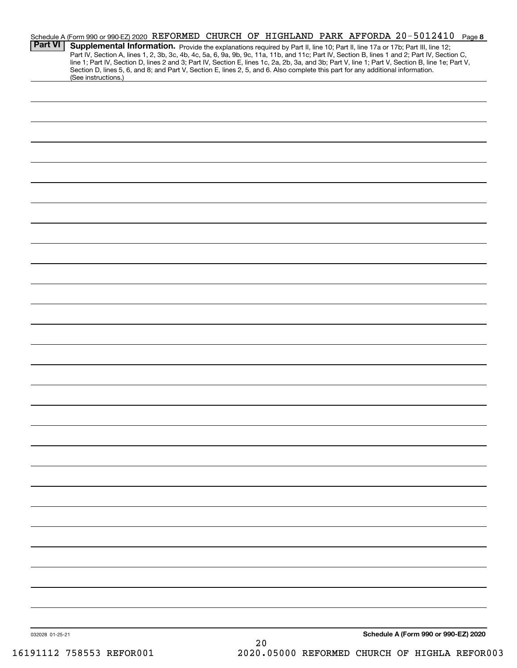|                 |                     |    | Schedule A (Form 990 or 990-EZ) 2020 REFORMED CHURCH OF HIGHLAND PARK AFFORDA 20-5012410 Page 8                                                                                                                                                                                                                                                                                                                                                                                                                                                                      |  |
|-----------------|---------------------|----|----------------------------------------------------------------------------------------------------------------------------------------------------------------------------------------------------------------------------------------------------------------------------------------------------------------------------------------------------------------------------------------------------------------------------------------------------------------------------------------------------------------------------------------------------------------------|--|
| <b>Part VI</b>  |                     |    | Supplemental Information. Provide the explanations required by Part II, line 10; Part II, line 17a or 17b; Part III, line 12;<br>Part IV, Section A, lines 1, 2, 3b, 3c, 4b, 4c, 5a, 6, 9a, 9b, 9c, 11a, 11b, and 11c; Part IV, Section B, lines 1 and 2; Part IV, Section C,<br>line 1; Part IV, Section D, lines 2 and 3; Part IV, Section E, lines 1c, 2a, 2b, 3a, and 3b; Part V, line 1; Part V, Section B, line 1e; Part V,<br>Section D, lines 5, 6, and 8; and Part V, Section E, lines 2, 5, and 6. Also complete this part for any additional information. |  |
|                 | (See instructions.) |    |                                                                                                                                                                                                                                                                                                                                                                                                                                                                                                                                                                      |  |
|                 |                     |    |                                                                                                                                                                                                                                                                                                                                                                                                                                                                                                                                                                      |  |
|                 |                     |    |                                                                                                                                                                                                                                                                                                                                                                                                                                                                                                                                                                      |  |
|                 |                     |    |                                                                                                                                                                                                                                                                                                                                                                                                                                                                                                                                                                      |  |
|                 |                     |    |                                                                                                                                                                                                                                                                                                                                                                                                                                                                                                                                                                      |  |
|                 |                     |    |                                                                                                                                                                                                                                                                                                                                                                                                                                                                                                                                                                      |  |
|                 |                     |    |                                                                                                                                                                                                                                                                                                                                                                                                                                                                                                                                                                      |  |
|                 |                     |    |                                                                                                                                                                                                                                                                                                                                                                                                                                                                                                                                                                      |  |
|                 |                     |    |                                                                                                                                                                                                                                                                                                                                                                                                                                                                                                                                                                      |  |
|                 |                     |    |                                                                                                                                                                                                                                                                                                                                                                                                                                                                                                                                                                      |  |
|                 |                     |    |                                                                                                                                                                                                                                                                                                                                                                                                                                                                                                                                                                      |  |
|                 |                     |    |                                                                                                                                                                                                                                                                                                                                                                                                                                                                                                                                                                      |  |
|                 |                     |    |                                                                                                                                                                                                                                                                                                                                                                                                                                                                                                                                                                      |  |
|                 |                     |    |                                                                                                                                                                                                                                                                                                                                                                                                                                                                                                                                                                      |  |
|                 |                     |    |                                                                                                                                                                                                                                                                                                                                                                                                                                                                                                                                                                      |  |
|                 |                     |    |                                                                                                                                                                                                                                                                                                                                                                                                                                                                                                                                                                      |  |
|                 |                     |    |                                                                                                                                                                                                                                                                                                                                                                                                                                                                                                                                                                      |  |
|                 |                     |    |                                                                                                                                                                                                                                                                                                                                                                                                                                                                                                                                                                      |  |
|                 |                     |    |                                                                                                                                                                                                                                                                                                                                                                                                                                                                                                                                                                      |  |
|                 |                     |    |                                                                                                                                                                                                                                                                                                                                                                                                                                                                                                                                                                      |  |
|                 |                     |    |                                                                                                                                                                                                                                                                                                                                                                                                                                                                                                                                                                      |  |
|                 |                     |    |                                                                                                                                                                                                                                                                                                                                                                                                                                                                                                                                                                      |  |
|                 |                     |    |                                                                                                                                                                                                                                                                                                                                                                                                                                                                                                                                                                      |  |
|                 |                     |    |                                                                                                                                                                                                                                                                                                                                                                                                                                                                                                                                                                      |  |
|                 |                     |    |                                                                                                                                                                                                                                                                                                                                                                                                                                                                                                                                                                      |  |
|                 |                     |    |                                                                                                                                                                                                                                                                                                                                                                                                                                                                                                                                                                      |  |
|                 |                     |    |                                                                                                                                                                                                                                                                                                                                                                                                                                                                                                                                                                      |  |
|                 |                     |    |                                                                                                                                                                                                                                                                                                                                                                                                                                                                                                                                                                      |  |
|                 |                     |    |                                                                                                                                                                                                                                                                                                                                                                                                                                                                                                                                                                      |  |
|                 |                     |    |                                                                                                                                                                                                                                                                                                                                                                                                                                                                                                                                                                      |  |
|                 |                     |    |                                                                                                                                                                                                                                                                                                                                                                                                                                                                                                                                                                      |  |
|                 |                     |    |                                                                                                                                                                                                                                                                                                                                                                                                                                                                                                                                                                      |  |
| 032028 01-25-21 |                     | 20 | Schedule A (Form 990 or 990-EZ) 2020                                                                                                                                                                                                                                                                                                                                                                                                                                                                                                                                 |  |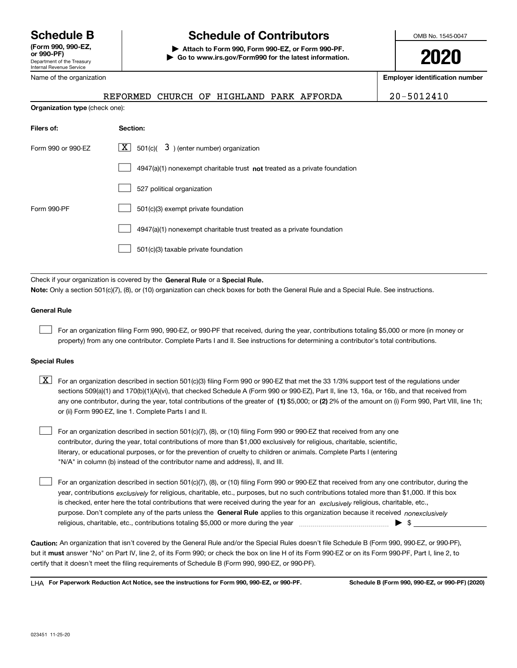Department of the Treasury Internal Revenue Service **(Form 990, 990-EZ, or 990-PF)** Name of the organization

# **Schedule B Schedule of Contributors**

**| Attach to Form 990, Form 990-EZ, or Form 990-PF. | Go to www.irs.gov/Form990 for the latest information.** OMB No. 1545-0047

**2020**

**Employer identification number**

REFORMED CHURCH OF HIGHLAND PARK AFFORDA | 20-5012410

| Organization type (check one): |                                                                                    |  |  |  |  |
|--------------------------------|------------------------------------------------------------------------------------|--|--|--|--|
| Filers of:                     | Section:                                                                           |  |  |  |  |
| Form 990 or 990-EZ             | $\lfloor x \rfloor$ 501(c)( 3) (enter number) organization                         |  |  |  |  |
|                                | $4947(a)(1)$ nonexempt charitable trust <b>not</b> treated as a private foundation |  |  |  |  |
|                                | 527 political organization                                                         |  |  |  |  |
| Form 990-PF                    | 501(c)(3) exempt private foundation                                                |  |  |  |  |
|                                | 4947(a)(1) nonexempt charitable trust treated as a private foundation              |  |  |  |  |
|                                | 501(c)(3) taxable private foundation                                               |  |  |  |  |

Check if your organization is covered by the **General Rule** or a **Special Rule. Note:**  Only a section 501(c)(7), (8), or (10) organization can check boxes for both the General Rule and a Special Rule. See instructions.

## **General Rule**

 $\mathcal{L}^{\text{max}}$ 

For an organization filing Form 990, 990-EZ, or 990-PF that received, during the year, contributions totaling \$5,000 or more (in money or property) from any one contributor. Complete Parts I and II. See instructions for determining a contributor's total contributions.

#### **Special Rules**

any one contributor, during the year, total contributions of the greater of  $\,$  (1) \$5,000; or **(2)** 2% of the amount on (i) Form 990, Part VIII, line 1h;  $\boxed{\textbf{X}}$  For an organization described in section 501(c)(3) filing Form 990 or 990-EZ that met the 33 1/3% support test of the regulations under sections 509(a)(1) and 170(b)(1)(A)(vi), that checked Schedule A (Form 990 or 990-EZ), Part II, line 13, 16a, or 16b, and that received from or (ii) Form 990-EZ, line 1. Complete Parts I and II.

For an organization described in section 501(c)(7), (8), or (10) filing Form 990 or 990-EZ that received from any one contributor, during the year, total contributions of more than \$1,000 exclusively for religious, charitable, scientific, literary, or educational purposes, or for the prevention of cruelty to children or animals. Complete Parts I (entering "N/A" in column (b) instead of the contributor name and address), II, and III.  $\mathcal{L}^{\text{max}}$ 

purpose. Don't complete any of the parts unless the **General Rule** applies to this organization because it received *nonexclusively* year, contributions <sub>exclusively</sub> for religious, charitable, etc., purposes, but no such contributions totaled more than \$1,000. If this box is checked, enter here the total contributions that were received during the year for an  $\;$ exclusively religious, charitable, etc., For an organization described in section 501(c)(7), (8), or (10) filing Form 990 or 990-EZ that received from any one contributor, during the religious, charitable, etc., contributions totaling \$5,000 or more during the year  $\Box$ — $\Box$   $\Box$  $\mathcal{L}^{\text{max}}$ 

**Caution:**  An organization that isn't covered by the General Rule and/or the Special Rules doesn't file Schedule B (Form 990, 990-EZ, or 990-PF),  **must** but it answer "No" on Part IV, line 2, of its Form 990; or check the box on line H of its Form 990-EZ or on its Form 990-PF, Part I, line 2, to certify that it doesn't meet the filing requirements of Schedule B (Form 990, 990-EZ, or 990-PF).

**For Paperwork Reduction Act Notice, see the instructions for Form 990, 990-EZ, or 990-PF. Schedule B (Form 990, 990-EZ, or 990-PF) (2020)** LHA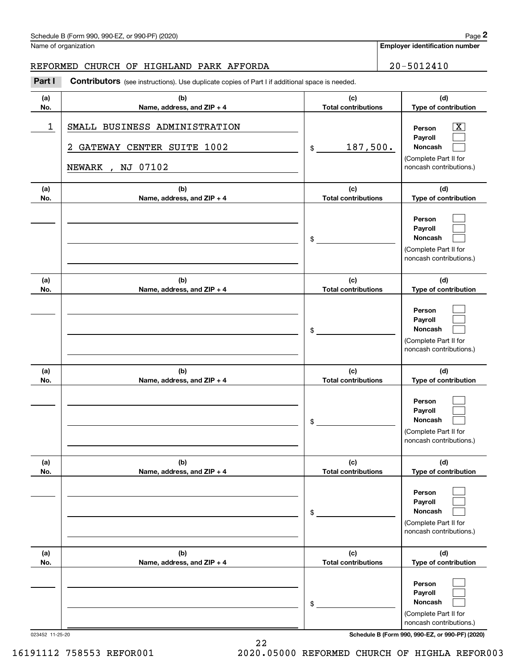| Schedule B (Form 990, 990-EZ, or 990-PF) (2020) | Page |
|-------------------------------------------------|------|
|-------------------------------------------------|------|

## REFORMED CHURCH OF HIGHLAND PARK AFFORDA | 20-5012410

|            | Schedule B (Form 990, 990-EZ, or 990-PF) (2020)                                                       |                                   | Page 2                                                                                                      |
|------------|-------------------------------------------------------------------------------------------------------|-----------------------------------|-------------------------------------------------------------------------------------------------------------|
|            | Name of organization                                                                                  |                                   | <b>Employer identification number</b>                                                                       |
|            | REFORMED CHURCH OF HIGHLAND PARK AFFORDA                                                              |                                   | $20 - 5012410$                                                                                              |
| Part I     | <b>Contributors</b> (see instructions). Use duplicate copies of Part I if additional space is needed. |                                   |                                                                                                             |
| (a)<br>No. | (b)<br>Name, address, and ZIP + 4                                                                     | (c)<br><b>Total contributions</b> | (d)<br>Type of contribution                                                                                 |
| 1          | SMALL BUSINESS ADMINISTRATION<br>GATEWAY CENTER SUITE 1002<br>2<br>NJ 07102<br>NEWARK<br>$\mathbf{r}$ | 187,500.<br>\$                    | $\overline{\mathbf{X}}$<br>Person<br>Payroll<br>Noncash<br>(Complete Part II for<br>noncash contributions.) |
| (a)<br>No. | (b)<br>Name, address, and ZIP + 4                                                                     | (c)<br><b>Total contributions</b> | (d)<br>Type of contribution                                                                                 |
|            |                                                                                                       | \$                                | Person<br>Payroll<br>Noncash<br>(Complete Part II for<br>noncash contributions.)                            |
| (a)<br>No. | (b)<br>Name, address, and ZIP + 4                                                                     | (c)<br><b>Total contributions</b> | (d)<br>Type of contribution                                                                                 |
|            |                                                                                                       | \$                                | Person<br>Payroll<br>Noncash<br>(Complete Part II for<br>noncash contributions.)                            |
| (a)<br>No. | (b)<br>Name, address, and ZIP + 4                                                                     | (c)<br><b>Total contributions</b> | (d)<br>Type of contribution                                                                                 |
|            |                                                                                                       | \$                                | Person<br>Payroll<br>Noncash<br>(Complete Part II for<br>noncash contributions.)                            |
| (a)<br>No. | (b)<br>Name, address, and ZIP + 4                                                                     | (c)<br><b>Total contributions</b> | (d)<br>Type of contribution                                                                                 |
|            |                                                                                                       | \$                                | Person<br>Payroll<br>Noncash<br>(Complete Part II for<br>noncash contributions.)                            |
| (a)<br>No. | (b)<br>Name, address, and ZIP + 4                                                                     | (c)<br><b>Total contributions</b> | (d)<br>Type of contribution                                                                                 |
|            |                                                                                                       | \$                                | Person<br>Payroll<br>Noncash<br>(Complete Part II for<br>noncash contributions.)                            |

023452 11-25-20 **Schedule B (Form 990, 990-EZ, or 990-PF) (2020)**

22 16191112 758553 REFOR001 2020.05000 REFORMED CHURCH OF HIGHLA REFOR003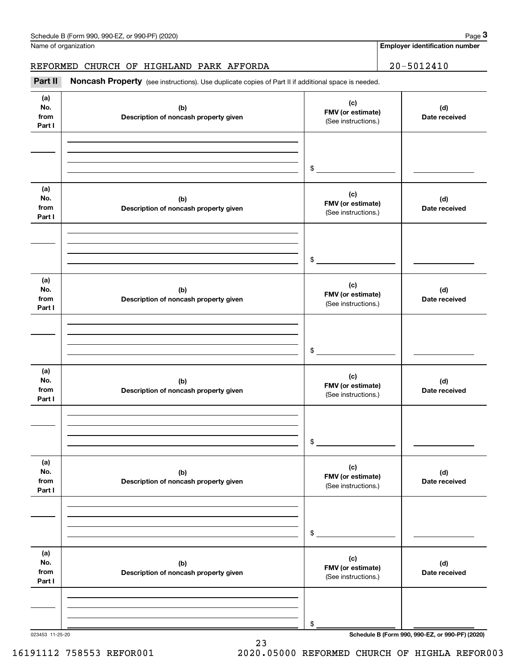Name of organization

## REFORMED CHURCH OF HIGHLAND PARK AFFORDA | 20-5012410

(see instructions). Use duplicate copies of Part II if additional space is needed.<br> **20 – 5012410**<br> **1999 Employer identification number**<br> **1999 Part II Noncash Property** (see instructions). Use duplicate copies of Part

| (a)<br>No.<br>from<br>Part I | (b)<br>Description of noncash property given | (c)<br>FMV (or estimate)<br>(See instructions.) | (d)<br>Date received                            |
|------------------------------|----------------------------------------------|-------------------------------------------------|-------------------------------------------------|
|                              |                                              | \$                                              |                                                 |
|                              |                                              |                                                 |                                                 |
| (a)<br>No.<br>from<br>Part I | (b)<br>Description of noncash property given | (c)<br>FMV (or estimate)<br>(See instructions.) | (d)<br>Date received                            |
|                              |                                              | \$                                              |                                                 |
| (a)<br>No.<br>from<br>Part I | (b)<br>Description of noncash property given | (c)<br>FMV (or estimate)<br>(See instructions.) | (d)<br>Date received                            |
|                              |                                              | \$                                              |                                                 |
| (a)<br>No.<br>from<br>Part I | (b)<br>Description of noncash property given | (c)<br>FMV (or estimate)<br>(See instructions.) | (d)<br>Date received                            |
|                              |                                              | \$                                              |                                                 |
| (a)<br>No.<br>from<br>Part I | (b)<br>Description of noncash property given | (c)<br>FMV (or estimate)<br>(See instructions.) | (d)<br>Date received                            |
|                              |                                              | \$                                              |                                                 |
| (a)<br>No.<br>from<br>Part I | (b)<br>Description of noncash property given | (c)<br>FMV (or estimate)<br>(See instructions.) | (d)<br>Date received                            |
|                              |                                              | \$                                              |                                                 |
| 023453 11-25-20              |                                              |                                                 | Schedule B (Form 990, 990-EZ, or 990-PF) (2020) |

**Employer identification number**

23 16191112 758553 REFOR001 2020.05000 REFORMED CHURCH OF HIGHLA REFOR003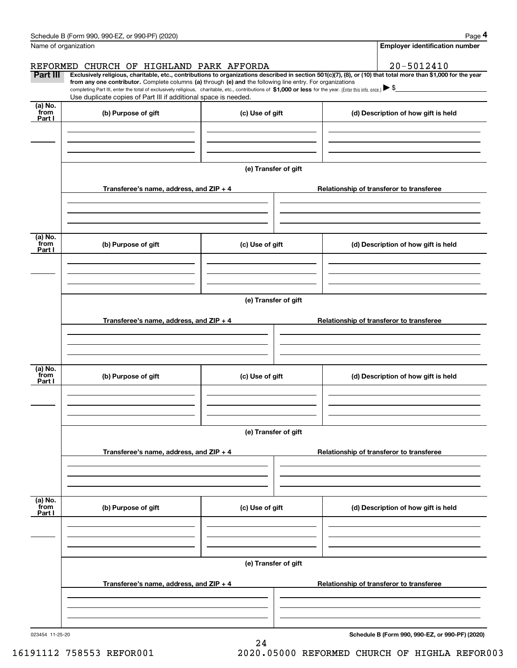|                           | Schedule B (Form 990, 990-EZ, or 990-PF) (2020)                                                                                                                                   |                                       | Page 4                                                                                                                                                         |  |  |  |
|---------------------------|-----------------------------------------------------------------------------------------------------------------------------------------------------------------------------------|---------------------------------------|----------------------------------------------------------------------------------------------------------------------------------------------------------------|--|--|--|
|                           | Name of organization                                                                                                                                                              | <b>Employer identification number</b> |                                                                                                                                                                |  |  |  |
|                           | REFORMED CHURCH OF HIGHLAND PARK AFFORDA                                                                                                                                          |                                       | 20-5012410                                                                                                                                                     |  |  |  |
| Part III                  | from any one contributor. Complete columns (a) through (e) and the following line entry. For organizations                                                                        |                                       | Exclusively religious, charitable, etc., contributions to organizations described in section 501(c)(7), (8), or (10) that total more than \$1,000 for the year |  |  |  |
|                           | completing Part III, enter the total of exclusively religious, charitable, etc., contributions of \$1,000 or less for the year. (Enter this info. once.) $\blacktriangleright$ \$ |                                       |                                                                                                                                                                |  |  |  |
|                           | Use duplicate copies of Part III if additional space is needed.                                                                                                                   |                                       |                                                                                                                                                                |  |  |  |
| (a) No.<br>from<br>Part I | (b) Purpose of gift                                                                                                                                                               | (c) Use of gift                       | (d) Description of how gift is held                                                                                                                            |  |  |  |
|                           |                                                                                                                                                                                   |                                       |                                                                                                                                                                |  |  |  |
|                           |                                                                                                                                                                                   |                                       |                                                                                                                                                                |  |  |  |
|                           |                                                                                                                                                                                   |                                       |                                                                                                                                                                |  |  |  |
|                           |                                                                                                                                                                                   | (e) Transfer of gift                  |                                                                                                                                                                |  |  |  |
|                           |                                                                                                                                                                                   |                                       |                                                                                                                                                                |  |  |  |
|                           | Transferee's name, address, and ZIP + 4                                                                                                                                           |                                       | Relationship of transferor to transferee                                                                                                                       |  |  |  |
|                           |                                                                                                                                                                                   |                                       |                                                                                                                                                                |  |  |  |
|                           |                                                                                                                                                                                   |                                       |                                                                                                                                                                |  |  |  |
|                           |                                                                                                                                                                                   |                                       |                                                                                                                                                                |  |  |  |
| (a) No.<br>from           | (b) Purpose of gift                                                                                                                                                               | (c) Use of gift                       | (d) Description of how gift is held                                                                                                                            |  |  |  |
| Part I                    |                                                                                                                                                                                   |                                       |                                                                                                                                                                |  |  |  |
|                           |                                                                                                                                                                                   |                                       |                                                                                                                                                                |  |  |  |
|                           |                                                                                                                                                                                   |                                       |                                                                                                                                                                |  |  |  |
|                           |                                                                                                                                                                                   |                                       |                                                                                                                                                                |  |  |  |
|                           | (e) Transfer of gift                                                                                                                                                              |                                       |                                                                                                                                                                |  |  |  |
|                           | Transferee's name, address, and ZIP + 4                                                                                                                                           |                                       | Relationship of transferor to transferee                                                                                                                       |  |  |  |
|                           |                                                                                                                                                                                   |                                       |                                                                                                                                                                |  |  |  |
|                           |                                                                                                                                                                                   |                                       |                                                                                                                                                                |  |  |  |
|                           |                                                                                                                                                                                   |                                       |                                                                                                                                                                |  |  |  |
| (a) No.<br>from           | (b) Purpose of gift                                                                                                                                                               | (c) Use of gift                       | (d) Description of how gift is held                                                                                                                            |  |  |  |
| Part I                    |                                                                                                                                                                                   |                                       |                                                                                                                                                                |  |  |  |
|                           |                                                                                                                                                                                   |                                       |                                                                                                                                                                |  |  |  |
|                           |                                                                                                                                                                                   |                                       |                                                                                                                                                                |  |  |  |
|                           |                                                                                                                                                                                   | (e) Transfer of gift                  |                                                                                                                                                                |  |  |  |
|                           |                                                                                                                                                                                   |                                       |                                                                                                                                                                |  |  |  |
|                           | Transferee's name, address, and ZIP + 4                                                                                                                                           |                                       | Relationship of transferor to transferee                                                                                                                       |  |  |  |
|                           |                                                                                                                                                                                   |                                       |                                                                                                                                                                |  |  |  |
|                           |                                                                                                                                                                                   |                                       |                                                                                                                                                                |  |  |  |
|                           |                                                                                                                                                                                   |                                       |                                                                                                                                                                |  |  |  |
| (a) No.<br>from           | (b) Purpose of gift                                                                                                                                                               | (c) Use of gift                       | (d) Description of how gift is held                                                                                                                            |  |  |  |
| Part I                    |                                                                                                                                                                                   |                                       |                                                                                                                                                                |  |  |  |
|                           |                                                                                                                                                                                   |                                       |                                                                                                                                                                |  |  |  |
|                           |                                                                                                                                                                                   |                                       |                                                                                                                                                                |  |  |  |
|                           | (e) Transfer of gift                                                                                                                                                              |                                       |                                                                                                                                                                |  |  |  |
|                           |                                                                                                                                                                                   |                                       |                                                                                                                                                                |  |  |  |
|                           | Transferee's name, address, and ZIP + 4                                                                                                                                           |                                       | Relationship of transferor to transferee                                                                                                                       |  |  |  |
|                           |                                                                                                                                                                                   |                                       |                                                                                                                                                                |  |  |  |
|                           |                                                                                                                                                                                   |                                       |                                                                                                                                                                |  |  |  |
|                           |                                                                                                                                                                                   |                                       |                                                                                                                                                                |  |  |  |
| 023454 11-25-20           |                                                                                                                                                                                   |                                       | Schedule B (Form 990, 990-EZ, or 990-PF) (2020)                                                                                                                |  |  |  |

24

16191112 758553 REFOR001 2020.05000 REFORMED CHURCH OF HIGHLA REFOR003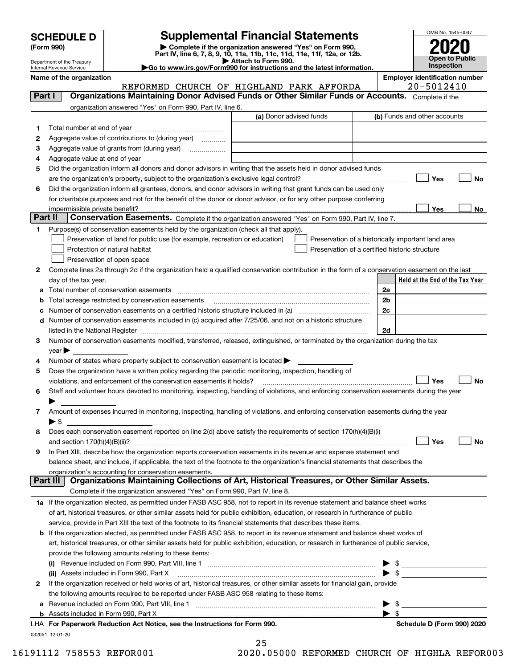| <b>SCHEDULE D</b> |  |
|-------------------|--|
|-------------------|--|

Department of the Treasury Internal Revenue Service

| (Form 990) |  |
|------------|--|
|------------|--|

# **Supplemental Financial Statements**

(Form 990)<br>
Pepartment of the Treasury<br>
Department of the Treasury<br>
Department of the Treasury<br>
Department of the Treasury<br> **Co to www.irs.gov/Form990 for instructions and the latest information.**<br> **Co to www.irs.gov/Form9** 

| ►Go to www.irs.gov/Form990 for instructions and the latest informat |
|---------------------------------------------------------------------|
|---------------------------------------------------------------------|



Name of the organization<br>**REFORMED CHURCH OF HIGHLAND PARK AFFORDA** 20-5012410 REFORMED CHURCH OF HIGHLAND PARK AFFORDA

| organization answered "Yes" on Form 990, Part IV, line 6.<br>(a) Donor advised funds<br>(b) Funds and other accounts<br>1.<br>Aggregate value of contributions to (during year)<br>2<br>Aggregate value of grants from (during year)<br>3<br>4<br>Did the organization inform all donors and donor advisors in writing that the assets held in donor advised funds<br>5<br>Yes<br>No<br>Did the organization inform all grantees, donors, and donor advisors in writing that grant funds can be used only<br>6<br>for charitable purposes and not for the benefit of the donor or donor advisor, or for any other purpose conferring<br>Yes<br>impermissible private benefit?<br>No.<br>Part II<br>Conservation Easements. Complete if the organization answered "Yes" on Form 990, Part IV, line 7.<br>Purpose(s) of conservation easements held by the organization (check all that apply).<br>1<br>Preservation of land for public use (for example, recreation or education)<br>Preservation of a historically important land area<br>Protection of natural habitat<br>Preservation of a certified historic structure<br>Preservation of open space<br>Complete lines 2a through 2d if the organization held a qualified conservation contribution in the form of a conservation easement on the last<br>2<br>day of the tax year.<br>Held at the End of the Tax Year<br>2a<br>Total number of conservation easements<br>2 <sub>b</sub><br>Total acreage restricted by conservation easements<br>b<br>2c<br>Number of conservation easements on a certified historic structure included in (a) manufacture included in (a)<br>с<br>Number of conservation easements included in (c) acquired after 7/25/06, and not on a historic structure<br>d<br>2d<br>listed in the National Register [11, 1200] [12] The National Register [11, 1200] [12] The National Register [11, 1200] [12] The National Register [11, 1200] [12] The National Register [11, 1200] [12] The National Register<br>Number of conservation easements modified, transferred, released, extinguished, or terminated by the organization during the tax<br>3<br>$year \blacktriangleright$<br>Number of states where property subject to conservation easement is located<br>4<br>Does the organization have a written policy regarding the periodic monitoring, inspection, handling of<br>5<br>Yes<br>No<br>violations, and enforcement of the conservation easements it holds?<br>Staff and volunteer hours devoted to monitoring, inspecting, handling of violations, and enforcing conservation easements during the year<br>6<br>Amount of expenses incurred in monitoring, inspecting, handling of violations, and enforcing conservation easements during the year<br>7<br>$\blacktriangleright$ \$<br>Does each conservation easement reported on line 2(d) above satisfy the requirements of section 170(h)(4)(B)(i)<br>8<br>Yes<br>No<br>and section $170(h)(4)(B)(ii)?$<br>In Part XIII, describe how the organization reports conservation easements in its revenue and expense statement and<br>9<br>balance sheet, and include, if applicable, the text of the footnote to the organization's financial statements that describes the<br>organization's accounting for conservation easements.<br>Organizations Maintaining Collections of Art, Historical Treasures, or Other Similar Assets.<br>Part III<br>Complete if the organization answered "Yes" on Form 990, Part IV, line 8.<br>1a If the organization elected, as permitted under FASB ASC 958, not to report in its revenue statement and balance sheet works<br>of art, historical treasures, or other similar assets held for public exhibition, education, or research in furtherance of public<br>service, provide in Part XIII the text of the footnote to its financial statements that describes these items.<br>If the organization elected, as permitted under FASB ASC 958, to report in its revenue statement and balance sheet works of<br>b<br>art, historical treasures, or other similar assets held for public exhibition, education, or research in furtherance of public service,<br>provide the following amounts relating to these items:<br>$\frac{1}{2}$<br>(i)<br>(ii) Assets included in Form 990, Part X [11] [2000] [2010] Assets included in Form 990, Part X [11] [11] [200<br>If the organization received or held works of art, historical treasures, or other similar assets for financial gain, provide<br>2<br>the following amounts required to be reported under FASB ASC 958 relating to these items:<br>$\frac{1}{1}$<br>а<br>$\blacktriangleright$ \$ | Part I | Organizations Maintaining Donor Advised Funds or Other Similar Funds or Accounts. Complete if the | ----------- |                            |
|-------------------------------------------------------------------------------------------------------------------------------------------------------------------------------------------------------------------------------------------------------------------------------------------------------------------------------------------------------------------------------------------------------------------------------------------------------------------------------------------------------------------------------------------------------------------------------------------------------------------------------------------------------------------------------------------------------------------------------------------------------------------------------------------------------------------------------------------------------------------------------------------------------------------------------------------------------------------------------------------------------------------------------------------------------------------------------------------------------------------------------------------------------------------------------------------------------------------------------------------------------------------------------------------------------------------------------------------------------------------------------------------------------------------------------------------------------------------------------------------------------------------------------------------------------------------------------------------------------------------------------------------------------------------------------------------------------------------------------------------------------------------------------------------------------------------------------------------------------------------------------------------------------------------------------------------------------------------------------------------------------------------------------------------------------------------------------------------------------------------------------------------------------------------------------------------------------------------------------------------------------------------------------------------------------------------------------------------------------------------------------------------------------------------------------------------------------------------------------------------------------------------------------------------------------------------------------------------------------------------------------------------------------------------------------------------------------------------------------------------------------------------------------------------------------------------------------------------------------------------------------------------------------------------------------------------------------------------------------------------------------------------------------------------------------------------------------------------------------------------------------------------------------------------------------------------------------------------------------------------------------------------------------------------------------------------------------------------------------------------------------------------------------------------------------------------------------------------------------------------------------------------------------------------------------------------------------------------------------------------------------------------------------------------------------------------------------------------------------------------------------------------------------------------------------------------------------------------------------------------------------------------------------------------------------------------------------------------------------------------------------------------------------------------------------------------------------------------------------------------------------------------------------------------------------------------------------------------------------------------------------------------------------------------------------------------------------------------------------------------------------------------------------------------------------------------------------------------------------------------------------------------------------------------------------------------------------------------------------------------------------------------------|--------|---------------------------------------------------------------------------------------------------|-------------|----------------------------|
|                                                                                                                                                                                                                                                                                                                                                                                                                                                                                                                                                                                                                                                                                                                                                                                                                                                                                                                                                                                                                                                                                                                                                                                                                                                                                                                                                                                                                                                                                                                                                                                                                                                                                                                                                                                                                                                                                                                                                                                                                                                                                                                                                                                                                                                                                                                                                                                                                                                                                                                                                                                                                                                                                                                                                                                                                                                                                                                                                                                                                                                                                                                                                                                                                                                                                                                                                                                                                                                                                                                                                                                                                                                                                                                                                                                                                                                                                                                                                                                                                                                                                                                                                                                                                                                                                                                                                                                                                                                                                                                                                                                                                                                 |        |                                                                                                   |             |                            |
|                                                                                                                                                                                                                                                                                                                                                                                                                                                                                                                                                                                                                                                                                                                                                                                                                                                                                                                                                                                                                                                                                                                                                                                                                                                                                                                                                                                                                                                                                                                                                                                                                                                                                                                                                                                                                                                                                                                                                                                                                                                                                                                                                                                                                                                                                                                                                                                                                                                                                                                                                                                                                                                                                                                                                                                                                                                                                                                                                                                                                                                                                                                                                                                                                                                                                                                                                                                                                                                                                                                                                                                                                                                                                                                                                                                                                                                                                                                                                                                                                                                                                                                                                                                                                                                                                                                                                                                                                                                                                                                                                                                                                                                 |        |                                                                                                   |             |                            |
|                                                                                                                                                                                                                                                                                                                                                                                                                                                                                                                                                                                                                                                                                                                                                                                                                                                                                                                                                                                                                                                                                                                                                                                                                                                                                                                                                                                                                                                                                                                                                                                                                                                                                                                                                                                                                                                                                                                                                                                                                                                                                                                                                                                                                                                                                                                                                                                                                                                                                                                                                                                                                                                                                                                                                                                                                                                                                                                                                                                                                                                                                                                                                                                                                                                                                                                                                                                                                                                                                                                                                                                                                                                                                                                                                                                                                                                                                                                                                                                                                                                                                                                                                                                                                                                                                                                                                                                                                                                                                                                                                                                                                                                 |        |                                                                                                   |             |                            |
|                                                                                                                                                                                                                                                                                                                                                                                                                                                                                                                                                                                                                                                                                                                                                                                                                                                                                                                                                                                                                                                                                                                                                                                                                                                                                                                                                                                                                                                                                                                                                                                                                                                                                                                                                                                                                                                                                                                                                                                                                                                                                                                                                                                                                                                                                                                                                                                                                                                                                                                                                                                                                                                                                                                                                                                                                                                                                                                                                                                                                                                                                                                                                                                                                                                                                                                                                                                                                                                                                                                                                                                                                                                                                                                                                                                                                                                                                                                                                                                                                                                                                                                                                                                                                                                                                                                                                                                                                                                                                                                                                                                                                                                 |        |                                                                                                   |             |                            |
|                                                                                                                                                                                                                                                                                                                                                                                                                                                                                                                                                                                                                                                                                                                                                                                                                                                                                                                                                                                                                                                                                                                                                                                                                                                                                                                                                                                                                                                                                                                                                                                                                                                                                                                                                                                                                                                                                                                                                                                                                                                                                                                                                                                                                                                                                                                                                                                                                                                                                                                                                                                                                                                                                                                                                                                                                                                                                                                                                                                                                                                                                                                                                                                                                                                                                                                                                                                                                                                                                                                                                                                                                                                                                                                                                                                                                                                                                                                                                                                                                                                                                                                                                                                                                                                                                                                                                                                                                                                                                                                                                                                                                                                 |        |                                                                                                   |             |                            |
|                                                                                                                                                                                                                                                                                                                                                                                                                                                                                                                                                                                                                                                                                                                                                                                                                                                                                                                                                                                                                                                                                                                                                                                                                                                                                                                                                                                                                                                                                                                                                                                                                                                                                                                                                                                                                                                                                                                                                                                                                                                                                                                                                                                                                                                                                                                                                                                                                                                                                                                                                                                                                                                                                                                                                                                                                                                                                                                                                                                                                                                                                                                                                                                                                                                                                                                                                                                                                                                                                                                                                                                                                                                                                                                                                                                                                                                                                                                                                                                                                                                                                                                                                                                                                                                                                                                                                                                                                                                                                                                                                                                                                                                 |        |                                                                                                   |             |                            |
|                                                                                                                                                                                                                                                                                                                                                                                                                                                                                                                                                                                                                                                                                                                                                                                                                                                                                                                                                                                                                                                                                                                                                                                                                                                                                                                                                                                                                                                                                                                                                                                                                                                                                                                                                                                                                                                                                                                                                                                                                                                                                                                                                                                                                                                                                                                                                                                                                                                                                                                                                                                                                                                                                                                                                                                                                                                                                                                                                                                                                                                                                                                                                                                                                                                                                                                                                                                                                                                                                                                                                                                                                                                                                                                                                                                                                                                                                                                                                                                                                                                                                                                                                                                                                                                                                                                                                                                                                                                                                                                                                                                                                                                 |        |                                                                                                   |             |                            |
|                                                                                                                                                                                                                                                                                                                                                                                                                                                                                                                                                                                                                                                                                                                                                                                                                                                                                                                                                                                                                                                                                                                                                                                                                                                                                                                                                                                                                                                                                                                                                                                                                                                                                                                                                                                                                                                                                                                                                                                                                                                                                                                                                                                                                                                                                                                                                                                                                                                                                                                                                                                                                                                                                                                                                                                                                                                                                                                                                                                                                                                                                                                                                                                                                                                                                                                                                                                                                                                                                                                                                                                                                                                                                                                                                                                                                                                                                                                                                                                                                                                                                                                                                                                                                                                                                                                                                                                                                                                                                                                                                                                                                                                 |        |                                                                                                   |             |                            |
|                                                                                                                                                                                                                                                                                                                                                                                                                                                                                                                                                                                                                                                                                                                                                                                                                                                                                                                                                                                                                                                                                                                                                                                                                                                                                                                                                                                                                                                                                                                                                                                                                                                                                                                                                                                                                                                                                                                                                                                                                                                                                                                                                                                                                                                                                                                                                                                                                                                                                                                                                                                                                                                                                                                                                                                                                                                                                                                                                                                                                                                                                                                                                                                                                                                                                                                                                                                                                                                                                                                                                                                                                                                                                                                                                                                                                                                                                                                                                                                                                                                                                                                                                                                                                                                                                                                                                                                                                                                                                                                                                                                                                                                 |        |                                                                                                   |             |                            |
|                                                                                                                                                                                                                                                                                                                                                                                                                                                                                                                                                                                                                                                                                                                                                                                                                                                                                                                                                                                                                                                                                                                                                                                                                                                                                                                                                                                                                                                                                                                                                                                                                                                                                                                                                                                                                                                                                                                                                                                                                                                                                                                                                                                                                                                                                                                                                                                                                                                                                                                                                                                                                                                                                                                                                                                                                                                                                                                                                                                                                                                                                                                                                                                                                                                                                                                                                                                                                                                                                                                                                                                                                                                                                                                                                                                                                                                                                                                                                                                                                                                                                                                                                                                                                                                                                                                                                                                                                                                                                                                                                                                                                                                 |        |                                                                                                   |             |                            |
|                                                                                                                                                                                                                                                                                                                                                                                                                                                                                                                                                                                                                                                                                                                                                                                                                                                                                                                                                                                                                                                                                                                                                                                                                                                                                                                                                                                                                                                                                                                                                                                                                                                                                                                                                                                                                                                                                                                                                                                                                                                                                                                                                                                                                                                                                                                                                                                                                                                                                                                                                                                                                                                                                                                                                                                                                                                                                                                                                                                                                                                                                                                                                                                                                                                                                                                                                                                                                                                                                                                                                                                                                                                                                                                                                                                                                                                                                                                                                                                                                                                                                                                                                                                                                                                                                                                                                                                                                                                                                                                                                                                                                                                 |        |                                                                                                   |             |                            |
|                                                                                                                                                                                                                                                                                                                                                                                                                                                                                                                                                                                                                                                                                                                                                                                                                                                                                                                                                                                                                                                                                                                                                                                                                                                                                                                                                                                                                                                                                                                                                                                                                                                                                                                                                                                                                                                                                                                                                                                                                                                                                                                                                                                                                                                                                                                                                                                                                                                                                                                                                                                                                                                                                                                                                                                                                                                                                                                                                                                                                                                                                                                                                                                                                                                                                                                                                                                                                                                                                                                                                                                                                                                                                                                                                                                                                                                                                                                                                                                                                                                                                                                                                                                                                                                                                                                                                                                                                                                                                                                                                                                                                                                 |        |                                                                                                   |             |                            |
|                                                                                                                                                                                                                                                                                                                                                                                                                                                                                                                                                                                                                                                                                                                                                                                                                                                                                                                                                                                                                                                                                                                                                                                                                                                                                                                                                                                                                                                                                                                                                                                                                                                                                                                                                                                                                                                                                                                                                                                                                                                                                                                                                                                                                                                                                                                                                                                                                                                                                                                                                                                                                                                                                                                                                                                                                                                                                                                                                                                                                                                                                                                                                                                                                                                                                                                                                                                                                                                                                                                                                                                                                                                                                                                                                                                                                                                                                                                                                                                                                                                                                                                                                                                                                                                                                                                                                                                                                                                                                                                                                                                                                                                 |        |                                                                                                   |             |                            |
|                                                                                                                                                                                                                                                                                                                                                                                                                                                                                                                                                                                                                                                                                                                                                                                                                                                                                                                                                                                                                                                                                                                                                                                                                                                                                                                                                                                                                                                                                                                                                                                                                                                                                                                                                                                                                                                                                                                                                                                                                                                                                                                                                                                                                                                                                                                                                                                                                                                                                                                                                                                                                                                                                                                                                                                                                                                                                                                                                                                                                                                                                                                                                                                                                                                                                                                                                                                                                                                                                                                                                                                                                                                                                                                                                                                                                                                                                                                                                                                                                                                                                                                                                                                                                                                                                                                                                                                                                                                                                                                                                                                                                                                 |        |                                                                                                   |             |                            |
|                                                                                                                                                                                                                                                                                                                                                                                                                                                                                                                                                                                                                                                                                                                                                                                                                                                                                                                                                                                                                                                                                                                                                                                                                                                                                                                                                                                                                                                                                                                                                                                                                                                                                                                                                                                                                                                                                                                                                                                                                                                                                                                                                                                                                                                                                                                                                                                                                                                                                                                                                                                                                                                                                                                                                                                                                                                                                                                                                                                                                                                                                                                                                                                                                                                                                                                                                                                                                                                                                                                                                                                                                                                                                                                                                                                                                                                                                                                                                                                                                                                                                                                                                                                                                                                                                                                                                                                                                                                                                                                                                                                                                                                 |        |                                                                                                   |             |                            |
|                                                                                                                                                                                                                                                                                                                                                                                                                                                                                                                                                                                                                                                                                                                                                                                                                                                                                                                                                                                                                                                                                                                                                                                                                                                                                                                                                                                                                                                                                                                                                                                                                                                                                                                                                                                                                                                                                                                                                                                                                                                                                                                                                                                                                                                                                                                                                                                                                                                                                                                                                                                                                                                                                                                                                                                                                                                                                                                                                                                                                                                                                                                                                                                                                                                                                                                                                                                                                                                                                                                                                                                                                                                                                                                                                                                                                                                                                                                                                                                                                                                                                                                                                                                                                                                                                                                                                                                                                                                                                                                                                                                                                                                 |        |                                                                                                   |             |                            |
|                                                                                                                                                                                                                                                                                                                                                                                                                                                                                                                                                                                                                                                                                                                                                                                                                                                                                                                                                                                                                                                                                                                                                                                                                                                                                                                                                                                                                                                                                                                                                                                                                                                                                                                                                                                                                                                                                                                                                                                                                                                                                                                                                                                                                                                                                                                                                                                                                                                                                                                                                                                                                                                                                                                                                                                                                                                                                                                                                                                                                                                                                                                                                                                                                                                                                                                                                                                                                                                                                                                                                                                                                                                                                                                                                                                                                                                                                                                                                                                                                                                                                                                                                                                                                                                                                                                                                                                                                                                                                                                                                                                                                                                 |        |                                                                                                   |             |                            |
|                                                                                                                                                                                                                                                                                                                                                                                                                                                                                                                                                                                                                                                                                                                                                                                                                                                                                                                                                                                                                                                                                                                                                                                                                                                                                                                                                                                                                                                                                                                                                                                                                                                                                                                                                                                                                                                                                                                                                                                                                                                                                                                                                                                                                                                                                                                                                                                                                                                                                                                                                                                                                                                                                                                                                                                                                                                                                                                                                                                                                                                                                                                                                                                                                                                                                                                                                                                                                                                                                                                                                                                                                                                                                                                                                                                                                                                                                                                                                                                                                                                                                                                                                                                                                                                                                                                                                                                                                                                                                                                                                                                                                                                 |        |                                                                                                   |             |                            |
|                                                                                                                                                                                                                                                                                                                                                                                                                                                                                                                                                                                                                                                                                                                                                                                                                                                                                                                                                                                                                                                                                                                                                                                                                                                                                                                                                                                                                                                                                                                                                                                                                                                                                                                                                                                                                                                                                                                                                                                                                                                                                                                                                                                                                                                                                                                                                                                                                                                                                                                                                                                                                                                                                                                                                                                                                                                                                                                                                                                                                                                                                                                                                                                                                                                                                                                                                                                                                                                                                                                                                                                                                                                                                                                                                                                                                                                                                                                                                                                                                                                                                                                                                                                                                                                                                                                                                                                                                                                                                                                                                                                                                                                 |        |                                                                                                   |             |                            |
|                                                                                                                                                                                                                                                                                                                                                                                                                                                                                                                                                                                                                                                                                                                                                                                                                                                                                                                                                                                                                                                                                                                                                                                                                                                                                                                                                                                                                                                                                                                                                                                                                                                                                                                                                                                                                                                                                                                                                                                                                                                                                                                                                                                                                                                                                                                                                                                                                                                                                                                                                                                                                                                                                                                                                                                                                                                                                                                                                                                                                                                                                                                                                                                                                                                                                                                                                                                                                                                                                                                                                                                                                                                                                                                                                                                                                                                                                                                                                                                                                                                                                                                                                                                                                                                                                                                                                                                                                                                                                                                                                                                                                                                 |        |                                                                                                   |             |                            |
|                                                                                                                                                                                                                                                                                                                                                                                                                                                                                                                                                                                                                                                                                                                                                                                                                                                                                                                                                                                                                                                                                                                                                                                                                                                                                                                                                                                                                                                                                                                                                                                                                                                                                                                                                                                                                                                                                                                                                                                                                                                                                                                                                                                                                                                                                                                                                                                                                                                                                                                                                                                                                                                                                                                                                                                                                                                                                                                                                                                                                                                                                                                                                                                                                                                                                                                                                                                                                                                                                                                                                                                                                                                                                                                                                                                                                                                                                                                                                                                                                                                                                                                                                                                                                                                                                                                                                                                                                                                                                                                                                                                                                                                 |        |                                                                                                   |             |                            |
|                                                                                                                                                                                                                                                                                                                                                                                                                                                                                                                                                                                                                                                                                                                                                                                                                                                                                                                                                                                                                                                                                                                                                                                                                                                                                                                                                                                                                                                                                                                                                                                                                                                                                                                                                                                                                                                                                                                                                                                                                                                                                                                                                                                                                                                                                                                                                                                                                                                                                                                                                                                                                                                                                                                                                                                                                                                                                                                                                                                                                                                                                                                                                                                                                                                                                                                                                                                                                                                                                                                                                                                                                                                                                                                                                                                                                                                                                                                                                                                                                                                                                                                                                                                                                                                                                                                                                                                                                                                                                                                                                                                                                                                 |        |                                                                                                   |             |                            |
|                                                                                                                                                                                                                                                                                                                                                                                                                                                                                                                                                                                                                                                                                                                                                                                                                                                                                                                                                                                                                                                                                                                                                                                                                                                                                                                                                                                                                                                                                                                                                                                                                                                                                                                                                                                                                                                                                                                                                                                                                                                                                                                                                                                                                                                                                                                                                                                                                                                                                                                                                                                                                                                                                                                                                                                                                                                                                                                                                                                                                                                                                                                                                                                                                                                                                                                                                                                                                                                                                                                                                                                                                                                                                                                                                                                                                                                                                                                                                                                                                                                                                                                                                                                                                                                                                                                                                                                                                                                                                                                                                                                                                                                 |        |                                                                                                   |             |                            |
|                                                                                                                                                                                                                                                                                                                                                                                                                                                                                                                                                                                                                                                                                                                                                                                                                                                                                                                                                                                                                                                                                                                                                                                                                                                                                                                                                                                                                                                                                                                                                                                                                                                                                                                                                                                                                                                                                                                                                                                                                                                                                                                                                                                                                                                                                                                                                                                                                                                                                                                                                                                                                                                                                                                                                                                                                                                                                                                                                                                                                                                                                                                                                                                                                                                                                                                                                                                                                                                                                                                                                                                                                                                                                                                                                                                                                                                                                                                                                                                                                                                                                                                                                                                                                                                                                                                                                                                                                                                                                                                                                                                                                                                 |        |                                                                                                   |             |                            |
|                                                                                                                                                                                                                                                                                                                                                                                                                                                                                                                                                                                                                                                                                                                                                                                                                                                                                                                                                                                                                                                                                                                                                                                                                                                                                                                                                                                                                                                                                                                                                                                                                                                                                                                                                                                                                                                                                                                                                                                                                                                                                                                                                                                                                                                                                                                                                                                                                                                                                                                                                                                                                                                                                                                                                                                                                                                                                                                                                                                                                                                                                                                                                                                                                                                                                                                                                                                                                                                                                                                                                                                                                                                                                                                                                                                                                                                                                                                                                                                                                                                                                                                                                                                                                                                                                                                                                                                                                                                                                                                                                                                                                                                 |        |                                                                                                   |             |                            |
|                                                                                                                                                                                                                                                                                                                                                                                                                                                                                                                                                                                                                                                                                                                                                                                                                                                                                                                                                                                                                                                                                                                                                                                                                                                                                                                                                                                                                                                                                                                                                                                                                                                                                                                                                                                                                                                                                                                                                                                                                                                                                                                                                                                                                                                                                                                                                                                                                                                                                                                                                                                                                                                                                                                                                                                                                                                                                                                                                                                                                                                                                                                                                                                                                                                                                                                                                                                                                                                                                                                                                                                                                                                                                                                                                                                                                                                                                                                                                                                                                                                                                                                                                                                                                                                                                                                                                                                                                                                                                                                                                                                                                                                 |        |                                                                                                   |             |                            |
|                                                                                                                                                                                                                                                                                                                                                                                                                                                                                                                                                                                                                                                                                                                                                                                                                                                                                                                                                                                                                                                                                                                                                                                                                                                                                                                                                                                                                                                                                                                                                                                                                                                                                                                                                                                                                                                                                                                                                                                                                                                                                                                                                                                                                                                                                                                                                                                                                                                                                                                                                                                                                                                                                                                                                                                                                                                                                                                                                                                                                                                                                                                                                                                                                                                                                                                                                                                                                                                                                                                                                                                                                                                                                                                                                                                                                                                                                                                                                                                                                                                                                                                                                                                                                                                                                                                                                                                                                                                                                                                                                                                                                                                 |        |                                                                                                   |             |                            |
|                                                                                                                                                                                                                                                                                                                                                                                                                                                                                                                                                                                                                                                                                                                                                                                                                                                                                                                                                                                                                                                                                                                                                                                                                                                                                                                                                                                                                                                                                                                                                                                                                                                                                                                                                                                                                                                                                                                                                                                                                                                                                                                                                                                                                                                                                                                                                                                                                                                                                                                                                                                                                                                                                                                                                                                                                                                                                                                                                                                                                                                                                                                                                                                                                                                                                                                                                                                                                                                                                                                                                                                                                                                                                                                                                                                                                                                                                                                                                                                                                                                                                                                                                                                                                                                                                                                                                                                                                                                                                                                                                                                                                                                 |        |                                                                                                   |             |                            |
|                                                                                                                                                                                                                                                                                                                                                                                                                                                                                                                                                                                                                                                                                                                                                                                                                                                                                                                                                                                                                                                                                                                                                                                                                                                                                                                                                                                                                                                                                                                                                                                                                                                                                                                                                                                                                                                                                                                                                                                                                                                                                                                                                                                                                                                                                                                                                                                                                                                                                                                                                                                                                                                                                                                                                                                                                                                                                                                                                                                                                                                                                                                                                                                                                                                                                                                                                                                                                                                                                                                                                                                                                                                                                                                                                                                                                                                                                                                                                                                                                                                                                                                                                                                                                                                                                                                                                                                                                                                                                                                                                                                                                                                 |        |                                                                                                   |             |                            |
|                                                                                                                                                                                                                                                                                                                                                                                                                                                                                                                                                                                                                                                                                                                                                                                                                                                                                                                                                                                                                                                                                                                                                                                                                                                                                                                                                                                                                                                                                                                                                                                                                                                                                                                                                                                                                                                                                                                                                                                                                                                                                                                                                                                                                                                                                                                                                                                                                                                                                                                                                                                                                                                                                                                                                                                                                                                                                                                                                                                                                                                                                                                                                                                                                                                                                                                                                                                                                                                                                                                                                                                                                                                                                                                                                                                                                                                                                                                                                                                                                                                                                                                                                                                                                                                                                                                                                                                                                                                                                                                                                                                                                                                 |        |                                                                                                   |             |                            |
|                                                                                                                                                                                                                                                                                                                                                                                                                                                                                                                                                                                                                                                                                                                                                                                                                                                                                                                                                                                                                                                                                                                                                                                                                                                                                                                                                                                                                                                                                                                                                                                                                                                                                                                                                                                                                                                                                                                                                                                                                                                                                                                                                                                                                                                                                                                                                                                                                                                                                                                                                                                                                                                                                                                                                                                                                                                                                                                                                                                                                                                                                                                                                                                                                                                                                                                                                                                                                                                                                                                                                                                                                                                                                                                                                                                                                                                                                                                                                                                                                                                                                                                                                                                                                                                                                                                                                                                                                                                                                                                                                                                                                                                 |        |                                                                                                   |             |                            |
|                                                                                                                                                                                                                                                                                                                                                                                                                                                                                                                                                                                                                                                                                                                                                                                                                                                                                                                                                                                                                                                                                                                                                                                                                                                                                                                                                                                                                                                                                                                                                                                                                                                                                                                                                                                                                                                                                                                                                                                                                                                                                                                                                                                                                                                                                                                                                                                                                                                                                                                                                                                                                                                                                                                                                                                                                                                                                                                                                                                                                                                                                                                                                                                                                                                                                                                                                                                                                                                                                                                                                                                                                                                                                                                                                                                                                                                                                                                                                                                                                                                                                                                                                                                                                                                                                                                                                                                                                                                                                                                                                                                                                                                 |        |                                                                                                   |             |                            |
|                                                                                                                                                                                                                                                                                                                                                                                                                                                                                                                                                                                                                                                                                                                                                                                                                                                                                                                                                                                                                                                                                                                                                                                                                                                                                                                                                                                                                                                                                                                                                                                                                                                                                                                                                                                                                                                                                                                                                                                                                                                                                                                                                                                                                                                                                                                                                                                                                                                                                                                                                                                                                                                                                                                                                                                                                                                                                                                                                                                                                                                                                                                                                                                                                                                                                                                                                                                                                                                                                                                                                                                                                                                                                                                                                                                                                                                                                                                                                                                                                                                                                                                                                                                                                                                                                                                                                                                                                                                                                                                                                                                                                                                 |        |                                                                                                   |             |                            |
|                                                                                                                                                                                                                                                                                                                                                                                                                                                                                                                                                                                                                                                                                                                                                                                                                                                                                                                                                                                                                                                                                                                                                                                                                                                                                                                                                                                                                                                                                                                                                                                                                                                                                                                                                                                                                                                                                                                                                                                                                                                                                                                                                                                                                                                                                                                                                                                                                                                                                                                                                                                                                                                                                                                                                                                                                                                                                                                                                                                                                                                                                                                                                                                                                                                                                                                                                                                                                                                                                                                                                                                                                                                                                                                                                                                                                                                                                                                                                                                                                                                                                                                                                                                                                                                                                                                                                                                                                                                                                                                                                                                                                                                 |        |                                                                                                   |             |                            |
|                                                                                                                                                                                                                                                                                                                                                                                                                                                                                                                                                                                                                                                                                                                                                                                                                                                                                                                                                                                                                                                                                                                                                                                                                                                                                                                                                                                                                                                                                                                                                                                                                                                                                                                                                                                                                                                                                                                                                                                                                                                                                                                                                                                                                                                                                                                                                                                                                                                                                                                                                                                                                                                                                                                                                                                                                                                                                                                                                                                                                                                                                                                                                                                                                                                                                                                                                                                                                                                                                                                                                                                                                                                                                                                                                                                                                                                                                                                                                                                                                                                                                                                                                                                                                                                                                                                                                                                                                                                                                                                                                                                                                                                 |        |                                                                                                   |             |                            |
|                                                                                                                                                                                                                                                                                                                                                                                                                                                                                                                                                                                                                                                                                                                                                                                                                                                                                                                                                                                                                                                                                                                                                                                                                                                                                                                                                                                                                                                                                                                                                                                                                                                                                                                                                                                                                                                                                                                                                                                                                                                                                                                                                                                                                                                                                                                                                                                                                                                                                                                                                                                                                                                                                                                                                                                                                                                                                                                                                                                                                                                                                                                                                                                                                                                                                                                                                                                                                                                                                                                                                                                                                                                                                                                                                                                                                                                                                                                                                                                                                                                                                                                                                                                                                                                                                                                                                                                                                                                                                                                                                                                                                                                 |        |                                                                                                   |             |                            |
|                                                                                                                                                                                                                                                                                                                                                                                                                                                                                                                                                                                                                                                                                                                                                                                                                                                                                                                                                                                                                                                                                                                                                                                                                                                                                                                                                                                                                                                                                                                                                                                                                                                                                                                                                                                                                                                                                                                                                                                                                                                                                                                                                                                                                                                                                                                                                                                                                                                                                                                                                                                                                                                                                                                                                                                                                                                                                                                                                                                                                                                                                                                                                                                                                                                                                                                                                                                                                                                                                                                                                                                                                                                                                                                                                                                                                                                                                                                                                                                                                                                                                                                                                                                                                                                                                                                                                                                                                                                                                                                                                                                                                                                 |        |                                                                                                   |             |                            |
|                                                                                                                                                                                                                                                                                                                                                                                                                                                                                                                                                                                                                                                                                                                                                                                                                                                                                                                                                                                                                                                                                                                                                                                                                                                                                                                                                                                                                                                                                                                                                                                                                                                                                                                                                                                                                                                                                                                                                                                                                                                                                                                                                                                                                                                                                                                                                                                                                                                                                                                                                                                                                                                                                                                                                                                                                                                                                                                                                                                                                                                                                                                                                                                                                                                                                                                                                                                                                                                                                                                                                                                                                                                                                                                                                                                                                                                                                                                                                                                                                                                                                                                                                                                                                                                                                                                                                                                                                                                                                                                                                                                                                                                 |        |                                                                                                   |             |                            |
|                                                                                                                                                                                                                                                                                                                                                                                                                                                                                                                                                                                                                                                                                                                                                                                                                                                                                                                                                                                                                                                                                                                                                                                                                                                                                                                                                                                                                                                                                                                                                                                                                                                                                                                                                                                                                                                                                                                                                                                                                                                                                                                                                                                                                                                                                                                                                                                                                                                                                                                                                                                                                                                                                                                                                                                                                                                                                                                                                                                                                                                                                                                                                                                                                                                                                                                                                                                                                                                                                                                                                                                                                                                                                                                                                                                                                                                                                                                                                                                                                                                                                                                                                                                                                                                                                                                                                                                                                                                                                                                                                                                                                                                 |        |                                                                                                   |             |                            |
|                                                                                                                                                                                                                                                                                                                                                                                                                                                                                                                                                                                                                                                                                                                                                                                                                                                                                                                                                                                                                                                                                                                                                                                                                                                                                                                                                                                                                                                                                                                                                                                                                                                                                                                                                                                                                                                                                                                                                                                                                                                                                                                                                                                                                                                                                                                                                                                                                                                                                                                                                                                                                                                                                                                                                                                                                                                                                                                                                                                                                                                                                                                                                                                                                                                                                                                                                                                                                                                                                                                                                                                                                                                                                                                                                                                                                                                                                                                                                                                                                                                                                                                                                                                                                                                                                                                                                                                                                                                                                                                                                                                                                                                 |        |                                                                                                   |             |                            |
|                                                                                                                                                                                                                                                                                                                                                                                                                                                                                                                                                                                                                                                                                                                                                                                                                                                                                                                                                                                                                                                                                                                                                                                                                                                                                                                                                                                                                                                                                                                                                                                                                                                                                                                                                                                                                                                                                                                                                                                                                                                                                                                                                                                                                                                                                                                                                                                                                                                                                                                                                                                                                                                                                                                                                                                                                                                                                                                                                                                                                                                                                                                                                                                                                                                                                                                                                                                                                                                                                                                                                                                                                                                                                                                                                                                                                                                                                                                                                                                                                                                                                                                                                                                                                                                                                                                                                                                                                                                                                                                                                                                                                                                 |        |                                                                                                   |             |                            |
|                                                                                                                                                                                                                                                                                                                                                                                                                                                                                                                                                                                                                                                                                                                                                                                                                                                                                                                                                                                                                                                                                                                                                                                                                                                                                                                                                                                                                                                                                                                                                                                                                                                                                                                                                                                                                                                                                                                                                                                                                                                                                                                                                                                                                                                                                                                                                                                                                                                                                                                                                                                                                                                                                                                                                                                                                                                                                                                                                                                                                                                                                                                                                                                                                                                                                                                                                                                                                                                                                                                                                                                                                                                                                                                                                                                                                                                                                                                                                                                                                                                                                                                                                                                                                                                                                                                                                                                                                                                                                                                                                                                                                                                 |        |                                                                                                   |             |                            |
|                                                                                                                                                                                                                                                                                                                                                                                                                                                                                                                                                                                                                                                                                                                                                                                                                                                                                                                                                                                                                                                                                                                                                                                                                                                                                                                                                                                                                                                                                                                                                                                                                                                                                                                                                                                                                                                                                                                                                                                                                                                                                                                                                                                                                                                                                                                                                                                                                                                                                                                                                                                                                                                                                                                                                                                                                                                                                                                                                                                                                                                                                                                                                                                                                                                                                                                                                                                                                                                                                                                                                                                                                                                                                                                                                                                                                                                                                                                                                                                                                                                                                                                                                                                                                                                                                                                                                                                                                                                                                                                                                                                                                                                 |        |                                                                                                   |             |                            |
|                                                                                                                                                                                                                                                                                                                                                                                                                                                                                                                                                                                                                                                                                                                                                                                                                                                                                                                                                                                                                                                                                                                                                                                                                                                                                                                                                                                                                                                                                                                                                                                                                                                                                                                                                                                                                                                                                                                                                                                                                                                                                                                                                                                                                                                                                                                                                                                                                                                                                                                                                                                                                                                                                                                                                                                                                                                                                                                                                                                                                                                                                                                                                                                                                                                                                                                                                                                                                                                                                                                                                                                                                                                                                                                                                                                                                                                                                                                                                                                                                                                                                                                                                                                                                                                                                                                                                                                                                                                                                                                                                                                                                                                 |        |                                                                                                   |             |                            |
|                                                                                                                                                                                                                                                                                                                                                                                                                                                                                                                                                                                                                                                                                                                                                                                                                                                                                                                                                                                                                                                                                                                                                                                                                                                                                                                                                                                                                                                                                                                                                                                                                                                                                                                                                                                                                                                                                                                                                                                                                                                                                                                                                                                                                                                                                                                                                                                                                                                                                                                                                                                                                                                                                                                                                                                                                                                                                                                                                                                                                                                                                                                                                                                                                                                                                                                                                                                                                                                                                                                                                                                                                                                                                                                                                                                                                                                                                                                                                                                                                                                                                                                                                                                                                                                                                                                                                                                                                                                                                                                                                                                                                                                 |        |                                                                                                   |             |                            |
|                                                                                                                                                                                                                                                                                                                                                                                                                                                                                                                                                                                                                                                                                                                                                                                                                                                                                                                                                                                                                                                                                                                                                                                                                                                                                                                                                                                                                                                                                                                                                                                                                                                                                                                                                                                                                                                                                                                                                                                                                                                                                                                                                                                                                                                                                                                                                                                                                                                                                                                                                                                                                                                                                                                                                                                                                                                                                                                                                                                                                                                                                                                                                                                                                                                                                                                                                                                                                                                                                                                                                                                                                                                                                                                                                                                                                                                                                                                                                                                                                                                                                                                                                                                                                                                                                                                                                                                                                                                                                                                                                                                                                                                 |        |                                                                                                   |             |                            |
|                                                                                                                                                                                                                                                                                                                                                                                                                                                                                                                                                                                                                                                                                                                                                                                                                                                                                                                                                                                                                                                                                                                                                                                                                                                                                                                                                                                                                                                                                                                                                                                                                                                                                                                                                                                                                                                                                                                                                                                                                                                                                                                                                                                                                                                                                                                                                                                                                                                                                                                                                                                                                                                                                                                                                                                                                                                                                                                                                                                                                                                                                                                                                                                                                                                                                                                                                                                                                                                                                                                                                                                                                                                                                                                                                                                                                                                                                                                                                                                                                                                                                                                                                                                                                                                                                                                                                                                                                                                                                                                                                                                                                                                 |        |                                                                                                   |             |                            |
|                                                                                                                                                                                                                                                                                                                                                                                                                                                                                                                                                                                                                                                                                                                                                                                                                                                                                                                                                                                                                                                                                                                                                                                                                                                                                                                                                                                                                                                                                                                                                                                                                                                                                                                                                                                                                                                                                                                                                                                                                                                                                                                                                                                                                                                                                                                                                                                                                                                                                                                                                                                                                                                                                                                                                                                                                                                                                                                                                                                                                                                                                                                                                                                                                                                                                                                                                                                                                                                                                                                                                                                                                                                                                                                                                                                                                                                                                                                                                                                                                                                                                                                                                                                                                                                                                                                                                                                                                                                                                                                                                                                                                                                 |        |                                                                                                   |             |                            |
|                                                                                                                                                                                                                                                                                                                                                                                                                                                                                                                                                                                                                                                                                                                                                                                                                                                                                                                                                                                                                                                                                                                                                                                                                                                                                                                                                                                                                                                                                                                                                                                                                                                                                                                                                                                                                                                                                                                                                                                                                                                                                                                                                                                                                                                                                                                                                                                                                                                                                                                                                                                                                                                                                                                                                                                                                                                                                                                                                                                                                                                                                                                                                                                                                                                                                                                                                                                                                                                                                                                                                                                                                                                                                                                                                                                                                                                                                                                                                                                                                                                                                                                                                                                                                                                                                                                                                                                                                                                                                                                                                                                                                                                 |        |                                                                                                   |             |                            |
| LHA For Paperwork Reduction Act Notice, see the Instructions for Form 990.                                                                                                                                                                                                                                                                                                                                                                                                                                                                                                                                                                                                                                                                                                                                                                                                                                                                                                                                                                                                                                                                                                                                                                                                                                                                                                                                                                                                                                                                                                                                                                                                                                                                                                                                                                                                                                                                                                                                                                                                                                                                                                                                                                                                                                                                                                                                                                                                                                                                                                                                                                                                                                                                                                                                                                                                                                                                                                                                                                                                                                                                                                                                                                                                                                                                                                                                                                                                                                                                                                                                                                                                                                                                                                                                                                                                                                                                                                                                                                                                                                                                                                                                                                                                                                                                                                                                                                                                                                                                                                                                                                      |        |                                                                                                   |             | Schedule D (Form 990) 2020 |

032051 12-01-20

|    | 25 |   |                      |  |  |
|----|----|---|----------------------|--|--|
| ۰. | ∼  | ⌒ | $\sim$ $\sim$ $\sim$ |  |  |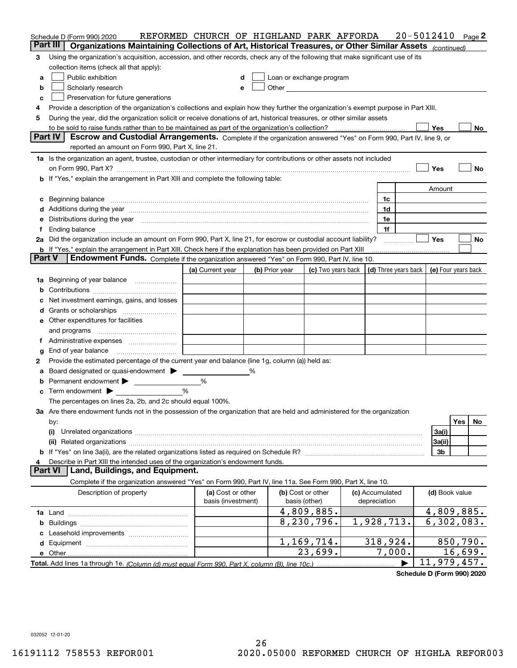|                | Schedule D (Form 990) 2020                                                                                                                                                                                                     | REFORMED CHURCH OF HIGHLAND PARK AFFORDA |   |                                                                                                                                                                                                                                |                                                                             |                                 | $20 - 5012410$             |          | Page 2 |
|----------------|--------------------------------------------------------------------------------------------------------------------------------------------------------------------------------------------------------------------------------|------------------------------------------|---|--------------------------------------------------------------------------------------------------------------------------------------------------------------------------------------------------------------------------------|-----------------------------------------------------------------------------|---------------------------------|----------------------------|----------|--------|
|                | Part III<br>Organizations Maintaining Collections of Art, Historical Treasures, or Other Similar Assets (continued)                                                                                                            |                                          |   |                                                                                                                                                                                                                                |                                                                             |                                 |                            |          |        |
| 3              | Using the organization's acquisition, accession, and other records, check any of the following that make significant use of its                                                                                                |                                          |   |                                                                                                                                                                                                                                |                                                                             |                                 |                            |          |        |
|                | collection items (check all that apply):                                                                                                                                                                                       |                                          |   |                                                                                                                                                                                                                                |                                                                             |                                 |                            |          |        |
| a              | Public exhibition                                                                                                                                                                                                              | d                                        |   | Loan or exchange program                                                                                                                                                                                                       |                                                                             |                                 |                            |          |        |
| b              | Scholarly research                                                                                                                                                                                                             | е                                        |   | Other and the control of the control of the control of the control of the control of the control of the control of the control of the control of the control of the control of the control of the control of the control of th |                                                                             |                                 |                            |          |        |
| c              | Preservation for future generations                                                                                                                                                                                            |                                          |   |                                                                                                                                                                                                                                |                                                                             |                                 |                            |          |        |
| 4              | Provide a description of the organization's collections and explain how they further the organization's exempt purpose in Part XIII.                                                                                           |                                          |   |                                                                                                                                                                                                                                |                                                                             |                                 |                            |          |        |
| 5              | During the year, did the organization solicit or receive donations of art, historical treasures, or other similar assets                                                                                                       |                                          |   |                                                                                                                                                                                                                                |                                                                             |                                 |                            |          |        |
|                |                                                                                                                                                                                                                                |                                          |   |                                                                                                                                                                                                                                |                                                                             |                                 | Yes                        |          | No     |
|                | Part IV<br>Escrow and Custodial Arrangements. Complete if the organization answered "Yes" on Form 990, Part IV, line 9, or<br>reported an amount on Form 990, Part X, line 21.                                                 |                                          |   |                                                                                                                                                                                                                                |                                                                             |                                 |                            |          |        |
|                |                                                                                                                                                                                                                                |                                          |   |                                                                                                                                                                                                                                |                                                                             |                                 |                            |          |        |
|                | 1a Is the organization an agent, trustee, custodian or other intermediary for contributions or other assets not included                                                                                                       |                                          |   |                                                                                                                                                                                                                                |                                                                             |                                 |                            |          |        |
|                | on Form 990, Part X? [11] matter contracts and contracts and contracts are contracted as a function of the set of the set of the set of the set of the set of the set of the set of the set of the set of the set of the set o |                                          |   |                                                                                                                                                                                                                                |                                                                             |                                 | Yes                        |          | No     |
|                | b If "Yes," explain the arrangement in Part XIII and complete the following table:                                                                                                                                             |                                          |   |                                                                                                                                                                                                                                |                                                                             |                                 |                            |          |        |
|                |                                                                                                                                                                                                                                |                                          |   |                                                                                                                                                                                                                                |                                                                             |                                 | Amount                     |          |        |
|                | c Beginning balance measurements and the contract of the contract of the contract of the contract of the contract of the contract of the contract of the contract of the contract of the contract of the contract of the contr |                                          |   |                                                                                                                                                                                                                                |                                                                             | 1c<br>1d                        |                            |          |        |
|                |                                                                                                                                                                                                                                |                                          |   |                                                                                                                                                                                                                                |                                                                             | 1e                              |                            |          |        |
| е<br>Ť.        | Distributions during the year manufactured and continuum and contract the year manufactured and contract the year                                                                                                              |                                          |   |                                                                                                                                                                                                                                |                                                                             | 1f                              |                            |          |        |
|                | 2a Did the organization include an amount on Form 990, Part X, line 21, for escrow or custodial account liability?                                                                                                             |                                          |   |                                                                                                                                                                                                                                |                                                                             |                                 | <b>Yes</b>                 |          | No     |
|                | <b>b</b> If "Yes," explain the arrangement in Part XIII. Check here if the explanation has been provided on Part XIII                                                                                                          |                                          |   |                                                                                                                                                                                                                                |                                                                             |                                 |                            |          |        |
| <b>Part V</b>  | Endowment Funds. Complete if the organization answered "Yes" on Form 990, Part IV, line 10.                                                                                                                                    |                                          |   |                                                                                                                                                                                                                                |                                                                             |                                 |                            |          |        |
|                |                                                                                                                                                                                                                                | (a) Current year                         |   | (b) Prior year                                                                                                                                                                                                                 | (c) Two years back $\vert$ (d) Three years back $\vert$ (e) Four years back |                                 |                            |          |        |
|                | 1a Beginning of year balance                                                                                                                                                                                                   |                                          |   |                                                                                                                                                                                                                                |                                                                             |                                 |                            |          |        |
| b              |                                                                                                                                                                                                                                |                                          |   |                                                                                                                                                                                                                                |                                                                             |                                 |                            |          |        |
|                | Net investment earnings, gains, and losses                                                                                                                                                                                     |                                          |   |                                                                                                                                                                                                                                |                                                                             |                                 |                            |          |        |
| d              |                                                                                                                                                                                                                                |                                          |   |                                                                                                                                                                                                                                |                                                                             |                                 |                            |          |        |
|                | <b>e</b> Other expenditures for facilities                                                                                                                                                                                     |                                          |   |                                                                                                                                                                                                                                |                                                                             |                                 |                            |          |        |
|                | and programs                                                                                                                                                                                                                   |                                          |   |                                                                                                                                                                                                                                |                                                                             |                                 |                            |          |        |
| Ť.             |                                                                                                                                                                                                                                |                                          |   |                                                                                                                                                                                                                                |                                                                             |                                 |                            |          |        |
| g              | End of year balance                                                                                                                                                                                                            |                                          |   |                                                                                                                                                                                                                                |                                                                             |                                 |                            |          |        |
| 2              | Provide the estimated percentage of the current year end balance (line 1g, column (a)) held as:                                                                                                                                |                                          |   |                                                                                                                                                                                                                                |                                                                             |                                 |                            |          |        |
| а              | Board designated or quasi-endowment >                                                                                                                                                                                          |                                          | % |                                                                                                                                                                                                                                |                                                                             |                                 |                            |          |        |
| b              | Permanent endowment >                                                                                                                                                                                                          | %                                        |   |                                                                                                                                                                                                                                |                                                                             |                                 |                            |          |        |
| c              | Term endowment $\blacktriangleright$                                                                                                                                                                                           | %                                        |   |                                                                                                                                                                                                                                |                                                                             |                                 |                            |          |        |
|                | The percentages on lines 2a, 2b, and 2c should equal 100%.                                                                                                                                                                     |                                          |   |                                                                                                                                                                                                                                |                                                                             |                                 |                            |          |        |
|                | 3a Are there endowment funds not in the possession of the organization that are held and administered for the organization                                                                                                     |                                          |   |                                                                                                                                                                                                                                |                                                                             |                                 |                            |          |        |
|                | by:                                                                                                                                                                                                                            |                                          |   |                                                                                                                                                                                                                                |                                                                             |                                 |                            | Yes      | No     |
|                | (i)                                                                                                                                                                                                                            |                                          |   |                                                                                                                                                                                                                                |                                                                             |                                 | 3a(i)                      |          |        |
|                | (ii)                                                                                                                                                                                                                           |                                          |   |                                                                                                                                                                                                                                |                                                                             |                                 | 3a(ii)                     |          |        |
|                |                                                                                                                                                                                                                                |                                          |   |                                                                                                                                                                                                                                |                                                                             |                                 | 3b                         |          |        |
| 4              | Describe in Part XIII the intended uses of the organization's endowment funds.                                                                                                                                                 |                                          |   |                                                                                                                                                                                                                                |                                                                             |                                 |                            |          |        |
| <b>Part VI</b> | Land, Buildings, and Equipment.                                                                                                                                                                                                |                                          |   |                                                                                                                                                                                                                                |                                                                             |                                 |                            |          |        |
|                | Complete if the organization answered "Yes" on Form 990, Part IV, line 11a. See Form 990, Part X, line 10.                                                                                                                     |                                          |   |                                                                                                                                                                                                                                |                                                                             |                                 |                            |          |        |
|                | Description of property                                                                                                                                                                                                        | (a) Cost or other<br>basis (investment)  |   |                                                                                                                                                                                                                                | (b) Cost or other<br>basis (other)                                          | (c) Accumulated<br>depreciation | (d) Book value             |          |        |
|                |                                                                                                                                                                                                                                |                                          |   |                                                                                                                                                                                                                                | 4,809,885.                                                                  |                                 | 4,809,885.                 |          |        |
|                |                                                                                                                                                                                                                                |                                          |   |                                                                                                                                                                                                                                | 8,230,796.                                                                  | 1,928,713.                      | $\overline{6, 302}$ , 083. |          |        |
|                |                                                                                                                                                                                                                                |                                          |   |                                                                                                                                                                                                                                |                                                                             |                                 |                            |          |        |
|                |                                                                                                                                                                                                                                |                                          |   |                                                                                                                                                                                                                                | 1,169,714.                                                                  | 318, 924.                       |                            | 850,790. |        |
|                |                                                                                                                                                                                                                                |                                          |   |                                                                                                                                                                                                                                | 23,699.                                                                     | 7,000.                          |                            | 16,699.  |        |
|                |                                                                                                                                                                                                                                |                                          |   |                                                                                                                                                                                                                                |                                                                             |                                 | 11,979,457.                |          |        |

**Schedule D (Form 990) 2020**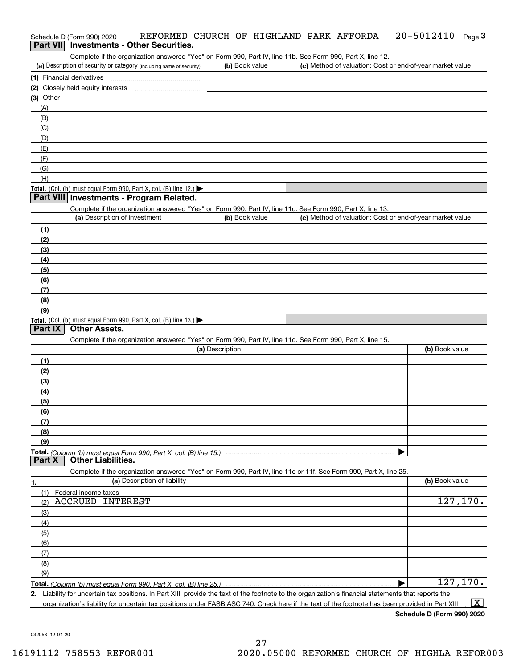| Schedule D (Form 990) 2020 | REFORMED CHURCH OF HIGHLAND PARK AFFORDA |  |  |  | $20 - 5012410$ Page 3 |  |
|----------------------------|------------------------------------------|--|--|--|-----------------------|--|
|                            | Part VII Investments - Other Securities. |  |  |  |                       |  |

Complete if the organization answered "Yes" on Form 990, Part IV, line 11b. See Form 990, Part X, line 12.

| (a) Description of security or category (including name of security) | (b) Book value | (c) Method of valuation: Cost or end-of-year market value |
|----------------------------------------------------------------------|----------------|-----------------------------------------------------------|
| (1) Financial derivatives                                            |                |                                                           |
| (2) Closely held equity interests                                    |                |                                                           |
| (3) Other                                                            |                |                                                           |
| (A)                                                                  |                |                                                           |
| (B)                                                                  |                |                                                           |
| (C)                                                                  |                |                                                           |
| (D)                                                                  |                |                                                           |
| (E)                                                                  |                |                                                           |
| (F)                                                                  |                |                                                           |
| (G)                                                                  |                |                                                           |
| (H)                                                                  |                |                                                           |
| Total. (Col. (b) must equal Form 990, Part X, col. (B) line $12$ .)  |                |                                                           |

### **Part VIII Investments - Program Related.**

Complete if the organization answered "Yes" on Form 990, Part IV, line 11c. See Form 990, Part X, line 13.

| (a) Description of investment                                       | (b) Book value | (c) Method of valuation: Cost or end-of-year market value |
|---------------------------------------------------------------------|----------------|-----------------------------------------------------------|
| (1)                                                                 |                |                                                           |
| (2)                                                                 |                |                                                           |
| $\qquad \qquad (3)$                                                 |                |                                                           |
| (4)                                                                 |                |                                                           |
| (5)                                                                 |                |                                                           |
| (6)                                                                 |                |                                                           |
| (7)                                                                 |                |                                                           |
| (8)                                                                 |                |                                                           |
| (9)                                                                 |                |                                                           |
| Total. (Col. (b) must equal Form 990, Part X, col. (B) line $13.$ ) |                |                                                           |

## **Part IX Other Assets.**

Complete if the organization answered "Yes" on Form 990, Part IV, line 11d. See Form 990, Part X, line 15.

| (a) Description | (b) Book value |
|-----------------|----------------|
| (1)             |                |
| (2)             |                |
| (3)             |                |
| (4)             |                |
| (5)             |                |
| (6)             |                |
|                 |                |
| (8)             |                |
| (9)             |                |
|                 |                |
|                 |                |

**Part X Other Liabilities.**

Complete if the organization answered "Yes" on Form 990, Part IV, line 11e or 11f. See Form 990, Part X, line 25.

| 1.                  | (a) Description of liability | (b) Book value |
|---------------------|------------------------------|----------------|
| (1)                 | Federal income taxes         |                |
| (2)                 | <b>ACCRUED INTEREST</b>      | 127,170.       |
| $\qquad \qquad$ (3) |                              |                |
| (4)                 |                              |                |
| (5)                 |                              |                |
| (6)                 |                              |                |
| (7)                 |                              |                |
| (8)                 |                              |                |
| (9)                 |                              |                |
|                     |                              | 127,170.       |

**2.**Liability for uncertain tax positions. In Part XIII, provide the text of the footnote to the organization's financial statements that reports the organization's liability for uncertain tax positions under FASB ASC 740. Check here if the text of the footnote has been provided in Part XIII  $\boxed{\text{X}}$ 

**Schedule D (Form 990) 2020**

032053 12-01-20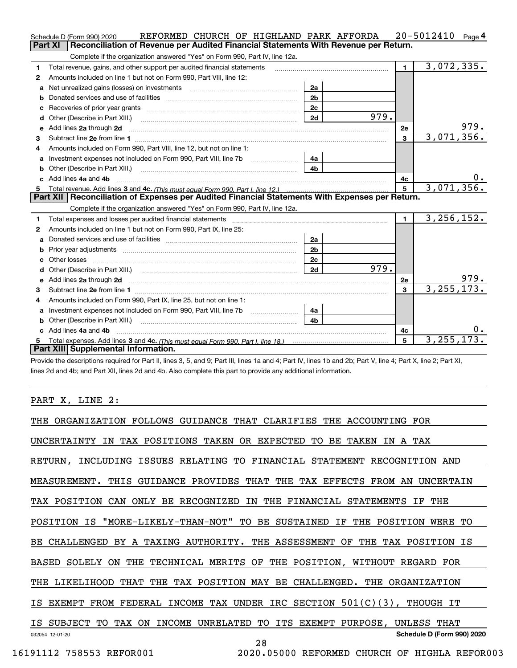|    | REFORMED CHURCH OF HIGHLAND PARK AFFORDA<br>Schedule D (Form 990) 2020                                                                                                                                                              |                |      |                | $20 - 5012410$ Page 4 |
|----|-------------------------------------------------------------------------------------------------------------------------------------------------------------------------------------------------------------------------------------|----------------|------|----------------|-----------------------|
|    | Reconciliation of Revenue per Audited Financial Statements With Revenue per Return.<br><b>Part XI</b>                                                                                                                               |                |      |                |                       |
|    | Complete if the organization answered "Yes" on Form 990, Part IV, line 12a.                                                                                                                                                         |                |      |                |                       |
| 1  | Total revenue, gains, and other support per audited financial statements                                                                                                                                                            |                |      | $\mathbf{1}$   | 3,072,335.            |
| 2  | Amounts included on line 1 but not on Form 990, Part VIII, line 12:                                                                                                                                                                 |                |      |                |                       |
| a  | Net unrealized gains (losses) on investments [111] [12] matter and all the values of the values of the values                                                                                                                       | 2a             |      |                |                       |
|    |                                                                                                                                                                                                                                     | 2 <sub>b</sub> |      |                |                       |
| c  | Recoveries of prior year grants [11,111] Recoveries of prior year grants [11,111] Recoveries of prior year grants                                                                                                                   | 2 <sub>c</sub> |      |                |                       |
|    |                                                                                                                                                                                                                                     | 2d             | 979. |                |                       |
| е  | Add lines 2a through 2d <b>contained a contained a contained a contained a</b> contained a contained a contained a contained a contained a contained a contained a contained a contained a contained a contained a contained a cont |                |      | 2e             | 979.                  |
| з  |                                                                                                                                                                                                                                     |                |      | 3              | 3,071,356.            |
|    | Amounts included on Form 990, Part VIII, line 12, but not on line 1:                                                                                                                                                                |                |      |                |                       |
|    |                                                                                                                                                                                                                                     | 4a             |      |                |                       |
|    |                                                                                                                                                                                                                                     | 4 <sub>h</sub> |      |                |                       |
| c. | Add lines 4a and 4b                                                                                                                                                                                                                 |                |      | 4c             | 0.                    |
|    |                                                                                                                                                                                                                                     |                |      | $5^{\circ}$    | 3,071,356.            |
|    |                                                                                                                                                                                                                                     |                |      |                |                       |
|    | Part XII   Reconciliation of Expenses per Audited Financial Statements With Expenses per Return.                                                                                                                                    |                |      |                |                       |
|    | Complete if the organization answered "Yes" on Form 990, Part IV, line 12a.                                                                                                                                                         |                |      |                |                       |
| 1. | Total expenses and losses per audited financial statements [11] [12] contraction control in the statements [11] [12] and the statements [12] and the statements [12] and the statements [12] and the statements [12] and the s      |                |      | $\mathbf{1}$   | 3, 256, 152.          |
| 2  | Amounts included on line 1 but not on Form 990, Part IX, line 25:                                                                                                                                                                   |                |      |                |                       |
| a  |                                                                                                                                                                                                                                     | 2а             |      |                |                       |
| b  |                                                                                                                                                                                                                                     | 2 <sub>b</sub> |      |                |                       |
| c  |                                                                                                                                                                                                                                     | 2 <sub>c</sub> |      |                |                       |
| d. | Other (Describe in Part XIII.) (2000) (2000) (2000) (2010) (2010) (2010) (2010) (2010) (2010) (2010) (2010) (20                                                                                                                     | 2d             | 979. |                |                       |
|    |                                                                                                                                                                                                                                     |                |      | 2e             | 979.                  |
| 3  |                                                                                                                                                                                                                                     |                |      | $\mathbf{R}$   | 3, 255, 173.          |
| 4  | Amounts included on Form 990, Part IX, line 25, but not on line 1:                                                                                                                                                                  |                |      |                |                       |
| a  |                                                                                                                                                                                                                                     | 4a             |      |                |                       |
|    |                                                                                                                                                                                                                                     | 4b             |      |                |                       |
|    | Add lines 4a and 4b                                                                                                                                                                                                                 |                |      | 4с             | υ.                    |
|    | Part XIII Supplemental Information.                                                                                                                                                                                                 |                |      | $\overline{5}$ | 3, 255, 173.          |

Provide the descriptions required for Part II, lines 3, 5, and 9; Part III, lines 1a and 4; Part IV, lines 1b and 2b; Part V, line 4; Part X, line 2; Part XI, lines 2d and 4b; and Part XII, lines 2d and 4b. Also complete this part to provide any additional information.

## PART X, LINE 2:

| THE<br>ORGANIZATION FOLLOWS<br>GUIDANCE<br>THAT CLARIFIES<br>THE ACCOUNTING<br>FOR       |  |
|------------------------------------------------------------------------------------------|--|
| IN TAX POSITIONS TAKEN OR EXPECTED<br>UNCERTAINTY<br>TO BE TAKEN<br>IN A TAX             |  |
| INCLUDING ISSUES RELATING TO FINANCIAL STATEMENT RECOGNITION AND<br>RETURN,              |  |
| MEASUREMENT. THIS GUIDANCE PROVIDES THAT THE TAX EFFECTS FROM AN<br>UNCERTAIN            |  |
| TAX POSITION CAN ONLY BE RECOGNIZED IN THE FINANCIAL STATEMENTS IF<br>THE                |  |
| POSITION IS "MORE-LIKELY-THAN-NOT" TO BE SUSTAINED IF THE POSITION WERE TO               |  |
| BE CHALLENGED BY A TAXING AUTHORITY. THE ASSESSMENT OF<br>THE TAX POSITION IS            |  |
| BASED SOLELY ON THE TECHNICAL MERITS OF THE POSITION, WITHOUT REGARD FOR                 |  |
| THE LIKELIHOOD THAT THE TAX POSITION MAY BE CHALLENGED.<br>THE ORGANIZATION              |  |
| FROM FEDERAL INCOME TAX UNDER IRC SECTION $501(C)(3)$ , THOUGH IT<br>IS EXEMPT           |  |
| INCOME UNRELATED<br>ITS<br>SUBJECT TO TAX ON<br>TO<br>EXEMPT PURPOSE, UNLESS THAT<br>IS. |  |
| Schedule D (Form 990) 2020<br>032054 12-01-20<br>28                                      |  |
| 16191112 758553 REFOR001<br>2020.05000 REFORMED<br>CHURCH OF HIGHLA REFOR003             |  |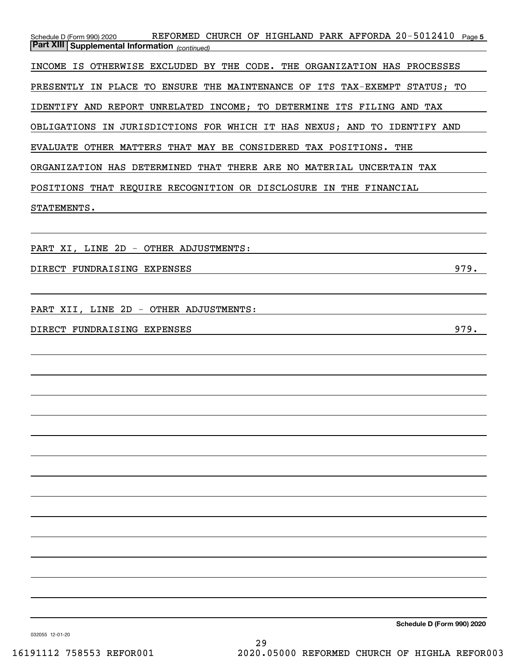| REFORMED CHURCH OF HIGHLAND PARK AFFORDA 20-5012410 Page 5<br>Schedule D (Form 990) 2020<br><b>Part XIII Supplemental Information</b> (continued) |
|---------------------------------------------------------------------------------------------------------------------------------------------------|
| INCOME IS OTHERWISE EXCLUDED BY THE CODE. THE ORGANIZATION HAS PROCESSES                                                                          |
| PRESENTLY IN PLACE TO ENSURE THE MAINTENANCE OF ITS TAX-EXEMPT STATUS; TO                                                                         |
| IDENTIFY AND REPORT UNRELATED INCOME; TO DETERMINE ITS FILING AND TAX                                                                             |
| OBLIGATIONS IN JURISDICTIONS FOR WHICH IT HAS NEXUS; AND TO IDENTIFY AND                                                                          |
| EVALUATE OTHER MATTERS THAT MAY BE CONSIDERED TAX POSITIONS. THE                                                                                  |
| ORGANIZATION HAS DETERMINED THAT THERE ARE NO MATERIAL UNCERTAIN TAX                                                                              |
| POSITIONS THAT REQUIRE RECOGNITION OR DISCLOSURE IN THE FINANCIAL                                                                                 |
| STATEMENTS.                                                                                                                                       |
|                                                                                                                                                   |
| PART XI, LINE 2D - OTHER ADJUSTMENTS:                                                                                                             |
| 979.<br>DIRECT FUNDRAISING EXPENSES                                                                                                               |
|                                                                                                                                                   |
| PART XII, LINE 2D - OTHER ADJUSTMENTS:                                                                                                            |
| 979.<br>DIRECT FUNDRAISING EXPENSES                                                                                                               |
|                                                                                                                                                   |
|                                                                                                                                                   |
|                                                                                                                                                   |
|                                                                                                                                                   |
|                                                                                                                                                   |
|                                                                                                                                                   |
|                                                                                                                                                   |
|                                                                                                                                                   |
|                                                                                                                                                   |
|                                                                                                                                                   |
|                                                                                                                                                   |
|                                                                                                                                                   |
|                                                                                                                                                   |
|                                                                                                                                                   |

**Schedule D (Form 990) 2020**

032055 12-01-20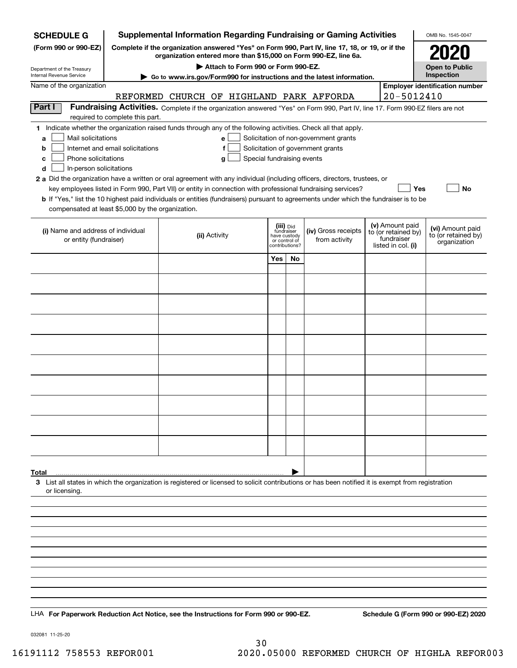| <b>Supplemental Information Regarding Fundraising or Gaming Activities</b><br><b>SCHEDULE G</b>                          |                                                                                                        |                                                                                                                                                    |                                             |    |                                      |  |                                   | OMB No. 1545-0047                     |  |  |
|--------------------------------------------------------------------------------------------------------------------------|--------------------------------------------------------------------------------------------------------|----------------------------------------------------------------------------------------------------------------------------------------------------|---------------------------------------------|----|--------------------------------------|--|-----------------------------------|---------------------------------------|--|--|
| (Form 990 or 990-EZ)                                                                                                     | Complete if the organization answered "Yes" on Form 990, Part IV, line 17, 18, or 19, or if the        |                                                                                                                                                    |                                             |    |                                      |  |                                   |                                       |  |  |
| Department of the Treasury                                                                                               | organization entered more than \$15,000 on Form 990-EZ, line 6a.<br>Attach to Form 990 or Form 990-EZ. |                                                                                                                                                    |                                             |    |                                      |  |                                   | <b>Open to Public</b>                 |  |  |
| Internal Revenue Service                                                                                                 | Go to www.irs.gov/Form990 for instructions and the latest information.                                 |                                                                                                                                                    |                                             |    |                                      |  |                                   | Inspection                            |  |  |
| Name of the organization                                                                                                 |                                                                                                        | REFORMED CHURCH OF HIGHLAND PARK AFFORDA                                                                                                           |                                             |    |                                      |  |                                   | <b>Employer identification number</b> |  |  |
|                                                                                                                          | 20-5012410                                                                                             |                                                                                                                                                    |                                             |    |                                      |  |                                   |                                       |  |  |
| Part I                                                                                                                   |                                                                                                        | Fundraising Activities. Complete if the organization answered "Yes" on Form 990, Part IV, line 17. Form 990-EZ filers are not                      |                                             |    |                                      |  |                                   |                                       |  |  |
|                                                                                                                          | required to complete this part.                                                                        |                                                                                                                                                    |                                             |    |                                      |  |                                   |                                       |  |  |
| Mail solicitations<br>a                                                                                                  |                                                                                                        | 1 Indicate whether the organization raised funds through any of the following activities. Check all that apply.<br>e                               |                                             |    |                                      |  |                                   |                                       |  |  |
| Solicitation of non-government grants<br>Internet and email solicitations<br>Solicitation of government grants<br>b<br>f |                                                                                                        |                                                                                                                                                    |                                             |    |                                      |  |                                   |                                       |  |  |
| Phone solicitations<br>Special fundraising events<br>c<br>g                                                              |                                                                                                        |                                                                                                                                                    |                                             |    |                                      |  |                                   |                                       |  |  |
| In-person solicitations<br>d                                                                                             |                                                                                                        |                                                                                                                                                    |                                             |    |                                      |  |                                   |                                       |  |  |
|                                                                                                                          |                                                                                                        | 2 a Did the organization have a written or oral agreement with any individual (including officers, directors, trustees, or                         |                                             |    |                                      |  |                                   |                                       |  |  |
|                                                                                                                          |                                                                                                        | key employees listed in Form 990, Part VII) or entity in connection with professional fundraising services?                                        |                                             |    |                                      |  | Yes                               | No                                    |  |  |
|                                                                                                                          |                                                                                                        | <b>b</b> If "Yes," list the 10 highest paid individuals or entities (fundraisers) pursuant to agreements under which the fundraiser is to be       |                                             |    |                                      |  |                                   |                                       |  |  |
| compensated at least \$5,000 by the organization.                                                                        |                                                                                                        |                                                                                                                                                    |                                             |    |                                      |  |                                   |                                       |  |  |
|                                                                                                                          |                                                                                                        |                                                                                                                                                    | (iii) Did                                   |    |                                      |  | (v) Amount paid                   | (vi) Amount paid                      |  |  |
| (i) Name and address of individual<br>or entity (fundraiser)                                                             |                                                                                                        | (ii) Activity                                                                                                                                      | fundraiser<br>have custody<br>or control of |    | (iv) Gross receipts<br>from activity |  | to (or retained by)<br>fundraiser | to (or retained by)                   |  |  |
|                                                                                                                          |                                                                                                        |                                                                                                                                                    | contributions?                              |    |                                      |  | listed in col. (i)                | organization                          |  |  |
|                                                                                                                          |                                                                                                        |                                                                                                                                                    | Yes                                         | No |                                      |  |                                   |                                       |  |  |
|                                                                                                                          |                                                                                                        |                                                                                                                                                    |                                             |    |                                      |  |                                   |                                       |  |  |
|                                                                                                                          |                                                                                                        |                                                                                                                                                    |                                             |    |                                      |  |                                   |                                       |  |  |
|                                                                                                                          |                                                                                                        |                                                                                                                                                    |                                             |    |                                      |  |                                   |                                       |  |  |
|                                                                                                                          |                                                                                                        |                                                                                                                                                    |                                             |    |                                      |  |                                   |                                       |  |  |
|                                                                                                                          |                                                                                                        |                                                                                                                                                    |                                             |    |                                      |  |                                   |                                       |  |  |
|                                                                                                                          |                                                                                                        |                                                                                                                                                    |                                             |    |                                      |  |                                   |                                       |  |  |
|                                                                                                                          |                                                                                                        |                                                                                                                                                    |                                             |    |                                      |  |                                   |                                       |  |  |
|                                                                                                                          |                                                                                                        |                                                                                                                                                    |                                             |    |                                      |  |                                   |                                       |  |  |
|                                                                                                                          |                                                                                                        |                                                                                                                                                    |                                             |    |                                      |  |                                   |                                       |  |  |
|                                                                                                                          |                                                                                                        |                                                                                                                                                    |                                             |    |                                      |  |                                   |                                       |  |  |
|                                                                                                                          |                                                                                                        |                                                                                                                                                    |                                             |    |                                      |  |                                   |                                       |  |  |
|                                                                                                                          |                                                                                                        |                                                                                                                                                    |                                             |    |                                      |  |                                   |                                       |  |  |
|                                                                                                                          |                                                                                                        |                                                                                                                                                    |                                             |    |                                      |  |                                   |                                       |  |  |
|                                                                                                                          |                                                                                                        |                                                                                                                                                    |                                             |    |                                      |  |                                   |                                       |  |  |
|                                                                                                                          |                                                                                                        |                                                                                                                                                    |                                             |    |                                      |  |                                   |                                       |  |  |
|                                                                                                                          |                                                                                                        |                                                                                                                                                    |                                             |    |                                      |  |                                   |                                       |  |  |
|                                                                                                                          |                                                                                                        |                                                                                                                                                    |                                             |    |                                      |  |                                   |                                       |  |  |
|                                                                                                                          |                                                                                                        |                                                                                                                                                    |                                             |    |                                      |  |                                   |                                       |  |  |
| Total                                                                                                                    |                                                                                                        | 3 List all states in which the organization is registered or licensed to solicit contributions or has been notified it is exempt from registration |                                             |    |                                      |  |                                   |                                       |  |  |
| or licensing.                                                                                                            |                                                                                                        |                                                                                                                                                    |                                             |    |                                      |  |                                   |                                       |  |  |
|                                                                                                                          |                                                                                                        |                                                                                                                                                    |                                             |    |                                      |  |                                   |                                       |  |  |
|                                                                                                                          |                                                                                                        |                                                                                                                                                    |                                             |    |                                      |  |                                   |                                       |  |  |
|                                                                                                                          |                                                                                                        |                                                                                                                                                    |                                             |    |                                      |  |                                   |                                       |  |  |
|                                                                                                                          |                                                                                                        |                                                                                                                                                    |                                             |    |                                      |  |                                   |                                       |  |  |
|                                                                                                                          |                                                                                                        |                                                                                                                                                    |                                             |    |                                      |  |                                   |                                       |  |  |
|                                                                                                                          |                                                                                                        |                                                                                                                                                    |                                             |    |                                      |  |                                   |                                       |  |  |
|                                                                                                                          |                                                                                                        |                                                                                                                                                    |                                             |    |                                      |  |                                   |                                       |  |  |
|                                                                                                                          |                                                                                                        |                                                                                                                                                    |                                             |    |                                      |  |                                   |                                       |  |  |
|                                                                                                                          |                                                                                                        |                                                                                                                                                    |                                             |    |                                      |  |                                   |                                       |  |  |
|                                                                                                                          |                                                                                                        |                                                                                                                                                    |                                             |    |                                      |  |                                   |                                       |  |  |
|                                                                                                                          |                                                                                                        | LHA For Paperwork Reduction Act Notice, see the Instructions for Form 990 or 990-EZ.                                                               |                                             |    |                                      |  |                                   | Schedule G (Form 990 or 990-EZ) 2020  |  |  |

032081 11-25-20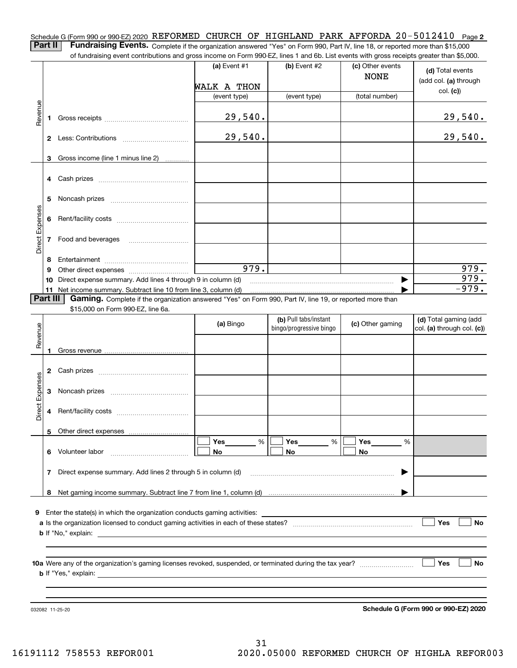Schedule G (Form 990 or 990-EZ) 2020 REFORMED CHURCH OF HIGHLAND PARK AFFORDA 20-5012410 Page **2 Part II** | Fundraising Events. Complete if the organization answered "Yes" on Form 990, Part IV, line 18, or reported more than \$15,000

of fundraising event contributions and gross income on Form 990-EZ, lines 1 and 6b. List events with gross receipts greater than \$5,000.

|                 |    | r ianaraong ovent communitations and gross income on r on r sou EZ, inics i and ob. Elst events with gross receipts greater than \$0,000. |                |                                                  |                                 |                                                     |
|-----------------|----|-------------------------------------------------------------------------------------------------------------------------------------------|----------------|--------------------------------------------------|---------------------------------|-----------------------------------------------------|
|                 |    |                                                                                                                                           | (a) Event $#1$ | (b) Event $#2$                                   | (c) Other events<br><b>NONE</b> | (d) Total events<br>(add col. (a) through           |
|                 |    |                                                                                                                                           | WALK A THON    |                                                  |                                 |                                                     |
|                 |    |                                                                                                                                           | (event type)   | (event type)                                     | (total number)                  | col. (c)                                            |
|                 |    |                                                                                                                                           |                |                                                  |                                 |                                                     |
| Revenue         | 1. |                                                                                                                                           | 29,540.        |                                                  |                                 | 29,540.                                             |
|                 |    |                                                                                                                                           |                |                                                  |                                 |                                                     |
|                 |    |                                                                                                                                           | 29,540.        |                                                  |                                 | 29,540.                                             |
|                 |    |                                                                                                                                           |                |                                                  |                                 |                                                     |
|                 | 3  | Gross income (line 1 minus line 2)                                                                                                        |                |                                                  |                                 |                                                     |
|                 |    |                                                                                                                                           |                |                                                  |                                 |                                                     |
|                 |    |                                                                                                                                           |                |                                                  |                                 |                                                     |
|                 |    |                                                                                                                                           |                |                                                  |                                 |                                                     |
|                 | 5  |                                                                                                                                           |                |                                                  |                                 |                                                     |
|                 |    |                                                                                                                                           |                |                                                  |                                 |                                                     |
|                 | 6  |                                                                                                                                           |                |                                                  |                                 |                                                     |
| Direct Expenses |    |                                                                                                                                           |                |                                                  |                                 |                                                     |
|                 |    | 7 Food and beverages                                                                                                                      |                |                                                  |                                 |                                                     |
|                 |    |                                                                                                                                           |                |                                                  |                                 |                                                     |
|                 | 8  |                                                                                                                                           |                |                                                  |                                 |                                                     |
|                 | 9  |                                                                                                                                           | 979.           |                                                  |                                 | 979.                                                |
|                 |    | 10 Direct expense summary. Add lines 4 through 9 in column (d)                                                                            |                |                                                  | ▶                               | 979.                                                |
|                 |    | 11 Net income summary. Subtract line 10 from line 3, column (d)                                                                           |                |                                                  |                                 | $-979.$                                             |
| Part III        |    | Gaming. Complete if the organization answered "Yes" on Form 990, Part IV, line 19, or reported more than                                  |                |                                                  |                                 |                                                     |
|                 |    | \$15,000 on Form 990-EZ, line 6a.                                                                                                         |                |                                                  |                                 |                                                     |
|                 |    |                                                                                                                                           | (a) Bingo      | (b) Pull tabs/instant<br>bingo/progressive bingo | (c) Other gaming                | (d) Total gaming (add<br>col. (a) through col. (c)) |
| Revenue         |    |                                                                                                                                           |                |                                                  |                                 |                                                     |
|                 |    |                                                                                                                                           |                |                                                  |                                 |                                                     |
|                 |    |                                                                                                                                           |                |                                                  |                                 |                                                     |
|                 |    |                                                                                                                                           |                |                                                  |                                 |                                                     |
|                 |    |                                                                                                                                           |                |                                                  |                                 |                                                     |
|                 | 3  |                                                                                                                                           |                |                                                  |                                 |                                                     |
| Direct Expenses |    |                                                                                                                                           |                |                                                  |                                 |                                                     |
|                 | 4  |                                                                                                                                           |                |                                                  |                                 |                                                     |
|                 |    |                                                                                                                                           |                |                                                  |                                 |                                                     |
|                 |    |                                                                                                                                           |                |                                                  |                                 |                                                     |
|                 |    |                                                                                                                                           | Yes<br>%       | Yes<br>$\%$                                      | Yes<br>%                        |                                                     |
|                 |    | 6 Volunteer labor                                                                                                                         | No             | No                                               | No                              |                                                     |
|                 |    |                                                                                                                                           |                |                                                  |                                 |                                                     |
|                 | 7  | Direct expense summary. Add lines 2 through 5 in column (d)                                                                               |                |                                                  |                                 |                                                     |
|                 |    |                                                                                                                                           |                |                                                  |                                 |                                                     |
|                 | 8  |                                                                                                                                           |                |                                                  |                                 |                                                     |
|                 |    |                                                                                                                                           |                |                                                  |                                 |                                                     |
| 9               |    | Enter the state(s) in which the organization conducts gaming activities:                                                                  |                |                                                  |                                 |                                                     |
|                 |    |                                                                                                                                           |                |                                                  |                                 | Yes<br>No                                           |
|                 |    | <b>b</b> If "No," explain:                                                                                                                |                |                                                  |                                 |                                                     |
|                 |    |                                                                                                                                           |                |                                                  |                                 |                                                     |
|                 |    |                                                                                                                                           |                |                                                  |                                 |                                                     |
|                 |    |                                                                                                                                           |                |                                                  |                                 | Yes<br>No                                           |
|                 |    | <b>b</b> If "Yes," explain:                                                                                                               |                |                                                  |                                 |                                                     |
|                 |    |                                                                                                                                           |                |                                                  |                                 |                                                     |
|                 |    |                                                                                                                                           |                |                                                  |                                 |                                                     |
|                 |    |                                                                                                                                           |                |                                                  |                                 |                                                     |

**Schedule G (Form 990 or 990-EZ) 2020**

032082 11-25-20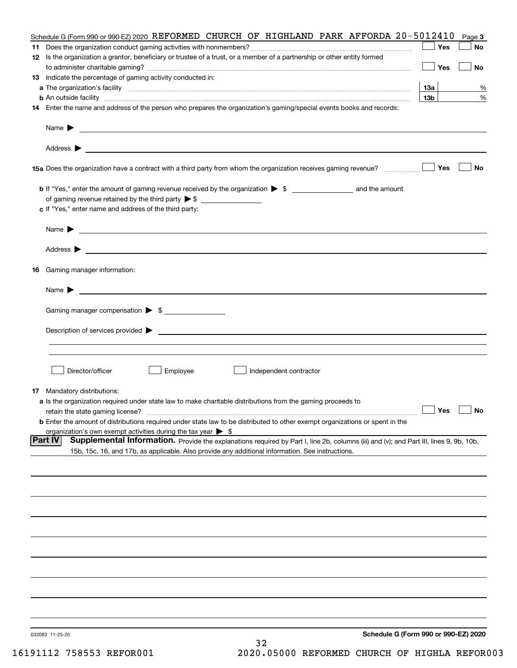| Schedule G (Form 990 or 990-EZ) 2020 REFORMED CHURCH OF HIGHLAND PARK AFFORDA 20-5012410                                                                      |                 | Page 3    |
|---------------------------------------------------------------------------------------------------------------------------------------------------------------|-----------------|-----------|
|                                                                                                                                                               | Yes             | No        |
| 12 Is the organization a grantor, beneficiary or trustee of a trust, or a member of a partnership or other entity formed                                      |                 |           |
|                                                                                                                                                               | Yes             | <b>No</b> |
| 13 Indicate the percentage of gaming activity conducted in:                                                                                                   |                 |           |
|                                                                                                                                                               | <u>13a</u>      | %         |
| <b>b</b> An outside facility <i>www.communicality www.communicality.communicality www.communicality www.communicality.communicality www.communicality.com</i> | 13 <sub>b</sub> | %         |
| 14 Enter the name and address of the person who prepares the organization's gaming/special events books and records:                                          |                 |           |
|                                                                                                                                                               |                 |           |
|                                                                                                                                                               |                 |           |
|                                                                                                                                                               |                 |           |
|                                                                                                                                                               |                 |           |
| 15a Does the organization have a contract with a third party from whom the organization receives gaming revenue?                                              | Yes             | No        |
|                                                                                                                                                               |                 |           |
| <b>b</b> If "Yes," enter the amount of gaming revenue received by the organization $\triangleright$ \$ ____________________ and the amount                    |                 |           |
|                                                                                                                                                               |                 |           |
| c If "Yes," enter name and address of the third party:                                                                                                        |                 |           |
|                                                                                                                                                               |                 |           |
| Name $\blacktriangleright$ $\_\_$                                                                                                                             |                 |           |
|                                                                                                                                                               |                 |           |
|                                                                                                                                                               |                 |           |
| 16 Gaming manager information:                                                                                                                                |                 |           |
|                                                                                                                                                               |                 |           |
| Name $\triangleright$ $\square$                                                                                                                               |                 |           |
|                                                                                                                                                               |                 |           |
| Gaming manager compensation > \$                                                                                                                              |                 |           |
|                                                                                                                                                               |                 |           |
| Description of services provided $\blacktriangleright$ $\_\_$                                                                                                 |                 |           |
|                                                                                                                                                               |                 |           |
|                                                                                                                                                               |                 |           |
| Director/officer<br>Employee<br>Independent contractor                                                                                                        |                 |           |
|                                                                                                                                                               |                 |           |
| <b>17</b> Mandatory distributions:                                                                                                                            |                 |           |
| a Is the organization required under state law to make charitable distributions from the gaming proceeds to                                                   |                 |           |
| $\Box$ Yes $\Box$ No<br>retain the state gaming license?                                                                                                      |                 |           |
| <b>b</b> Enter the amount of distributions required under state law to be distributed to other exempt organizations or spent in the                           |                 |           |
| organization's own exempt activities during the tax year $\triangleright$ \$                                                                                  |                 |           |
| <b>Part IV</b><br>Supplemental Information. Provide the explanations required by Part I, line 2b, columns (iii) and (v); and Part III, lines 9, 9b, 10b,      |                 |           |
| 15b, 15c, 16, and 17b, as applicable. Also provide any additional information. See instructions.                                                              |                 |           |
|                                                                                                                                                               |                 |           |
|                                                                                                                                                               |                 |           |
|                                                                                                                                                               |                 |           |
|                                                                                                                                                               |                 |           |
|                                                                                                                                                               |                 |           |
|                                                                                                                                                               |                 |           |
|                                                                                                                                                               |                 |           |
|                                                                                                                                                               |                 |           |
|                                                                                                                                                               |                 |           |
|                                                                                                                                                               |                 |           |
|                                                                                                                                                               |                 |           |
|                                                                                                                                                               |                 |           |
|                                                                                                                                                               |                 |           |
|                                                                                                                                                               |                 |           |
|                                                                                                                                                               |                 |           |
| Schedule G (Form 990 or 990-EZ) 2020<br>032083 11-25-20                                                                                                       |                 |           |
| 32                                                                                                                                                            |                 |           |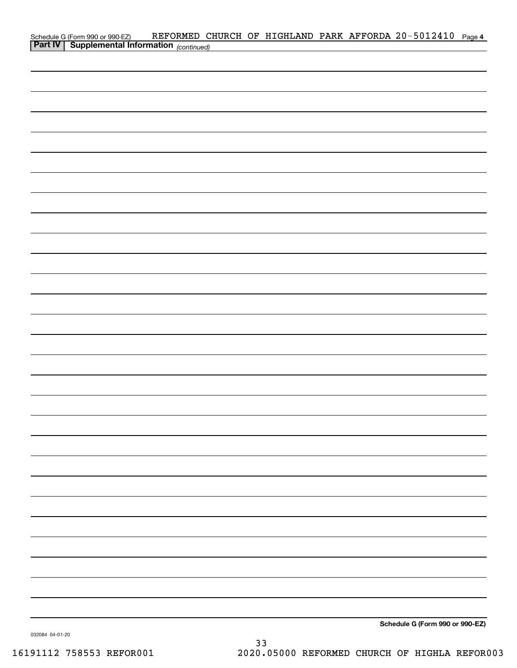| Schedule G (Form 990 or 990-EZ) REFORMED C.<br>Part IV   Supplemental Information (continued) |  |  | REFORMED CHURCH OF HIGHLAND PARK AFFORDA 20-5012410 Page 4 |  |
|-----------------------------------------------------------------------------------------------|--|--|------------------------------------------------------------|--|
|                                                                                               |  |  |                                                            |  |
|                                                                                               |  |  |                                                            |  |
|                                                                                               |  |  |                                                            |  |
|                                                                                               |  |  |                                                            |  |
|                                                                                               |  |  |                                                            |  |
|                                                                                               |  |  |                                                            |  |
|                                                                                               |  |  |                                                            |  |
|                                                                                               |  |  |                                                            |  |
|                                                                                               |  |  |                                                            |  |
|                                                                                               |  |  |                                                            |  |
|                                                                                               |  |  |                                                            |  |
|                                                                                               |  |  |                                                            |  |
|                                                                                               |  |  |                                                            |  |
|                                                                                               |  |  |                                                            |  |
|                                                                                               |  |  |                                                            |  |
|                                                                                               |  |  |                                                            |  |
|                                                                                               |  |  |                                                            |  |
|                                                                                               |  |  |                                                            |  |
|                                                                                               |  |  |                                                            |  |
|                                                                                               |  |  |                                                            |  |
|                                                                                               |  |  |                                                            |  |
|                                                                                               |  |  |                                                            |  |
|                                                                                               |  |  |                                                            |  |
|                                                                                               |  |  |                                                            |  |
|                                                                                               |  |  |                                                            |  |
|                                                                                               |  |  |                                                            |  |
|                                                                                               |  |  |                                                            |  |
|                                                                                               |  |  |                                                            |  |
|                                                                                               |  |  |                                                            |  |
|                                                                                               |  |  |                                                            |  |
|                                                                                               |  |  |                                                            |  |
|                                                                                               |  |  |                                                            |  |
|                                                                                               |  |  |                                                            |  |
|                                                                                               |  |  |                                                            |  |
|                                                                                               |  |  |                                                            |  |
|                                                                                               |  |  |                                                            |  |
|                                                                                               |  |  |                                                            |  |
|                                                                                               |  |  | Schedule G (Form 990 or 990-EZ)                            |  |

032084 04-01-20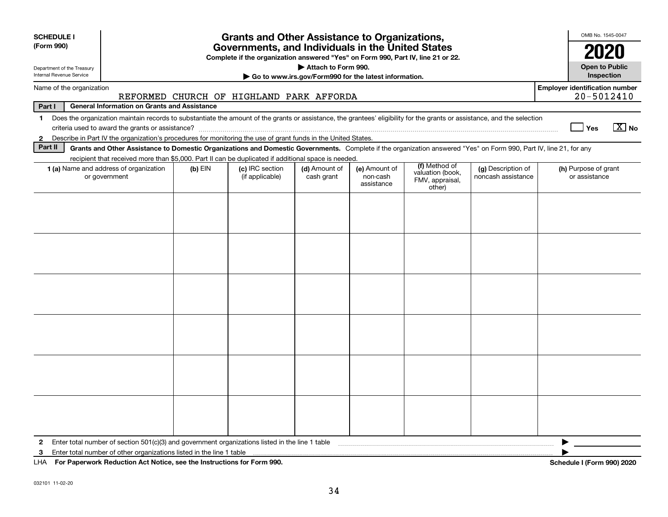| <b>SCHEDULE I</b><br>(Form 990)<br>Department of the Treasury<br>Internal Revenue Service | <b>Grants and Other Assistance to Organizations,</b><br>Governments, and Individuals in the United States<br>Complete if the organization answered "Yes" on Form 990, Part IV, line 21 or 22.<br>Attach to Form 990.<br>Go to www.irs.gov/Form990 for the latest information.       |           |                                    |                             |                                         |                                                                |                                          |                                       |
|-------------------------------------------------------------------------------------------|-------------------------------------------------------------------------------------------------------------------------------------------------------------------------------------------------------------------------------------------------------------------------------------|-----------|------------------------------------|-----------------------------|-----------------------------------------|----------------------------------------------------------------|------------------------------------------|---------------------------------------|
| Name of the organization<br>REFORMED CHURCH OF HIGHLAND PARK AFFORDA                      |                                                                                                                                                                                                                                                                                     |           |                                    |                             |                                         |                                                                |                                          | <b>Employer identification number</b> |
| Part I                                                                                    | <b>General Information on Grants and Assistance</b>                                                                                                                                                                                                                                 |           |                                    |                             |                                         |                                                                |                                          | 20-5012410                            |
| $\mathbf 1$                                                                               | Does the organization maintain records to substantiate the amount of the grants or assistance, the grantees' eligibility for the grants or assistance, and the selection                                                                                                            |           |                                    |                             |                                         |                                                                |                                          | $\boxed{\text{X}}$ No<br>∣ Yes        |
| $\mathbf{2}$<br>Part II                                                                   | Describe in Part IV the organization's procedures for monitoring the use of grant funds in the United States.<br>Grants and Other Assistance to Domestic Organizations and Domestic Governments. Complete if the organization answered "Yes" on Form 990, Part IV, line 21, for any |           |                                    |                             |                                         |                                                                |                                          |                                       |
|                                                                                           | recipient that received more than \$5,000. Part II can be duplicated if additional space is needed.                                                                                                                                                                                 |           |                                    |                             |                                         |                                                                |                                          |                                       |
|                                                                                           | <b>1 (a)</b> Name and address of organization<br>or government                                                                                                                                                                                                                      | $(b)$ EIN | (c) IRC section<br>(if applicable) | (d) Amount of<br>cash grant | (e) Amount of<br>non-cash<br>assistance | (f) Method of<br>valuation (book,<br>FMV, appraisal,<br>other) | (g) Description of<br>noncash assistance | (h) Purpose of grant<br>or assistance |
|                                                                                           |                                                                                                                                                                                                                                                                                     |           |                                    |                             |                                         |                                                                |                                          |                                       |
|                                                                                           |                                                                                                                                                                                                                                                                                     |           |                                    |                             |                                         |                                                                |                                          |                                       |
|                                                                                           |                                                                                                                                                                                                                                                                                     |           |                                    |                             |                                         |                                                                |                                          |                                       |
|                                                                                           |                                                                                                                                                                                                                                                                                     |           |                                    |                             |                                         |                                                                |                                          |                                       |
|                                                                                           |                                                                                                                                                                                                                                                                                     |           |                                    |                             |                                         |                                                                |                                          |                                       |
| $\mathbf{2}$<br>3                                                                         | Enter total number of section $501(c)(3)$ and government organizations listed in the line 1 table<br>Enter total number of other organizations listed in the line 1 table                                                                                                           |           |                                    |                             |                                         |                                                                |                                          |                                       |
| LHA For Paperwork Reduction Act Notice, see the Instructions for Form 990.                |                                                                                                                                                                                                                                                                                     |           |                                    |                             |                                         |                                                                |                                          | <b>Schedule I (Form 990) 2020</b>     |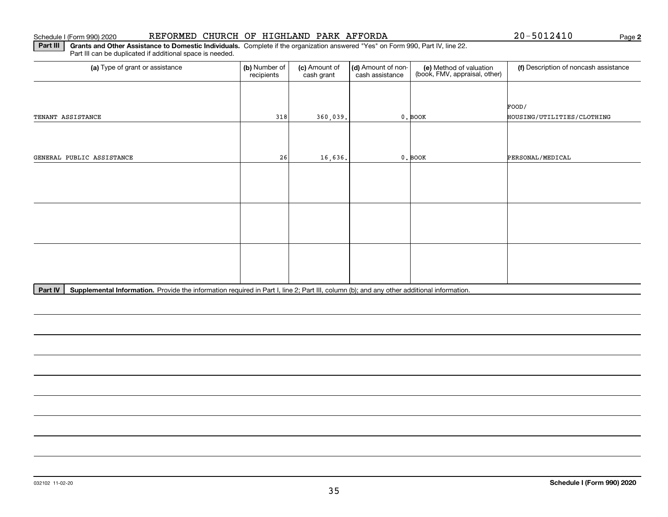#### 032102 11-02-20

#### Schedule I (Form 990) 2020 REFORMED CHURCH OF HIGHLAND PARK AFFORDA Page

**Part III | Grants and Other Assistance to Domestic Individuals. Complete if the organization answered "Yes" on Form 990, Part IV, line 22.** Part III can be duplicated if additional space is needed.

Part IV | Supplemental Information. Provide the information required in Part I, line 2; Part III, column (b); and any other additional information.

| (a) Type of grant or assistance | (b) Number of<br>recipients | (c) Amount of<br>cash grant | (d) Amount of non-<br>cash assistance | (e) Method of valuation<br>(book, FMV, appraisal, other) | (f) Description of noncash assistance |
|---------------------------------|-----------------------------|-----------------------------|---------------------------------------|----------------------------------------------------------|---------------------------------------|
|                                 |                             |                             |                                       |                                                          |                                       |
|                                 |                             |                             |                                       |                                                          | FOOD/                                 |
| TENANT ASSISTANCE               | 318                         | 360,039.                    |                                       | $0.$ BOOK                                                | HOUSING/UTILITIES/CLOTHING            |
|                                 |                             |                             |                                       |                                                          |                                       |
|                                 |                             |                             |                                       |                                                          |                                       |
| GENERAL PUBLIC ASSISTANCE       | 26                          | 16,636.                     |                                       | $0.$ BOOK                                                | PERSONAL/MEDICAL                      |
|                                 |                             |                             |                                       |                                                          |                                       |
|                                 |                             |                             |                                       |                                                          |                                       |
|                                 |                             |                             |                                       |                                                          |                                       |
|                                 |                             |                             |                                       |                                                          |                                       |
|                                 |                             |                             |                                       |                                                          |                                       |
|                                 |                             |                             |                                       |                                                          |                                       |
|                                 |                             |                             |                                       |                                                          |                                       |
|                                 |                             |                             |                                       |                                                          |                                       |
|                                 |                             |                             |                                       |                                                          |                                       |
|                                 |                             |                             |                                       |                                                          |                                       |